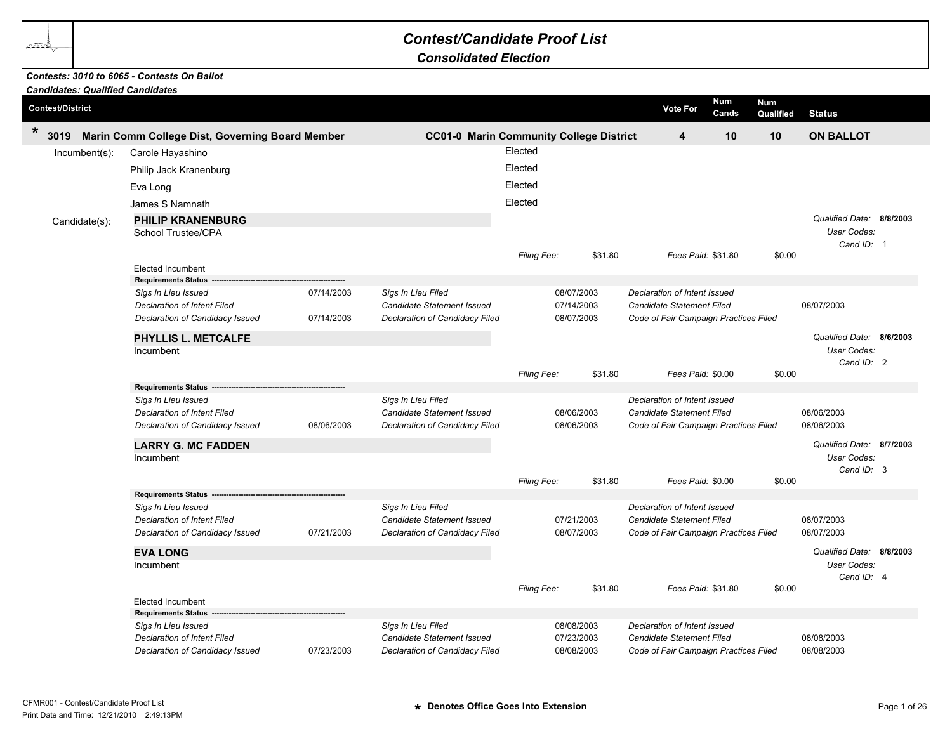## *Contest/Candidate Proof List*

*Consolidated Election*

## *Contests: 3010 to 6065 - Contests On Ballot*

| <b>Candidates: Qualified Candidates</b> |                                                   |            |                                   |                                                |         |                                       |              |                         |                                  |  |
|-----------------------------------------|---------------------------------------------------|------------|-----------------------------------|------------------------------------------------|---------|---------------------------------------|--------------|-------------------------|----------------------------------|--|
| <b>Contest/District</b>                 |                                                   |            |                                   |                                                |         | <b>Vote For</b>                       | Num<br>Cands | <b>Num</b><br>Qualified | <b>Status</b>                    |  |
| $\ast$<br>3019                          | Marin Comm College Dist, Governing Board Member   |            |                                   | <b>CC01-0 Marin Community College District</b> |         | 4                                     | 10           | 10                      | <b>ON BALLOT</b>                 |  |
| $Incumbent(s)$ :                        | Carole Hayashino                                  |            |                                   | Elected                                        |         |                                       |              |                         |                                  |  |
|                                         | Philip Jack Kranenburg                            |            |                                   | Elected                                        |         |                                       |              |                         |                                  |  |
|                                         | Eva Long                                          |            |                                   | Elected                                        |         |                                       |              |                         |                                  |  |
|                                         | James S Namnath                                   |            |                                   | Elected                                        |         |                                       |              |                         |                                  |  |
| Candidate(s):                           | <b>PHILIP KRANENBURG</b>                          |            |                                   |                                                |         |                                       |              |                         | Qualified Date: 8/8/2003         |  |
|                                         | School Trustee/CPA                                |            |                                   |                                                |         |                                       |              |                         | User Codes:                      |  |
|                                         |                                                   |            |                                   |                                                |         |                                       |              |                         | Cand ID: 1                       |  |
|                                         | Elected Incumbent                                 |            |                                   | Filing Fee:                                    | \$31.80 | Fees Paid: \$31.80                    |              | \$0.00                  |                                  |  |
|                                         | <b>Requirements Status</b>                        |            |                                   |                                                |         |                                       |              |                         |                                  |  |
|                                         | Sigs In Lieu Issued                               | 07/14/2003 | Sigs In Lieu Filed                | 08/07/2003                                     |         | Declaration of Intent Issued          |              |                         |                                  |  |
|                                         | Declaration of Intent Filed                       |            | Candidate Statement Issued        | 07/14/2003                                     |         | Candidate Statement Filed             |              |                         | 08/07/2003                       |  |
|                                         | Declaration of Candidacy Issued                   | 07/14/2003 | Declaration of Candidacy Filed    | 08/07/2003                                     |         | Code of Fair Campaign Practices Filed |              |                         |                                  |  |
|                                         | PHYLLIS L. METCALFE                               |            |                                   |                                                |         |                                       |              |                         | Qualified Date: 8/6/2003         |  |
|                                         | Incumbent                                         |            |                                   |                                                |         |                                       |              |                         | User Codes:                      |  |
|                                         |                                                   |            |                                   | Filing Fee:<br>\$31.80                         |         | Fees Paid: \$0.00                     |              | \$0.00                  | Cand ID: 2                       |  |
|                                         | <b>Requirements Status</b>                        |            |                                   |                                                |         |                                       |              |                         |                                  |  |
|                                         | Sigs In Lieu Issued                               |            | Sigs In Lieu Filed                |                                                |         | Declaration of Intent Issued          |              |                         |                                  |  |
|                                         | Declaration of Intent Filed                       |            | Candidate Statement Issued        | 08/06/2003                                     |         | Candidate Statement Filed             |              |                         | 08/06/2003                       |  |
|                                         | Declaration of Candidacy Issued                   | 08/06/2003 | Declaration of Candidacy Filed    | 08/06/2003                                     |         | Code of Fair Campaign Practices Filed |              |                         | 08/06/2003                       |  |
|                                         | <b>LARRY G. MC FADDEN</b>                         |            |                                   |                                                |         |                                       |              |                         | Qualified Date: 8/7/2003         |  |
|                                         | Incumbent                                         |            |                                   |                                                |         |                                       |              |                         | User Codes:<br>Cand ID: 3        |  |
|                                         |                                                   |            |                                   | Filing Fee:                                    | \$31.80 | Fees Paid: \$0.00                     |              | \$0.00                  |                                  |  |
|                                         | <b>Requirements Status</b>                        |            |                                   |                                                |         |                                       |              |                         |                                  |  |
|                                         | Sigs In Lieu Issued                               |            | Sigs In Lieu Filed                |                                                |         | Declaration of Intent Issued          |              |                         |                                  |  |
|                                         | Declaration of Intent Filed                       | 07/21/2003 | <b>Candidate Statement Issued</b> | 07/21/2003<br>08/07/2003                       |         | <b>Candidate Statement Filed</b>      |              |                         | 08/07/2003<br>08/07/2003         |  |
|                                         | Declaration of Candidacy Issued                   |            | Declaration of Candidacy Filed    |                                                |         | Code of Fair Campaign Practices Filed |              |                         |                                  |  |
|                                         | <b>EVA LONG</b>                                   |            |                                   |                                                |         |                                       |              |                         | Qualified Date: 8/8/2003         |  |
|                                         | Incumbent                                         |            |                                   |                                                |         |                                       |              |                         | <b>User Codes:</b><br>Cand ID: 4 |  |
|                                         |                                                   |            |                                   | Filing Fee:                                    | \$31.80 | Fees Paid: \$31.80                    |              | \$0.00                  |                                  |  |
|                                         | <b>Elected Incumbent</b>                          |            |                                   |                                                |         |                                       |              |                         |                                  |  |
|                                         | <b>Requirements Status</b><br>Sigs In Lieu Issued |            | Sigs In Lieu Filed                | 08/08/2003                                     |         | Declaration of Intent Issued          |              |                         |                                  |  |
|                                         | Declaration of Intent Filed                       |            | Candidate Statement Issued        | 07/23/2003                                     |         | Candidate Statement Filed             |              |                         | 08/08/2003                       |  |
|                                         | Declaration of Candidacy Issued                   | 07/23/2003 | Declaration of Candidacy Filed    | 08/08/2003                                     |         | Code of Fair Campaign Practices Filed |              |                         | 08/08/2003                       |  |
|                                         |                                                   |            |                                   |                                                |         |                                       |              |                         |                                  |  |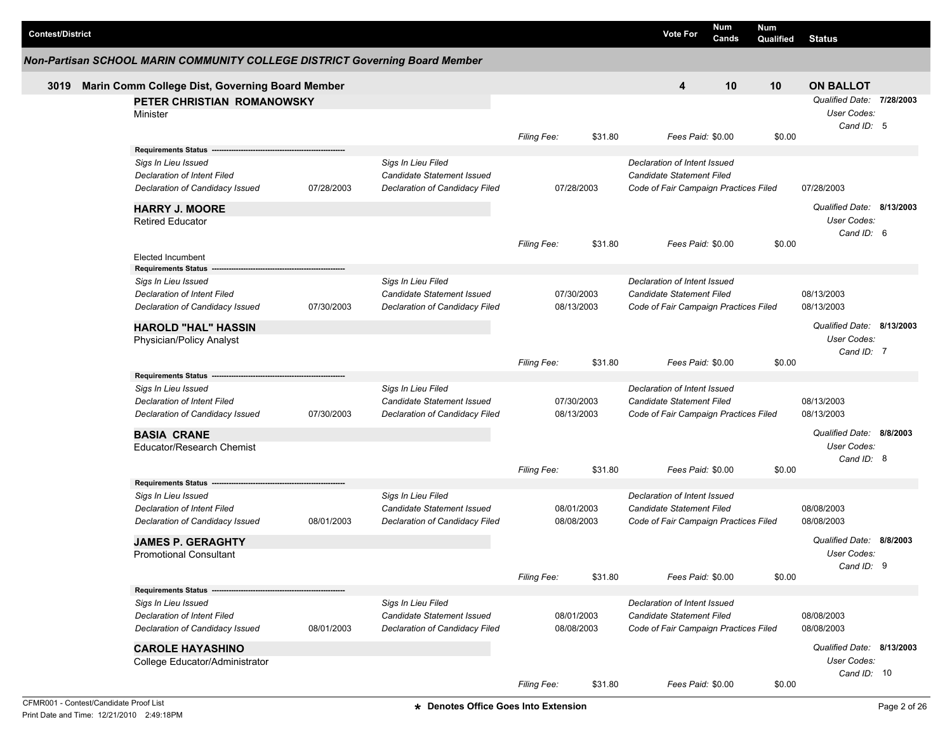| <b>Contest/District</b> |                                                                             |            |                                   |                    |                   | <b>Vote For</b>                       | <b>Num</b><br>Cands | <b>Num</b><br>Qualified | <b>Status</b>             |  |
|-------------------------|-----------------------------------------------------------------------------|------------|-----------------------------------|--------------------|-------------------|---------------------------------------|---------------------|-------------------------|---------------------------|--|
|                         | Non-Partisan SCHOOL MARIN COMMUNITY COLLEGE DISTRICT Governing Board Member |            |                                   |                    |                   |                                       |                     |                         |                           |  |
| 3019                    | Marin Comm College Dist, Governing Board Member                             |            |                                   |                    |                   | 4                                     | 10                  | 10                      | <b>ON BALLOT</b>          |  |
|                         | PETER CHRISTIAN ROMANOWSKY                                                  |            |                                   |                    |                   |                                       |                     |                         | Qualified Date: 7/28/2003 |  |
|                         | Minister                                                                    |            |                                   |                    |                   |                                       |                     |                         | User Codes:               |  |
|                         |                                                                             |            |                                   |                    |                   |                                       |                     |                         | Cand ID: 5                |  |
|                         |                                                                             |            |                                   | <b>Filing Fee:</b> | \$31.80           | Fees Paid: \$0.00                     |                     | \$0.00                  |                           |  |
|                         | Requirements Status --                                                      |            | Sigs In Lieu Filed                |                    |                   | Declaration of Intent Issued          |                     |                         |                           |  |
|                         | Sigs In Lieu Issued<br><b>Declaration of Intent Filed</b>                   |            | Candidate Statement Issued        |                    |                   | Candidate Statement Filed             |                     |                         |                           |  |
|                         | Declaration of Candidacy Issued                                             | 07/28/2003 | Declaration of Candidacy Filed    | 07/28/2003         |                   | Code of Fair Campaign Practices Filed |                     |                         | 07/28/2003                |  |
|                         |                                                                             |            |                                   |                    |                   |                                       |                     |                         |                           |  |
|                         | <b>HARRY J. MOORE</b>                                                       |            |                                   |                    |                   |                                       |                     |                         | Qualified Date: 8/13/2003 |  |
|                         | <b>Retired Educator</b>                                                     |            |                                   |                    |                   |                                       |                     |                         | User Codes:               |  |
|                         |                                                                             |            |                                   | <b>Filing Fee:</b> | \$31.80           | Fees Paid: \$0.00                     |                     | \$0.00                  | Cand ID: 6                |  |
|                         | Elected Incumbent                                                           |            |                                   |                    |                   |                                       |                     |                         |                           |  |
|                         | <b>Requirements Status</b>                                                  |            |                                   |                    |                   |                                       |                     |                         |                           |  |
|                         | Sigs In Lieu Issued                                                         |            | Sigs In Lieu Filed                |                    |                   | Declaration of Intent Issued          |                     |                         |                           |  |
|                         | <b>Declaration of Intent Filed</b>                                          |            | Candidate Statement Issued        | 07/30/2003         |                   | Candidate Statement Filed             |                     |                         | 08/13/2003                |  |
|                         | Declaration of Candidacy Issued                                             | 07/30/2003 | Declaration of Candidacy Filed    | 08/13/2003         |                   | Code of Fair Campaign Practices Filed |                     |                         | 08/13/2003                |  |
|                         | <b>HAROLD "HAL" HASSIN</b>                                                  |            |                                   |                    |                   |                                       |                     |                         | Qualified Date: 8/13/2003 |  |
|                         | Physician/Policy Analyst                                                    |            |                                   |                    |                   |                                       |                     |                         | User Codes:               |  |
|                         |                                                                             |            |                                   |                    |                   |                                       |                     |                         | Cand ID: 7                |  |
|                         |                                                                             |            |                                   | Filing Fee:        | \$31.80           | Fees Paid: \$0.00                     |                     | \$0.00                  |                           |  |
|                         | <b>Requirements Status</b>                                                  |            |                                   |                    |                   |                                       |                     |                         |                           |  |
|                         | Sigs In Lieu Issued                                                         |            | Sigs In Lieu Filed                |                    |                   | Declaration of Intent Issued          |                     |                         |                           |  |
|                         | Declaration of Intent Filed                                                 |            | Candidate Statement Issued        | 07/30/2003         |                   | Candidate Statement Filed             |                     |                         | 08/13/2003                |  |
|                         | Declaration of Candidacy Issued                                             | 07/30/2003 | Declaration of Candidacy Filed    | 08/13/2003         |                   | Code of Fair Campaign Practices Filed |                     |                         | 08/13/2003                |  |
|                         | <b>BASIA CRANE</b>                                                          |            |                                   |                    |                   |                                       |                     |                         | Qualified Date: 8/8/2003  |  |
|                         | Educator/Research Chemist                                                   |            |                                   |                    |                   |                                       |                     |                         | User Codes:               |  |
|                         |                                                                             |            |                                   |                    |                   |                                       |                     |                         | Cand ID: 8                |  |
|                         |                                                                             |            |                                   | <b>Filing Fee:</b> | \$31.80           | Fees Paid: \$0.00                     |                     | \$0.00                  |                           |  |
|                         | Requirements Status ---                                                     |            |                                   |                    |                   |                                       |                     |                         |                           |  |
|                         | Sigs In Lieu Issued                                                         |            | Sigs In Lieu Filed                |                    |                   | Declaration of Intent Issued          |                     |                         |                           |  |
|                         | <b>Declaration of Intent Filed</b>                                          |            | <b>Candidate Statement Issued</b> | 08/01/2003         |                   | Candidate Statement Filed             |                     |                         | 08/08/2003<br>08/08/2003  |  |
|                         | Declaration of Candidacy Issued                                             | 08/01/2003 | Declaration of Candidacy Filed    | 08/08/2003         |                   | Code of Fair Campaign Practices Filed |                     |                         |                           |  |
|                         | <b>JAMES P. GERAGHTY</b>                                                    |            |                                   |                    |                   |                                       |                     |                         | Qualified Date: 8/8/2003  |  |
|                         | <b>Promotional Consultant</b>                                               |            |                                   |                    |                   |                                       |                     |                         | User Codes:               |  |
|                         |                                                                             |            |                                   |                    |                   |                                       |                     |                         | Cand ID: 9                |  |
|                         | Requirements Status --                                                      |            | Filing Fee:                       | \$31.80            | Fees Paid: \$0.00 |                                       | \$0.00              |                         |                           |  |
|                         | Sigs In Lieu Issued                                                         |            | Sigs In Lieu Filed                |                    |                   | Declaration of Intent Issued          |                     |                         |                           |  |
|                         | <b>Declaration of Intent Filed</b>                                          |            | <b>Candidate Statement Issued</b> | 08/01/2003         |                   | Candidate Statement Filed             |                     |                         | 08/08/2003                |  |
|                         | Declaration of Candidacy Issued                                             | 08/01/2003 | Declaration of Candidacy Filed    | 08/08/2003         |                   | Code of Fair Campaign Practices Filed |                     |                         | 08/08/2003                |  |
|                         |                                                                             |            |                                   |                    |                   |                                       |                     |                         |                           |  |
|                         | <b>CAROLE HAYASHINO</b>                                                     |            |                                   |                    |                   |                                       |                     |                         | Qualified Date: 8/13/2003 |  |
|                         | College Educator/Administrator                                              |            |                                   |                    |                   |                                       |                     |                         | User Codes:               |  |
|                         |                                                                             |            |                                   | Filing Fee:        | \$31.80           | Fees Paid: \$0.00                     |                     | \$0.00                  | Cand ID: 10               |  |
|                         |                                                                             |            |                                   |                    |                   |                                       |                     |                         |                           |  |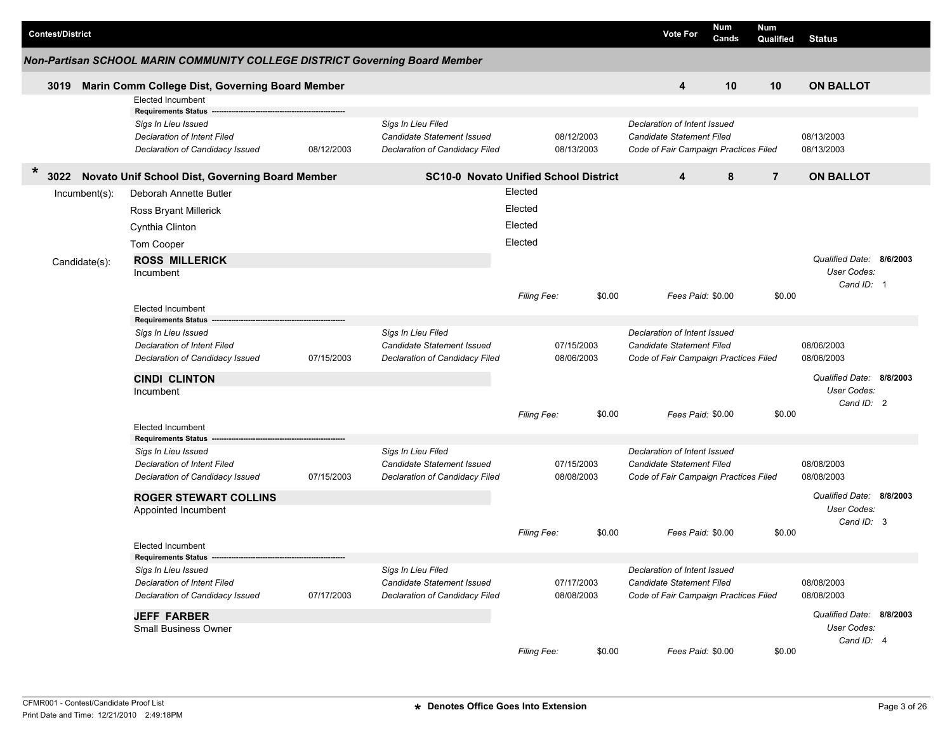| <b>Contest/District</b> |                                                                             |            |                                                              |                    |                          |        | <b>Vote For</b>                                                    | <b>Num</b><br>Cands | <b>Num</b><br>Qualified  | <b>Status</b>            |  |
|-------------------------|-----------------------------------------------------------------------------|------------|--------------------------------------------------------------|--------------------|--------------------------|--------|--------------------------------------------------------------------|---------------------|--------------------------|--------------------------|--|
|                         | Non-Partisan SCHOOL MARIN COMMUNITY COLLEGE DISTRICT Governing Board Member |            |                                                              |                    |                          |        |                                                                    |                     |                          |                          |  |
| 3019                    | Marin Comm College Dist, Governing Board Member                             |            |                                                              |                    |                          |        | 4                                                                  | 10                  | 10                       | <b>ON BALLOT</b>         |  |
|                         | Elected Incumbent                                                           |            |                                                              |                    |                          |        |                                                                    |                     |                          |                          |  |
|                         | <b>Requirements Status</b>                                                  |            |                                                              |                    |                          |        |                                                                    |                     |                          |                          |  |
|                         | Sigs In Lieu Issued                                                         |            | Sigs In Lieu Filed                                           |                    |                          |        | Declaration of Intent Issued                                       |                     |                          |                          |  |
|                         | Declaration of Intent Filed<br>Declaration of Candidacy Issued              | 08/12/2003 | Candidate Statement Issued<br>Declaration of Candidacy Filed |                    | 08/12/2003<br>08/13/2003 |        | Candidate Statement Filed<br>Code of Fair Campaign Practices Filed |                     |                          | 08/13/2003<br>08/13/2003 |  |
|                         |                                                                             |            |                                                              |                    |                          |        |                                                                    |                     |                          |                          |  |
| $\ast$<br>3022          | Novato Unif School Dist, Governing Board Member                             |            | <b>SC10-0 Novato Unified School District</b>                 |                    |                          |        | 4                                                                  | 8                   | $\overline{7}$           | <b>ON BALLOT</b>         |  |
| $Incumbent(s)$ :        | Deborah Annette Butler                                                      |            |                                                              | Elected            |                          |        |                                                                    |                     |                          |                          |  |
|                         | Ross Bryant Millerick                                                       |            |                                                              | Elected            |                          |        |                                                                    |                     |                          |                          |  |
|                         | Cynthia Clinton                                                             |            |                                                              | Elected            |                          |        |                                                                    |                     |                          |                          |  |
|                         | Tom Cooper                                                                  |            |                                                              | Elected            |                          |        |                                                                    |                     |                          |                          |  |
| Candidate(s):           | <b>ROSS MILLERICK</b>                                                       |            |                                                              |                    |                          |        |                                                                    |                     |                          | Qualified Date: 8/6/2003 |  |
|                         | Incumbent                                                                   |            |                                                              |                    |                          |        |                                                                    |                     |                          | User Codes:              |  |
|                         |                                                                             |            |                                                              |                    |                          |        |                                                                    |                     |                          | Cand ID: 1               |  |
|                         |                                                                             |            |                                                              | Filing Fee:        |                          | \$0.00 | Fees Paid: \$0.00                                                  |                     | \$0.00                   |                          |  |
|                         | <b>Elected Incumbent</b><br><b>Requirements Status</b>                      |            |                                                              |                    |                          |        |                                                                    |                     |                          |                          |  |
|                         | Sigs In Lieu Issued                                                         |            | Sigs In Lieu Filed                                           |                    |                          |        | Declaration of Intent Issued                                       |                     |                          |                          |  |
|                         | <b>Declaration of Intent Filed</b>                                          |            | Candidate Statement Issued                                   |                    | 07/15/2003               |        | Candidate Statement Filed                                          |                     |                          | 08/06/2003               |  |
|                         | Declaration of Candidacy Issued                                             | 07/15/2003 | Declaration of Candidacy Filed                               |                    | 08/06/2003               |        | Code of Fair Campaign Practices Filed                              |                     |                          | 08/06/2003               |  |
|                         | <b>CINDI CLINTON</b>                                                        |            |                                                              |                    |                          |        |                                                                    |                     |                          | Qualified Date: 8/8/2003 |  |
|                         | Incumbent                                                                   |            |                                                              |                    |                          |        |                                                                    |                     |                          | User Codes:              |  |
|                         |                                                                             |            |                                                              |                    |                          |        |                                                                    |                     |                          | Cand ID: 2               |  |
|                         |                                                                             |            |                                                              | Filing Fee:        |                          | \$0.00 | Fees Paid: \$0.00                                                  |                     | \$0.00                   |                          |  |
|                         | <b>Elected Incumbent</b><br><b>Requirements Status</b>                      |            |                                                              |                    |                          |        |                                                                    |                     |                          |                          |  |
|                         | Sigs In Lieu Issued                                                         |            | Sigs In Lieu Filed                                           |                    |                          |        | Declaration of Intent Issued                                       |                     |                          |                          |  |
|                         | Declaration of Intent Filed                                                 |            | Candidate Statement Issued                                   |                    | 07/15/2003               |        | Candidate Statement Filed                                          |                     |                          | 08/08/2003               |  |
|                         | Declaration of Candidacy Issued                                             | 07/15/2003 | Declaration of Candidacy Filed                               |                    | 08/08/2003               |        | Code of Fair Campaign Practices Filed                              |                     |                          | 08/08/2003               |  |
|                         | <b>ROGER STEWART COLLINS</b>                                                |            |                                                              |                    |                          |        |                                                                    |                     |                          | Qualified Date: 8/8/2003 |  |
|                         | Appointed Incumbent                                                         |            |                                                              |                    |                          |        |                                                                    |                     |                          | User Codes:              |  |
|                         |                                                                             |            |                                                              |                    |                          |        |                                                                    |                     |                          | Cand ID: 3               |  |
|                         |                                                                             |            |                                                              | <b>Filing Fee:</b> |                          | \$0.00 | Fees Paid: \$0.00                                                  |                     | \$0.00                   |                          |  |
|                         | Elected Incumbent                                                           |            |                                                              |                    |                          |        |                                                                    |                     |                          |                          |  |
|                         | <b>Requirements Status</b><br>Sigs In Lieu Issued                           |            | Sigs In Lieu Filed                                           |                    |                          |        | Declaration of Intent Issued                                       |                     |                          |                          |  |
|                         | Declaration of Intent Filed                                                 |            | Candidate Statement Issued                                   |                    | 07/17/2003               |        | Candidate Statement Filed                                          |                     |                          | 08/08/2003               |  |
|                         | 07/17/2003<br>Declaration of Candidacy Issued                               |            | Declaration of Candidacy Filed                               |                    | 08/08/2003               |        | Code of Fair Campaign Practices Filed                              |                     |                          | 08/08/2003               |  |
|                         |                                                                             |            |                                                              |                    |                          |        |                                                                    |                     | Qualified Date: 8/8/2003 |                          |  |
|                         | <b>JEFF FARBER</b><br>Small Business Owner                                  |            |                                                              |                    |                          |        |                                                                    |                     |                          | User Codes:              |  |
|                         |                                                                             |            |                                                              |                    |                          |        |                                                                    |                     |                          | Cand ID: 4               |  |
|                         |                                                                             |            |                                                              | Filing Fee:        |                          | \$0.00 | Fees Paid: \$0.00                                                  |                     | \$0.00                   |                          |  |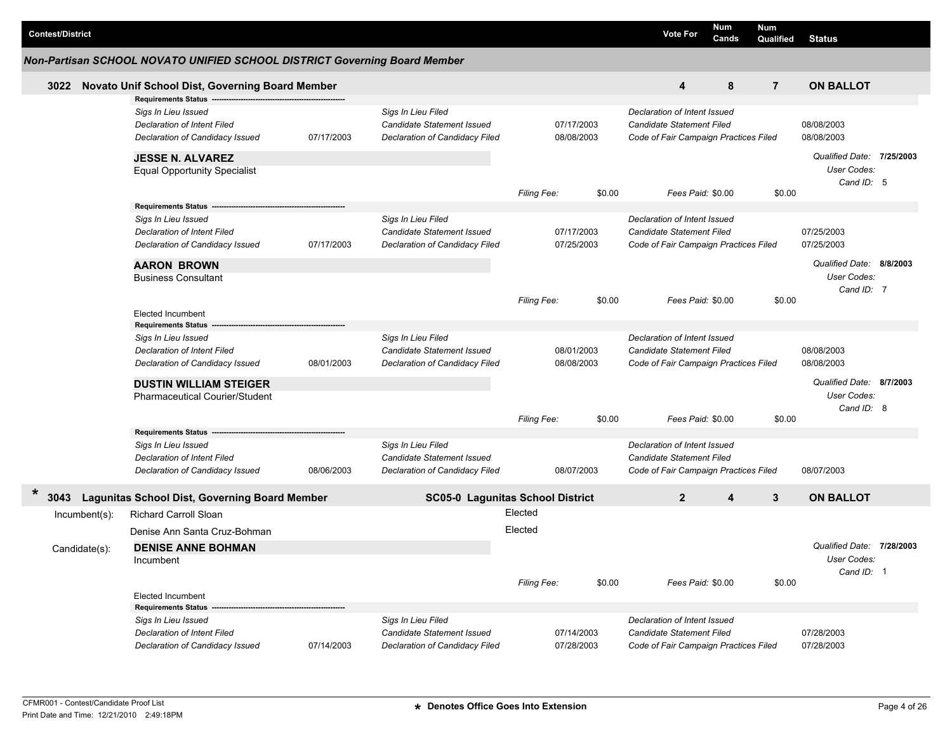| <b>Contest/District</b> |                                                                                                                                                        |            |                                                                                           |                          |                          |                                                                                                           | <b>Vote For</b>                                                                                           | Num<br>Cands | <b>Num</b><br>Qualified  | <b>Status</b>                                          |  |
|-------------------------|--------------------------------------------------------------------------------------------------------------------------------------------------------|------------|-------------------------------------------------------------------------------------------|--------------------------|--------------------------|-----------------------------------------------------------------------------------------------------------|-----------------------------------------------------------------------------------------------------------|--------------|--------------------------|--------------------------------------------------------|--|
|                         | Non-Partisan SCHOOL NOVATO UNIFIED SCHOOL DISTRICT Governing Board Member                                                                              |            |                                                                                           |                          |                          |                                                                                                           |                                                                                                           |              |                          |                                                        |  |
| 3022                    | Novato Unif School Dist, Governing Board Member                                                                                                        |            |                                                                                           |                          |                          |                                                                                                           | 4                                                                                                         | 8            | $\overline{7}$           | <b>ON BALLOT</b>                                       |  |
|                         | Requirements Status -<br>Sigs In Lieu Issued<br><b>Declaration of Intent Filed</b><br>Declaration of Candidacy Issued                                  | 07/17/2003 | Sigs In Lieu Filed<br>Candidate Statement Issued<br>Declaration of Candidacy Filed        |                          | 07/17/2003<br>08/08/2003 |                                                                                                           | Declaration of Intent Issued<br>Candidate Statement Filed<br>Code of Fair Campaign Practices Filed        |              |                          | 08/08/2003<br>08/08/2003                               |  |
|                         | <b>JESSE N. ALVAREZ</b><br><b>Equal Opportunity Specialist</b>                                                                                         |            |                                                                                           | <b>Filing Fee:</b>       |                          | \$0.00                                                                                                    | Fees Paid: \$0.00                                                                                         |              | \$0.00                   | Qualified Date: 7/25/2003<br>User Codes:<br>Cand ID: 5 |  |
|                         | <b>Requirements Status</b><br>Sigs In Lieu Issued<br>Declaration of Intent Filed<br>Declaration of Candidacy Issued                                    | 07/17/2003 | Sigs In Lieu Filed<br>Candidate Statement Issued<br>Declaration of Candidacy Filed        | 07/17/2003<br>07/25/2003 |                          | Declaration of Intent Issued<br>Candidate Statement Filed<br>Code of Fair Campaign Practices Filed        |                                                                                                           |              | 07/25/2003<br>07/25/2003 |                                                        |  |
|                         | <b>AARON BROWN</b><br><b>Business Consultant</b>                                                                                                       |            |                                                                                           | Filing Fee:              |                          | \$0.00                                                                                                    | Fees Paid: \$0.00                                                                                         |              | \$0.00                   | Qualified Date: 8/8/2003<br>User Codes:<br>Cand ID: 7  |  |
|                         | <b>Elected Incumbent</b><br><b>Requirements Status</b>                                                                                                 |            |                                                                                           |                          |                          |                                                                                                           |                                                                                                           |              |                          |                                                        |  |
|                         | Sigs In Lieu Issued<br>Declaration of Intent Filed<br>Declaration of Candidacy Issued                                                                  | 08/01/2003 | Sigs In Lieu Filed<br>Candidate Statement Issued<br>Declaration of Candidacy Filed        | 08/01/2003<br>08/08/2003 |                          | Declaration of Intent Issued<br><b>Candidate Statement Filed</b><br>Code of Fair Campaign Practices Filed |                                                                                                           |              | 08/08/2003<br>08/08/2003 |                                                        |  |
|                         | <b>DUSTIN WILLIAM STEIGER</b><br><b>Pharmaceutical Courier/Student</b>                                                                                 |            |                                                                                           | <b>Filing Fee:</b>       |                          | \$0.00                                                                                                    | Fees Paid: \$0.00                                                                                         |              | \$0.00                   | Qualified Date: 8/7/2003<br>User Codes:<br>Cand ID: 8  |  |
|                         | <b>Requirements Status</b><br>Sigs In Lieu Issued<br>Declaration of Intent Filed<br>Declaration of Candidacy Issued                                    | 08/06/2003 | Sigs In Lieu Filed<br><b>Candidate Statement Issued</b><br>Declaration of Candidacy Filed |                          | 08/07/2003               |                                                                                                           | Declaration of Intent Issued<br>Candidate Statement Filed<br>Code of Fair Campaign Practices Filed        |              |                          | 08/07/2003                                             |  |
| 3043                    | <b>Lagunitas School Dist, Governing Board Member</b>                                                                                                   |            | SC05-0 Lagunitas School District                                                          |                          |                          |                                                                                                           | $\overline{2}$                                                                                            | 4            | 3                        | <b>ON BALLOT</b>                                       |  |
| $Incumbent(s)$ :        | Richard Carroll Sloan<br>Denise Ann Santa Cruz-Bohman                                                                                                  |            |                                                                                           | Elected<br>Elected       |                          |                                                                                                           |                                                                                                           |              |                          |                                                        |  |
| Candidate(s):           | <b>DENISE ANNE BOHMAN</b><br>Incumbent                                                                                                                 |            |                                                                                           | Filing Fee:              |                          | \$0.00                                                                                                    | Fees Paid: \$0.00                                                                                         |              | \$0.00                   | Qualified Date: 7/28/2003<br>User Codes:<br>Cand ID: 1 |  |
|                         | <b>Elected Incumbent</b><br><b>Requirements Status</b><br>Sigs In Lieu Issued<br><b>Declaration of Intent Filed</b><br>Declaration of Candidacy Issued | 07/14/2003 | Sigs In Lieu Filed<br>Candidate Statement Issued<br>Declaration of Candidacy Filed        | 07/14/2003<br>07/28/2003 |                          |                                                                                                           | Declaration of Intent Issued<br><b>Candidate Statement Filed</b><br>Code of Fair Campaign Practices Filed |              |                          | 07/28/2003<br>07/28/2003                               |  |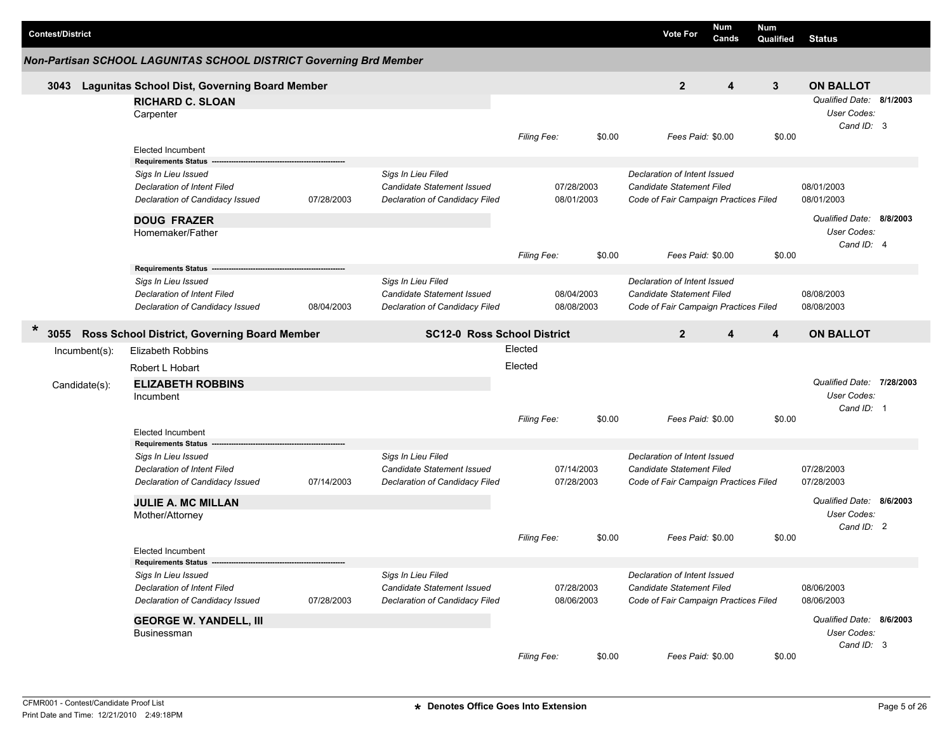| <b>Contest/District</b>                                        |                                                                    |            |                                   |                          |                                       | <b>Vote For</b>                       | <b>Num</b><br>Cands | <b>Num</b><br>Qualified | <b>Status</b>                                         |  |
|----------------------------------------------------------------|--------------------------------------------------------------------|------------|-----------------------------------|--------------------------|---------------------------------------|---------------------------------------|---------------------|-------------------------|-------------------------------------------------------|--|
|                                                                | Non-Partisan SCHOOL LAGUNITAS SCHOOL DISTRICT Governing Brd Member |            |                                   |                          |                                       |                                       |                     |                         |                                                       |  |
| 3043                                                           | <b>Lagunitas School Dist, Governing Board Member</b>               |            |                                   |                          |                                       | $\overline{2}$                        | 4                   | $\mathbf{3}$            | <b>ON BALLOT</b>                                      |  |
|                                                                | <b>RICHARD C. SLOAN</b><br>Carpenter                               |            |                                   |                          |                                       |                                       |                     |                         | Qualified Date: 8/1/2003<br>User Codes:<br>Cand ID: 3 |  |
|                                                                | <b>Elected Incumbent</b>                                           |            |                                   | Filing Fee:              | \$0.00                                | Fees Paid: \$0.00                     |                     | \$0.00                  |                                                       |  |
|                                                                | <b>Requirements Status</b>                                         |            |                                   |                          |                                       |                                       |                     |                         |                                                       |  |
|                                                                | Sigs In Lieu Issued                                                |            | Sigs In Lieu Filed                |                          |                                       | Declaration of Intent Issued          |                     |                         |                                                       |  |
|                                                                | <b>Declaration of Intent Filed</b>                                 |            | <b>Candidate Statement Issued</b> |                          | 07/28/2003                            | Candidate Statement Filed             |                     |                         | 08/01/2003                                            |  |
|                                                                | Declaration of Candidacy Issued                                    | 07/28/2003 | Declaration of Candidacy Filed    |                          | 08/01/2003                            | Code of Fair Campaign Practices Filed |                     |                         | 08/01/2003                                            |  |
|                                                                | <b>DOUG FRAZER</b>                                                 |            |                                   |                          |                                       |                                       |                     |                         | Qualified Date: 8/8/2003                              |  |
|                                                                | Homemaker/Father                                                   |            |                                   |                          |                                       |                                       |                     |                         | User Codes:                                           |  |
|                                                                |                                                                    |            |                                   | Filing Fee:              | \$0.00                                | Fees Paid: \$0.00                     |                     | \$0.00                  | Cand ID: 4                                            |  |
|                                                                | <b>Requirements Status</b>                                         |            |                                   |                          |                                       |                                       |                     |                         |                                                       |  |
|                                                                | Sigs In Lieu Issued                                                |            | Sigs In Lieu Filed                |                          |                                       | Declaration of Intent Issued          |                     |                         |                                                       |  |
|                                                                | <b>Declaration of Intent Filed</b>                                 |            | <b>Candidate Statement Issued</b> |                          | 08/04/2003                            | Candidate Statement Filed             |                     |                         | 08/08/2003                                            |  |
|                                                                | Declaration of Candidacy Issued                                    | 08/04/2003 | Declaration of Candidacy Filed    |                          | 08/08/2003                            | Code of Fair Campaign Practices Filed |                     |                         | 08/08/2003                                            |  |
| $\ast$<br>Ross School District, Governing Board Member<br>3055 | <b>SC12-0 Ross School District</b>                                 |            |                                   | $\overline{2}$           | 4                                     | 4                                     | <b>ON BALLOT</b>    |                         |                                                       |  |
| $Incumbent(s)$ :                                               | <b>Elizabeth Robbins</b>                                           |            |                                   | Elected                  |                                       |                                       |                     |                         |                                                       |  |
|                                                                | Robert L Hobart                                                    |            |                                   | Elected                  |                                       |                                       |                     |                         |                                                       |  |
| Candidate(s):                                                  | <b>ELIZABETH ROBBINS</b>                                           |            |                                   |                          |                                       |                                       |                     |                         | Qualified Date: 7/28/2003                             |  |
|                                                                | Incumbent                                                          |            |                                   |                          |                                       |                                       |                     |                         | User Codes:                                           |  |
|                                                                |                                                                    |            |                                   | Filing Fee:              | \$0.00                                | Fees Paid: \$0.00                     |                     | \$0.00                  | Cand ID: 1                                            |  |
|                                                                | <b>Elected Incumbent</b>                                           |            |                                   |                          |                                       |                                       |                     |                         |                                                       |  |
|                                                                | <b>Requirements Status</b>                                         |            |                                   |                          |                                       |                                       |                     |                         |                                                       |  |
|                                                                | Sigs In Lieu Issued                                                |            | Sigs In Lieu Filed                |                          |                                       | Declaration of Intent Issued          |                     |                         |                                                       |  |
|                                                                | Declaration of Intent Filed                                        |            | Candidate Statement Issued        |                          | 07/14/2003                            | Candidate Statement Filed             |                     |                         | 07/28/2003                                            |  |
|                                                                | Declaration of Candidacy Issued                                    | 07/14/2003 | Declaration of Candidacy Filed    |                          | 07/28/2003                            | Code of Fair Campaign Practices Filed |                     |                         | 07/28/2003                                            |  |
|                                                                | <b>JULIE A. MC MILLAN</b>                                          |            |                                   |                          |                                       |                                       |                     |                         | Qualified Date: 8/6/2003                              |  |
|                                                                | Mother/Attorney                                                    |            |                                   |                          |                                       |                                       |                     |                         | User Codes:                                           |  |
|                                                                |                                                                    |            |                                   |                          |                                       |                                       |                     |                         | Cand ID: 2                                            |  |
|                                                                |                                                                    |            |                                   | <b>Filing Fee:</b>       | \$0.00                                | Fees Paid: \$0.00                     |                     | \$0.00                  |                                                       |  |
|                                                                | <b>Elected Incumbent</b><br>Requirements Status -------            |            |                                   |                          |                                       |                                       |                     |                         |                                                       |  |
|                                                                | Sigs In Lieu Issued                                                |            | Sigs In Lieu Filed                |                          |                                       | Declaration of Intent Issued          |                     |                         |                                                       |  |
|                                                                | Declaration of Intent Filed                                        |            | <b>Candidate Statement Issued</b> | 07/28/2003<br>08/06/2003 | Candidate Statement Filed             |                                       |                     | 08/06/2003              |                                                       |  |
|                                                                | Declaration of Candidacy Issued                                    | 07/28/2003 | Declaration of Candidacy Filed    |                          | Code of Fair Campaign Practices Filed |                                       |                     | 08/06/2003              |                                                       |  |
|                                                                | <b>GEORGE W. YANDELL, III</b>                                      |            |                                   |                          |                                       |                                       |                     |                         | Qualified Date: 8/6/2003                              |  |
|                                                                | Businessman                                                        |            |                                   |                          |                                       |                                       |                     |                         | User Codes:                                           |  |
|                                                                |                                                                    |            |                                   |                          |                                       |                                       |                     |                         | Cand ID: 3                                            |  |
|                                                                |                                                                    |            |                                   | Filing Fee:              | \$0.00                                | Fees Paid: \$0.00                     |                     | \$0.00                  |                                                       |  |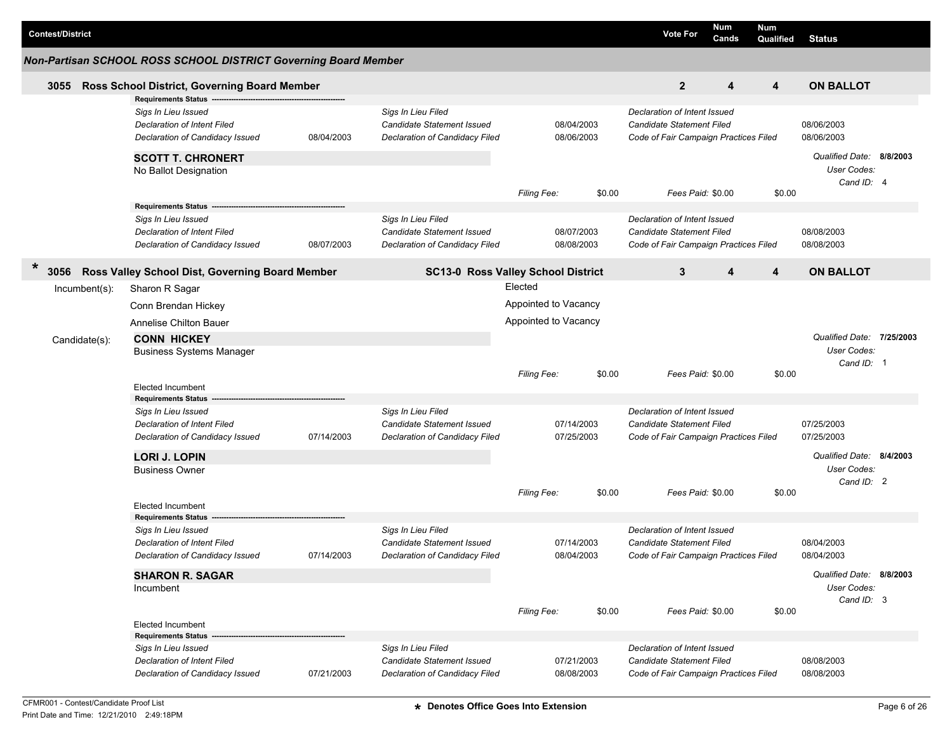| <b>Contest/District</b> |                                                                                                                            |            |                                                                                           |                      |                          | <b>Vote For</b>                                                                                    | Num<br>Cands | <b>Num</b><br>Qualified | <b>Status</b>                                          |  |
|-------------------------|----------------------------------------------------------------------------------------------------------------------------|------------|-------------------------------------------------------------------------------------------|----------------------|--------------------------|----------------------------------------------------------------------------------------------------|--------------|-------------------------|--------------------------------------------------------|--|
|                         | Non-Partisan SCHOOL ROSS SCHOOL DISTRICT Governing Board Member                                                            |            |                                                                                           |                      |                          |                                                                                                    |              |                         |                                                        |  |
| 3055                    | Ross School District, Governing Board Member                                                                               |            |                                                                                           |                      |                          | $\overline{2}$                                                                                     | 4            | 4                       | <b>ON BALLOT</b>                                       |  |
|                         | <b>Requirements Status</b><br>Sigs In Lieu Issued<br>Declaration of Intent Filed<br>Declaration of Candidacy Issued        | 08/04/2003 | Sigs In Lieu Filed<br>Candidate Statement Issued<br>Declaration of Candidacy Filed        |                      | 08/04/2003<br>08/06/2003 | Declaration of Intent Issued<br>Candidate Statement Filed<br>Code of Fair Campaign Practices Filed |              |                         | 08/06/2003<br>08/06/2003                               |  |
|                         | <b>SCOTT T. CHRONERT</b><br>No Ballot Designation                                                                          |            |                                                                                           |                      |                          |                                                                                                    |              |                         | Qualified Date: 8/8/2003<br>User Codes:<br>Cand ID: 4  |  |
|                         | Requirements Status -------                                                                                                |            |                                                                                           | Filing Fee:          | \$0.00                   | Fees Paid: \$0.00                                                                                  |              | \$0.00                  |                                                        |  |
|                         | Sigs In Lieu Issued<br><b>Declaration of Intent Filed</b><br>Declaration of Candidacy Issued                               | 08/07/2003 | Sigs In Lieu Filed<br>Candidate Statement Issued<br>Declaration of Candidacy Filed        |                      | 08/07/2003<br>08/08/2003 | Declaration of Intent Issued<br>Candidate Statement Filed<br>Code of Fair Campaign Practices Filed |              |                         | 08/08/2003<br>08/08/2003                               |  |
| $\ast$<br>3056          | Ross Valley School Dist, Governing Board Member                                                                            |            | SC13-0 Ross Valley School District                                                        |                      |                          | 3                                                                                                  | 4            | $\overline{4}$          | <b>ON BALLOT</b>                                       |  |
| Incumbent(s):           | Sharon R Sagar                                                                                                             |            |                                                                                           | Elected              |                          |                                                                                                    |              |                         |                                                        |  |
|                         | Conn Brendan Hickey                                                                                                        |            |                                                                                           | Appointed to Vacancy |                          |                                                                                                    |              |                         |                                                        |  |
|                         | Annelise Chilton Bauer                                                                                                     |            |                                                                                           | Appointed to Vacancy |                          |                                                                                                    |              |                         |                                                        |  |
| Candidate(s):           | <b>CONN HICKEY</b><br><b>Business Systems Manager</b>                                                                      |            |                                                                                           |                      |                          |                                                                                                    |              |                         | Qualified Date: 7/25/2003<br>User Codes:<br>Cand ID: 1 |  |
|                         |                                                                                                                            |            |                                                                                           | Filing Fee:          | \$0.00                   | Fees Paid: \$0.00                                                                                  |              | \$0.00                  |                                                        |  |
|                         | <b>Elected Incumbent</b><br><b>Requirements Status</b>                                                                     |            |                                                                                           |                      |                          |                                                                                                    |              |                         |                                                        |  |
|                         | Sigs In Lieu Issued<br><b>Declaration of Intent Filed</b><br>Declaration of Candidacy Issued                               | 07/14/2003 | Sigs In Lieu Filed<br><b>Candidate Statement Issued</b><br>Declaration of Candidacy Filed |                      | 07/14/2003<br>07/25/2003 | Declaration of Intent Issued<br>Candidate Statement Filed<br>Code of Fair Campaign Practices Filed |              |                         | 07/25/2003<br>07/25/2003                               |  |
|                         | <b>LORI J. LOPIN</b><br><b>Business Owner</b>                                                                              |            |                                                                                           |                      |                          |                                                                                                    |              |                         | Qualified Date: 8/4/2003<br>User Codes:<br>Cand ID: 2  |  |
|                         | <b>Elected Incumbent</b>                                                                                                   |            |                                                                                           | Filing Fee:          | \$0.00                   | Fees Paid: \$0.00                                                                                  |              | \$0.00                  |                                                        |  |
|                         | <b>Requirements Status</b><br>Sigs In Lieu Issued<br><b>Declaration of Intent Filed</b><br>Declaration of Candidacy Issued | 07/14/2003 | Sigs In Lieu Filed<br>Candidate Statement Issued<br>Declaration of Candidacy Filed        |                      | 07/14/2003<br>08/04/2003 | Declaration of Intent Issued<br>Candidate Statement Filed<br>Code of Fair Campaign Practices Filed |              |                         | 08/04/2003<br>08/04/2003                               |  |
|                         | <b>SHARON R. SAGAR</b><br>Incumbent                                                                                        |            |                                                                                           |                      |                          |                                                                                                    |              |                         | Qualified Date: 8/8/2003<br>User Codes:<br>Cand ID: 3  |  |
|                         | <b>Elected Incumbent</b><br>Requirements Status --                                                                         |            |                                                                                           | Filing Fee:          | \$0.00                   | Fees Paid: \$0.00                                                                                  |              | \$0.00                  |                                                        |  |
|                         | Sigs In Lieu Issued<br>Declaration of Intent Filed<br>Declaration of Candidacy Issued                                      | 07/21/2003 | Sigs In Lieu Filed<br><b>Candidate Statement Issued</b><br>Declaration of Candidacy Filed |                      | 07/21/2003<br>08/08/2003 | Declaration of Intent Issued<br>Candidate Statement Filed<br>Code of Fair Campaign Practices Filed |              |                         | 08/08/2003<br>08/08/2003                               |  |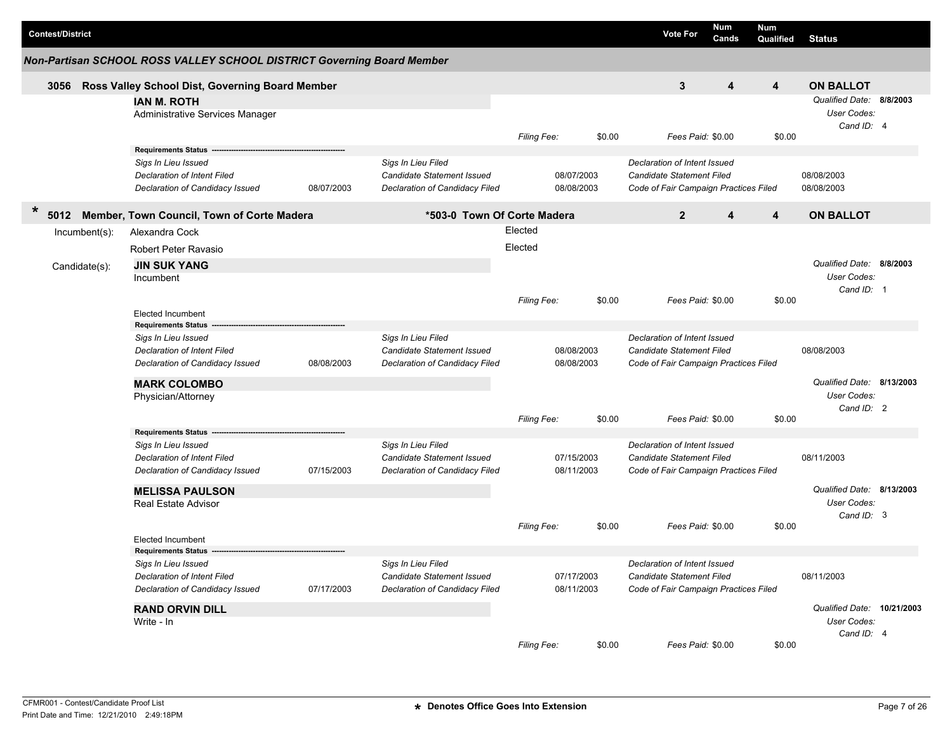| <b>Contest/District</b> |                                                                                                                                   |                                                                                           |                                                                                    |                              |                          |                                                                                                    | <b>Vote For</b>                                                                                           | <b>Num</b><br>Cands | Num<br>Qualified | <b>Status</b>                                           |  |
|-------------------------|-----------------------------------------------------------------------------------------------------------------------------------|-------------------------------------------------------------------------------------------|------------------------------------------------------------------------------------|------------------------------|--------------------------|----------------------------------------------------------------------------------------------------|-----------------------------------------------------------------------------------------------------------|---------------------|------------------|---------------------------------------------------------|--|
|                         | Non-Partisan SCHOOL ROSS VALLEY SCHOOL DISTRICT Governing Board Member                                                            |                                                                                           |                                                                                    |                              |                          |                                                                                                    |                                                                                                           |                     |                  |                                                         |  |
|                         | 3056 Ross Valley School Dist, Governing Board Member                                                                              |                                                                                           |                                                                                    |                              |                          |                                                                                                    | 3                                                                                                         | 4                   | 4                | <b>ON BALLOT</b>                                        |  |
|                         | <b>IAN M. ROTH</b><br>Administrative Services Manager                                                                             |                                                                                           |                                                                                    | Filing Fee:                  |                          | \$0.00                                                                                             | Fees Paid: \$0.00                                                                                         |                     | \$0.00           | Qualified Date: 8/8/2003<br>User Codes:<br>Cand ID: 4   |  |
|                         | <b>Requirements Status</b><br>Sigs In Lieu Issued<br>Declaration of Intent Filed<br>Declaration of Candidacy Issued               | 08/07/2003                                                                                | Sigs In Lieu Filed<br>Candidate Statement Issued<br>Declaration of Candidacy Filed |                              | 08/07/2003<br>08/08/2003 |                                                                                                    | Declaration of Intent Issued<br><b>Candidate Statement Filed</b><br>Code of Fair Campaign Practices Filed |                     |                  | 08/08/2003<br>08/08/2003                                |  |
| $\ast$<br>5012          | Member, Town Council, Town of Corte Madera                                                                                        |                                                                                           | *503-0 Town Of Corte Madera                                                        |                              |                          |                                                                                                    | $\overline{2}$                                                                                            | 4                   | 4                | <b>ON BALLOT</b>                                        |  |
| $Incumbent(s)$ :        | Alexandra Cock                                                                                                                    |                                                                                           |                                                                                    | Elected                      |                          |                                                                                                    |                                                                                                           |                     |                  |                                                         |  |
| Candidate(s):           | Robert Peter Ravasio<br><b>JIN SUK YANG</b><br>Incumbent                                                                          |                                                                                           |                                                                                    | Elected                      |                          |                                                                                                    |                                                                                                           |                     |                  | Qualified Date: 8/8/2003<br>User Codes:<br>Cand ID: 1   |  |
|                         | <b>Elected Incumbent</b>                                                                                                          |                                                                                           |                                                                                    | Filing Fee:                  |                          | \$0.00                                                                                             | Fees Paid: \$0.00                                                                                         |                     | \$0.00           |                                                         |  |
|                         | <b>Requirements Status</b><br>Sigs In Lieu Issued<br>Declaration of Intent Filed<br>Declaration of Candidacy Issued<br>08/08/2003 |                                                                                           | Sigs In Lieu Filed<br>Candidate Statement Issued<br>Declaration of Candidacy Filed |                              | 08/08/2003<br>08/08/2003 |                                                                                                    | Declaration of Intent Issued<br><b>Candidate Statement Filed</b><br>Code of Fair Campaign Practices Filed |                     |                  | 08/08/2003                                              |  |
|                         | <b>MARK COLOMBO</b><br>Physician/Attorney                                                                                         |                                                                                           |                                                                                    | Filing Fee:                  |                          | \$0.00                                                                                             | Fees Paid: \$0.00                                                                                         |                     | \$0.00           | Qualified Date: 8/13/2003<br>User Codes:<br>Cand ID: 2  |  |
|                         | <b>Requirements Status</b>                                                                                                        |                                                                                           |                                                                                    |                              |                          |                                                                                                    |                                                                                                           |                     |                  |                                                         |  |
|                         | Sigs In Lieu Issued<br>Declaration of Intent Filed<br>Declaration of Candidacy Issued                                             | 07/15/2003                                                                                | Sigs In Lieu Filed<br>Candidate Statement Issued<br>Declaration of Candidacy Filed |                              | 07/15/2003<br>08/11/2003 |                                                                                                    | Declaration of Intent Issued<br><b>Candidate Statement Filed</b><br>Code of Fair Campaign Practices Filed |                     |                  | 08/11/2003                                              |  |
|                         | <b>MELISSA PAULSON</b><br><b>Real Estate Advisor</b>                                                                              |                                                                                           |                                                                                    |                              |                          |                                                                                                    |                                                                                                           |                     |                  | Qualified Date: 8/13/2003<br>User Codes:<br>Cand ID: 3  |  |
|                         | <b>Elected Incumbent</b><br><b>Requirements Status</b>                                                                            |                                                                                           |                                                                                    | \$0.00<br><b>Filing Fee:</b> |                          | Fees Paid: \$0.00                                                                                  |                                                                                                           | \$0.00              |                  |                                                         |  |
|                         | Sigs In Lieu Issued<br>Declaration of Intent Filed<br>Declaration of Candidacy Issued<br>07/17/2003                               | Sigs In Lieu Filed<br><b>Candidate Statement Issued</b><br>Declaration of Candidacy Filed |                                                                                    | 07/17/2003<br>08/11/2003     |                          | Declaration of Intent Issued<br>Candidate Statement Filed<br>Code of Fair Campaign Practices Filed |                                                                                                           |                     | 08/11/2003       |                                                         |  |
|                         | <b>RAND ORVIN DILL</b><br>Write - In                                                                                              |                                                                                           |                                                                                    |                              |                          |                                                                                                    |                                                                                                           |                     |                  | Qualified Date: 10/21/2003<br>User Codes:<br>Cand ID: 4 |  |
|                         |                                                                                                                                   |                                                                                           |                                                                                    | Filing Fee:                  |                          | \$0.00                                                                                             | Fees Paid: \$0.00                                                                                         |                     | \$0.00           |                                                         |  |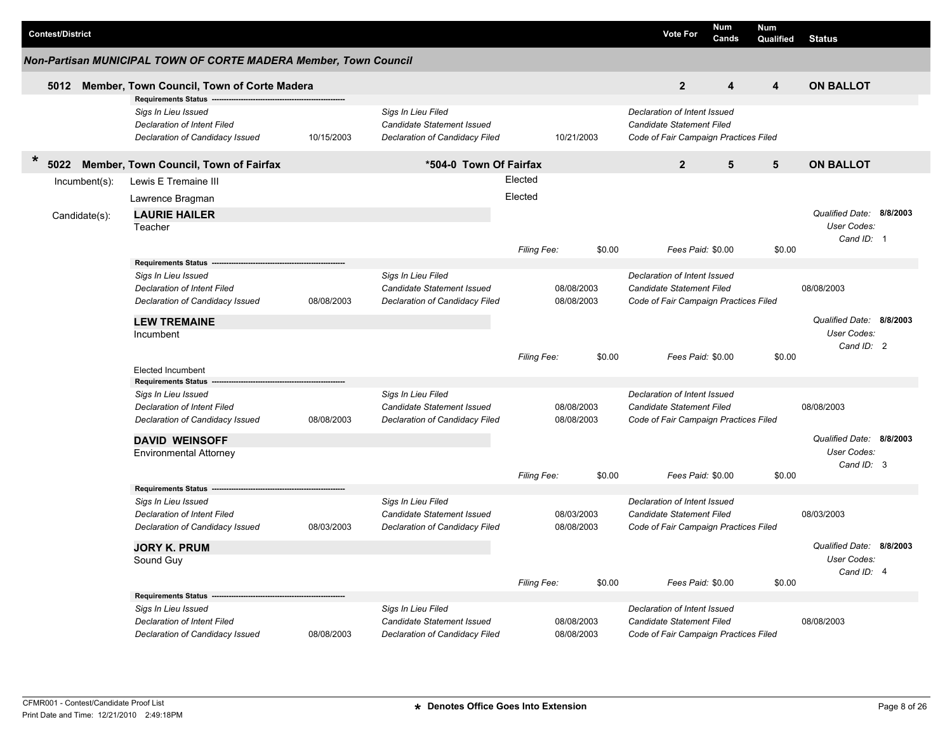|        | <b>Contest/District</b> |                                 |                                                                                                                     |                                |                                                                                    |         |                          |                                       | <b>Vote For</b>                                                                                           | Num<br>Cands             | <b>Num</b><br>Qualified | <b>Status</b>             |  |
|--------|-------------------------|---------------------------------|---------------------------------------------------------------------------------------------------------------------|--------------------------------|------------------------------------------------------------------------------------|---------|--------------------------|---------------------------------------|-----------------------------------------------------------------------------------------------------------|--------------------------|-------------------------|---------------------------|--|
|        |                         |                                 | Non-Partisan MUNICIPAL TOWN OF CORTE MADERA Member, Town Council                                                    |                                |                                                                                    |         |                          |                                       |                                                                                                           |                          |                         |                           |  |
|        | 5012                    |                                 | Member, Town Council, Town of Corte Madera                                                                          |                                |                                                                                    |         |                          |                                       | $\overline{2}$                                                                                            | 4                        | $\overline{\mathbf{4}}$ | <b>ON BALLOT</b>          |  |
|        |                         |                                 | <b>Requirements Status</b><br>Sigs In Lieu Issued<br>Declaration of Intent Filed<br>Declaration of Candidacy Issued | 10/15/2003                     | Sigs In Lieu Filed<br>Candidate Statement Issued<br>Declaration of Candidacy Filed |         | 10/21/2003               |                                       | Declaration of Intent Issued<br><b>Candidate Statement Filed</b><br>Code of Fair Campaign Practices Filed |                          |                         |                           |  |
| $\ast$ | 5022                    |                                 | Member, Town Council, Town of Fairfax                                                                               |                                | *504-0 Town Of Fairfax                                                             |         |                          |                                       | $\overline{2}$                                                                                            | 5                        | 5                       | <b>ON BALLOT</b>          |  |
|        |                         | $Incumbent(s)$ :                | Lewis E Tremaine III                                                                                                |                                |                                                                                    | Elected |                          |                                       |                                                                                                           |                          |                         |                           |  |
|        |                         |                                 | Lawrence Bragman                                                                                                    |                                |                                                                                    | Elected |                          |                                       |                                                                                                           |                          |                         |                           |  |
|        |                         | Candidate(s):                   | <b>LAURIE HAILER</b>                                                                                                |                                |                                                                                    |         |                          |                                       |                                                                                                           |                          |                         | Qualified Date: 8/8/2003  |  |
|        |                         |                                 | Teacher                                                                                                             |                                |                                                                                    |         |                          |                                       |                                                                                                           |                          |                         | User Codes:               |  |
|        |                         |                                 |                                                                                                                     |                                |                                                                                    |         |                          |                                       |                                                                                                           |                          |                         | Cand ID: 1                |  |
|        |                         |                                 |                                                                                                                     |                                |                                                                                    |         | Filing Fee:              | \$0.00                                | Fees Paid: \$0.00                                                                                         |                          | \$0.00                  |                           |  |
|        |                         |                                 | <b>Requirements Status</b>                                                                                          |                                | Sigs In Lieu Filed                                                                 |         |                          |                                       |                                                                                                           |                          |                         |                           |  |
|        |                         |                                 | Sigs In Lieu Issued<br>Declaration of Intent Filed                                                                  |                                | Candidate Statement Issued                                                         |         | 08/08/2003               |                                       | Declaration of Intent Issued<br>Candidate Statement Filed                                                 |                          |                         | 08/08/2003                |  |
|        |                         |                                 | Declaration of Candidacy Issued                                                                                     | 08/08/2003                     | Declaration of Candidacy Filed                                                     |         | 08/08/2003               |                                       | Code of Fair Campaign Practices Filed                                                                     |                          |                         |                           |  |
|        |                         |                                 |                                                                                                                     |                                |                                                                                    |         |                          |                                       |                                                                                                           |                          |                         |                           |  |
|        | <b>LEW TREMAINE</b>     |                                 |                                                                                                                     |                                |                                                                                    |         |                          |                                       |                                                                                                           | Qualified Date: 8/8/2003 |                         |                           |  |
|        |                         |                                 | Incumbent                                                                                                           |                                |                                                                                    |         |                          |                                       |                                                                                                           |                          |                         | User Codes:<br>Cand ID: 2 |  |
|        |                         |                                 |                                                                                                                     |                                |                                                                                    |         | Filing Fee:              | \$0.00                                | Fees Paid: \$0.00                                                                                         |                          | \$0.00                  |                           |  |
|        |                         |                                 | <b>Elected Incumbent</b>                                                                                            |                                |                                                                                    |         |                          |                                       |                                                                                                           |                          |                         |                           |  |
|        |                         |                                 | <b>Requirements Status</b>                                                                                          |                                |                                                                                    |         |                          |                                       |                                                                                                           |                          |                         |                           |  |
|        |                         |                                 | Sigs In Lieu Issued                                                                                                 |                                | Sigs In Lieu Filed                                                                 |         |                          |                                       | Declaration of Intent Issued                                                                              |                          |                         |                           |  |
|        |                         |                                 | Declaration of Intent Filed                                                                                         |                                | Candidate Statement Issued                                                         |         | 08/08/2003               |                                       | <b>Candidate Statement Filed</b>                                                                          |                          |                         | 08/08/2003                |  |
|        |                         |                                 | Declaration of Candidacy Issued                                                                                     | 08/08/2003                     | Declaration of Candidacy Filed                                                     |         | 08/08/2003               |                                       | Code of Fair Campaign Practices Filed                                                                     |                          |                         |                           |  |
|        |                         |                                 | <b>DAVID WEINSOFF</b>                                                                                               |                                |                                                                                    |         |                          |                                       |                                                                                                           |                          |                         | Qualified Date: 8/8/2003  |  |
|        |                         |                                 | <b>Environmental Attorney</b>                                                                                       |                                |                                                                                    |         |                          |                                       |                                                                                                           |                          |                         | <b>User Codes:</b>        |  |
|        |                         |                                 |                                                                                                                     |                                |                                                                                    |         | Filing Fee:              | \$0.00                                | Fees Paid: \$0.00                                                                                         |                          | \$0.00                  | Cand ID: 3                |  |
|        |                         |                                 | <b>Requirements Status</b>                                                                                          |                                |                                                                                    |         |                          |                                       |                                                                                                           |                          |                         |                           |  |
|        |                         |                                 | Sigs In Lieu Issued                                                                                                 |                                | Sigs In Lieu Filed                                                                 |         |                          |                                       | Declaration of Intent Issued                                                                              |                          |                         |                           |  |
|        |                         |                                 | <b>Declaration of Intent Filed</b>                                                                                  |                                | Candidate Statement Issued                                                         |         | 08/03/2003               |                                       | <b>Candidate Statement Filed</b>                                                                          |                          |                         | 08/03/2003                |  |
|        |                         |                                 | Declaration of Candidacy Issued                                                                                     | 08/03/2003                     | Declaration of Candidacy Filed                                                     |         | 08/08/2003               |                                       | Code of Fair Campaign Practices Filed                                                                     |                          |                         |                           |  |
|        |                         |                                 | <b>JORY K. PRUM</b>                                                                                                 |                                |                                                                                    |         |                          |                                       |                                                                                                           |                          |                         | Qualified Date: 8/8/2003  |  |
|        |                         |                                 | Sound Guy                                                                                                           |                                |                                                                                    |         |                          |                                       |                                                                                                           |                          |                         | <b>User Codes:</b>        |  |
|        |                         |                                 |                                                                                                                     |                                |                                                                                    |         |                          |                                       |                                                                                                           |                          |                         | Cand ID: 4                |  |
|        |                         |                                 |                                                                                                                     |                                |                                                                                    |         | Filing Fee:              | \$0.00                                | Fees Paid: \$0.00                                                                                         |                          | \$0.00                  |                           |  |
|        |                         |                                 | <b>Requirements Status</b>                                                                                          |                                |                                                                                    |         |                          |                                       |                                                                                                           |                          |                         |                           |  |
|        |                         |                                 | Sigs In Lieu Issued                                                                                                 |                                | Sigs In Lieu Filed                                                                 |         |                          |                                       | Declaration of Intent Issued                                                                              |                          |                         |                           |  |
|        |                         |                                 | <b>Declaration of Intent Filed</b>                                                                                  | 08/08/2003                     | <b>Candidate Statement Issued</b>                                                  |         | 08/08/2003<br>08/08/2003 |                                       | <b>Candidate Statement Filed</b>                                                                          |                          |                         | 08/08/2003                |  |
|        |                         | Declaration of Candidacy Issued |                                                                                                                     | Declaration of Candidacy Filed |                                                                                    |         |                          | Code of Fair Campaign Practices Filed |                                                                                                           |                          |                         |                           |  |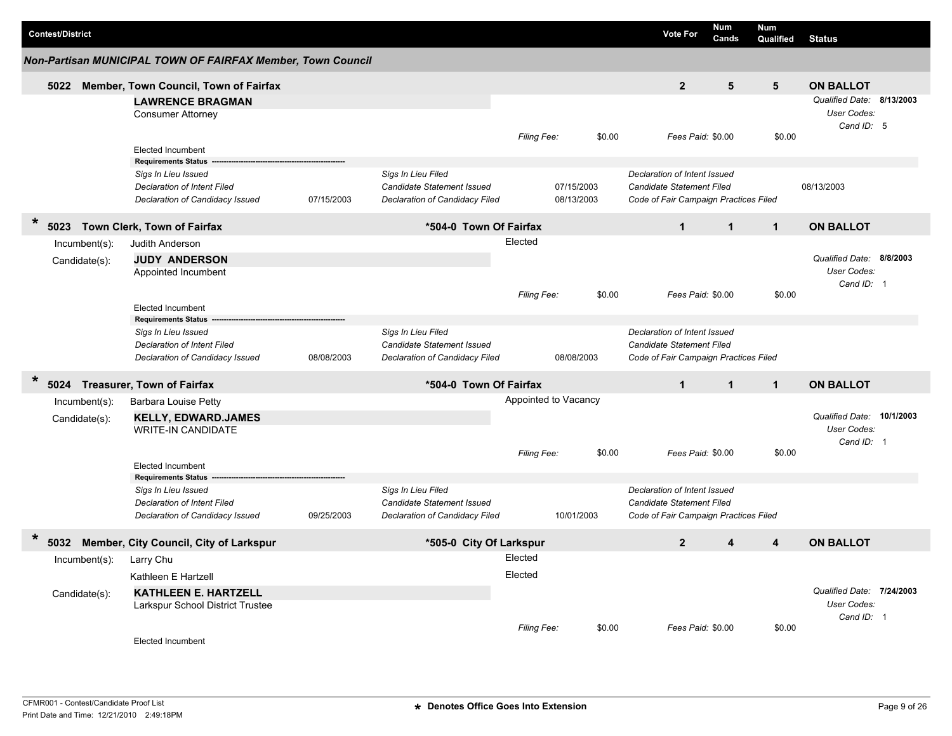|         | <b>Contest/District</b> |                  |                                                                       |            |                                   |             |                      |        | <b>Vote For</b>                       | Num<br>Cands | Num<br>Qualified | <b>Status</b>             |           |
|---------|-------------------------|------------------|-----------------------------------------------------------------------|------------|-----------------------------------|-------------|----------------------|--------|---------------------------------------|--------------|------------------|---------------------------|-----------|
|         |                         |                  | Non-Partisan MUNICIPAL TOWN OF FAIRFAX Member, Town Council           |            |                                   |             |                      |        |                                       |              |                  |                           |           |
|         | 5022                    |                  | Member, Town Council, Town of Fairfax                                 |            |                                   |             |                      |        | 2 <sup>2</sup>                        | 5            | 5                | <b>ON BALLOT</b>          |           |
|         |                         |                  | <b>LAWRENCE BRAGMAN</b>                                               |            |                                   |             |                      |        |                                       |              |                  | Qualified Date:           | 8/13/2003 |
|         |                         |                  | <b>Consumer Attorney</b>                                              |            |                                   |             |                      |        |                                       |              |                  | User Codes:<br>Cand ID: 5 |           |
|         |                         |                  |                                                                       |            |                                   | Filing Fee: |                      | \$0.00 | Fees Paid: \$0.00                     |              | \$0.00           |                           |           |
|         |                         |                  | <b>Elected Incumbent</b>                                              |            |                                   |             |                      |        |                                       |              |                  |                           |           |
|         |                         |                  | <b>Requirements Status</b><br>Sigs In Lieu Issued                     |            | Sigs In Lieu Filed                |             |                      |        | Declaration of Intent Issued          |              |                  |                           |           |
|         |                         |                  | Declaration of Intent Filed                                           |            | Candidate Statement Issued        |             | 07/15/2003           |        | <b>Candidate Statement Filed</b>      |              |                  | 08/13/2003                |           |
|         |                         |                  | Declaration of Candidacy Issued                                       | 07/15/2003 | Declaration of Candidacy Filed    |             | 08/13/2003           |        | Code of Fair Campaign Practices Filed |              |                  |                           |           |
| $\star$ | 5023                    |                  | Town Clerk, Town of Fairfax                                           |            | *504-0 Town Of Fairfax            |             |                      |        | $\mathbf{1}$                          | $\mathbf{1}$ | $\mathbf{1}$     | <b>ON BALLOT</b>          |           |
|         |                         | Incumbent(s):    | Judith Anderson                                                       |            |                                   | Elected     |                      |        |                                       |              |                  |                           |           |
|         |                         |                  | <b>JUDY ANDERSON</b>                                                  |            |                                   |             |                      |        |                                       |              |                  | Qualified Date: 8/8/2003  |           |
|         |                         | Candidate(s):    | Appointed Incumbent                                                   |            |                                   |             |                      |        |                                       |              |                  | User Codes:               |           |
|         |                         |                  |                                                                       |            |                                   |             |                      |        |                                       |              |                  | Cand ID: 1                |           |
|         |                         |                  |                                                                       |            |                                   | Filing Fee: |                      | \$0.00 | Fees Paid: \$0.00                     |              | \$0.00           |                           |           |
|         |                         |                  | <b>Elected Incumbent</b><br><b>Requirements Status</b>                |            |                                   |             |                      |        |                                       |              |                  |                           |           |
|         |                         |                  | Sigs In Lieu Issued                                                   |            | Sigs In Lieu Filed                |             |                      |        | Declaration of Intent Issued          |              |                  |                           |           |
|         |                         |                  | <b>Declaration of Intent Filed</b>                                    |            | <b>Candidate Statement Issued</b> |             |                      |        | Candidate Statement Filed             |              |                  |                           |           |
|         |                         |                  | Declaration of Candidacy Issued                                       | 08/08/2003 | Declaration of Candidacy Filed    |             | 08/08/2003           |        | Code of Fair Campaign Practices Filed |              |                  |                           |           |
| $\ast$  |                         |                  | 5024 Treasurer, Town of Fairfax                                       |            | *504-0 Town Of Fairfax            |             |                      |        | $\mathbf{1}$                          | $\mathbf{1}$ | $\mathbf{1}$     | <b>ON BALLOT</b>          |           |
|         |                         | Incumbent(s):    | <b>Barbara Louise Petty</b>                                           |            |                                   |             | Appointed to Vacancy |        |                                       |              |                  |                           |           |
|         |                         | Candidate(s):    | <b>KELLY, EDWARD.JAMES</b>                                            |            |                                   |             |                      |        |                                       |              |                  | Qualified Date: 10/1/2003 |           |
|         |                         |                  | <b>WRITE-IN CANDIDATE</b>                                             |            |                                   |             |                      |        |                                       |              |                  | User Codes:               |           |
|         |                         |                  |                                                                       |            |                                   | Filing Fee: |                      | \$0.00 | Fees Paid: \$0.00                     |              | \$0.00           | Cand ID: 1                |           |
|         |                         |                  | <b>Elected Incumbent</b>                                              |            |                                   |             |                      |        |                                       |              |                  |                           |           |
|         |                         |                  | <b>Requirements Status</b>                                            |            |                                   |             |                      |        |                                       |              |                  |                           |           |
|         |                         |                  | Sigs In Lieu Issued                                                   |            | Sigs In Lieu Filed                |             |                      |        | Declaration of Intent Issued          |              |                  |                           |           |
|         |                         |                  | <b>Declaration of Intent Filed</b><br>Declaration of Candidacy Issued | 09/25/2003 | Candidate Statement Issued        |             | 10/01/2003           |        | Candidate Statement Filed             |              |                  |                           |           |
|         |                         |                  |                                                                       |            | Declaration of Candidacy Filed    |             |                      |        | Code of Fair Campaign Practices Filed |              |                  |                           |           |
| $\ast$  | 5032                    |                  | Member, City Council, City of Larkspur                                |            | *505-0 City Of Larkspur           |             |                      |        | $\mathbf{2}$                          | 4            | 4                | <b>ON BALLOT</b>          |           |
|         |                         | $Incumbent(s)$ : | Larry Chu                                                             |            |                                   | Elected     |                      |        |                                       |              |                  |                           |           |
|         |                         |                  | Kathleen E Hartzell                                                   |            |                                   | Elected     |                      |        |                                       |              |                  |                           |           |
|         |                         | Candidate(s):    | <b>KATHLEEN E. HARTZELL</b>                                           |            |                                   |             |                      |        |                                       |              |                  | Qualified Date: 7/24/2003 |           |
|         |                         |                  | Larkspur School District Trustee                                      |            |                                   |             |                      |        |                                       |              |                  | User Codes:               |           |
|         |                         |                  |                                                                       |            |                                   | Filing Fee: |                      | \$0.00 | Fees Paid: \$0.00                     |              | \$0.00           | Cand ID: 1                |           |
|         |                         |                  | Elected Incumbent                                                     |            |                                   |             |                      |        |                                       |              |                  |                           |           |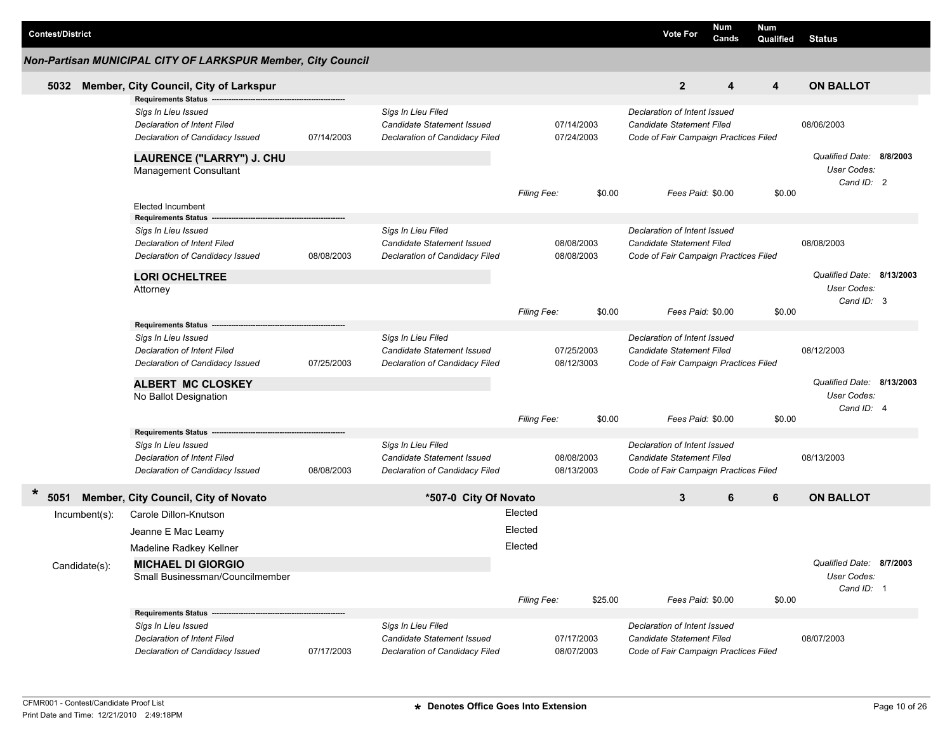| <b>Contest/District</b> |                                                                                                                |                                                                                                                     |            |                                                                                    |                    |                          |         | <b>Vote For</b>                                                                                    | Num<br>Cands      |   | <b>Num</b><br><b>Qualified</b> | <b>Status</b>                                          |  |
|-------------------------|----------------------------------------------------------------------------------------------------------------|---------------------------------------------------------------------------------------------------------------------|------------|------------------------------------------------------------------------------------|--------------------|--------------------------|---------|----------------------------------------------------------------------------------------------------|-------------------|---|--------------------------------|--------------------------------------------------------|--|
|                         |                                                                                                                | Non-Partisan MUNICIPAL CITY OF LARKSPUR Member, City Council                                                        |            |                                                                                    |                    |                          |         |                                                                                                    |                   |   |                                |                                                        |  |
| 5032                    |                                                                                                                | Member, City Council, City of Larkspur                                                                              |            |                                                                                    |                    |                          |         |                                                                                                    | $\overline{2}$    | 4 | 4                              | <b>ON BALLOT</b>                                       |  |
|                         |                                                                                                                | <b>Requirements Status</b><br>Sigs In Lieu Issued<br>Declaration of Intent Filed<br>Declaration of Candidacy Issued | 07/14/2003 | Sigs In Lieu Filed<br>Candidate Statement Issued<br>Declaration of Candidacy Filed |                    | 07/14/2003<br>07/24/2003 |         | Declaration of Intent Issued<br>Candidate Statement Filed<br>Code of Fair Campaign Practices Filed |                   |   |                                | 08/06/2003                                             |  |
|                         |                                                                                                                | LAURENCE ("LARRY") J. CHU<br><b>Management Consultant</b>                                                           |            |                                                                                    |                    |                          |         |                                                                                                    |                   |   |                                | Qualified Date: 8/8/2003<br>User Codes:<br>Cand ID: 2  |  |
|                         |                                                                                                                | <b>Elected Incumbent</b><br><b>Requirements Status</b>                                                              |            |                                                                                    | Filing Fee:        |                          | \$0.00  |                                                                                                    | Fees Paid: \$0.00 |   | \$0.00                         |                                                        |  |
|                         | Sigs In Lieu Issued<br>Declaration of Intent Filed<br>Declaration of Candidacy Issued<br><b>LORI OCHELTREE</b> |                                                                                                                     | 08/08/2003 | Sigs In Lieu Filed<br>Candidate Statement Issued<br>Declaration of Candidacy Filed |                    | 08/08/2003<br>08/08/2003 |         | Declaration of Intent Issued<br>Candidate Statement Filed<br>Code of Fair Campaign Practices Filed |                   |   |                                | 08/08/2003                                             |  |
|                         |                                                                                                                | Attorney                                                                                                            |            |                                                                                    | <b>Filing Fee:</b> |                          | \$0.00  |                                                                                                    | Fees Paid: \$0.00 |   | \$0.00                         | Qualified Date: 8/13/2003<br>User Codes:<br>Cand ID: 3 |  |
|                         |                                                                                                                | Requirements Status --                                                                                              |            |                                                                                    |                    |                          |         |                                                                                                    |                   |   |                                |                                                        |  |
|                         |                                                                                                                | Sigs In Lieu Issued<br>Declaration of Intent Filed<br>Declaration of Candidacy Issued                               | 07/25/2003 | Sigs In Lieu Filed<br>Candidate Statement Issued<br>Declaration of Candidacy Filed |                    | 07/25/2003<br>08/12/3003 |         | Declaration of Intent Issued<br>Candidate Statement Filed<br>Code of Fair Campaign Practices Filed |                   |   |                                | 08/12/2003                                             |  |
|                         |                                                                                                                | <b>ALBERT MC CLOSKEY</b>                                                                                            |            |                                                                                    |                    |                          |         |                                                                                                    |                   |   |                                | Qualified Date: 8/13/2003<br>User Codes:               |  |
|                         |                                                                                                                | No Ballot Designation                                                                                               |            |                                                                                    | Filing Fee:        |                          | \$0.00  |                                                                                                    | Fees Paid: \$0.00 |   | \$0.00                         | Cand ID: 4                                             |  |
|                         |                                                                                                                | <b>Requirements Status</b><br>Sigs In Lieu Issued<br>Declaration of Intent Filed<br>Declaration of Candidacy Issued | 08/08/2003 | Sigs In Lieu Filed<br>Candidate Statement Issued<br>Declaration of Candidacy Filed |                    | 08/08/2003<br>08/13/2003 |         | Declaration of Intent Issued<br>Candidate Statement Filed<br>Code of Fair Campaign Practices Filed |                   |   |                                | 08/13/2003                                             |  |
| $\ast$<br>5051          |                                                                                                                | Member, City Council, City of Novato                                                                                |            | *507-0 City Of Novato                                                              |                    |                          |         |                                                                                                    | 3                 | 6 | 6                              | <b>ON BALLOT</b>                                       |  |
|                         | Incumbent(s):                                                                                                  | Carole Dillon-Knutson<br>Jeanne E Mac Leamy                                                                         |            |                                                                                    | Elected<br>Elected |                          |         |                                                                                                    |                   |   |                                |                                                        |  |
|                         |                                                                                                                | Madeline Radkey Kellner                                                                                             |            |                                                                                    | Elected            |                          |         |                                                                                                    |                   |   |                                |                                                        |  |
|                         | Candidate(s):                                                                                                  | <b>MICHAEL DI GIORGIO</b><br>Small Businessman/Councilmember                                                        |            |                                                                                    |                    |                          |         |                                                                                                    |                   |   |                                | Qualified Date: 8/7/2003<br>User Codes:<br>Cand ID: 1  |  |
|                         |                                                                                                                | Requirements Status --                                                                                              |            |                                                                                    | Filing Fee:        |                          | \$25.00 |                                                                                                    | Fees Paid: \$0.00 |   | \$0.00                         |                                                        |  |
|                         |                                                                                                                | Sigs In Lieu Issued<br><b>Declaration of Intent Filed</b><br>Declaration of Candidacy Issued                        | 07/17/2003 | Sigs In Lieu Filed<br>Candidate Statement Issued<br>Declaration of Candidacy Filed |                    | 07/17/2003<br>08/07/2003 |         | Declaration of Intent Issued<br>Candidate Statement Filed<br>Code of Fair Campaign Practices Filed |                   |   |                                | 08/07/2003                                             |  |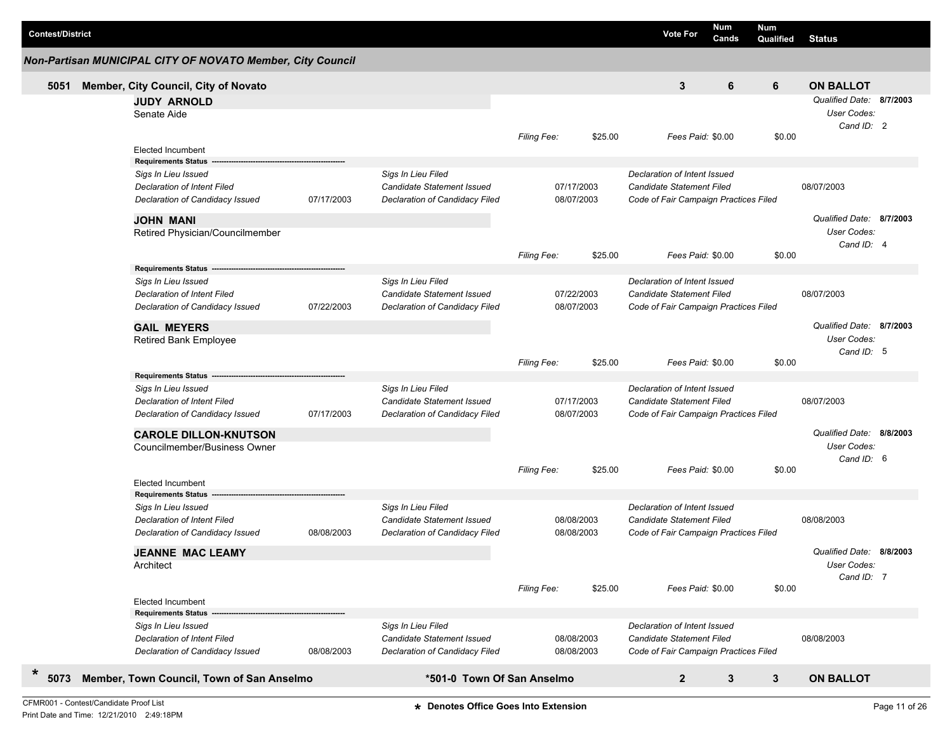| <b>Contest/District</b> |                                                                         |                                                            |            |                                                  |                    |                   | <b>Vote For</b>                       | <b>Num</b><br>Cands | <b>Num</b><br>Qualified | <b>Status</b>                           |  |
|-------------------------|-------------------------------------------------------------------------|------------------------------------------------------------|------------|--------------------------------------------------|--------------------|-------------------|---------------------------------------|---------------------|-------------------------|-----------------------------------------|--|
|                         |                                                                         | Non-Partisan MUNICIPAL CITY OF NOVATO Member, City Council |            |                                                  |                    |                   |                                       |                     |                         |                                         |  |
| 5051                    |                                                                         | Member, City Council, City of Novato                       |            |                                                  |                    |                   | 3                                     | 6                   | 6                       | <b>ON BALLOT</b>                        |  |
|                         |                                                                         | <b>JUDY ARNOLD</b>                                         |            |                                                  |                    |                   |                                       |                     |                         | Qualified Date: 8/7/2003                |  |
|                         |                                                                         | Senate Aide                                                |            |                                                  |                    |                   |                                       |                     |                         | User Codes:                             |  |
|                         |                                                                         |                                                            |            |                                                  |                    |                   |                                       |                     |                         | Cand ID: 2                              |  |
|                         |                                                                         |                                                            |            |                                                  | <b>Filing Fee:</b> | \$25.00           | Fees Paid: \$0.00                     |                     | \$0.00                  |                                         |  |
|                         |                                                                         | <b>Elected Incumbent</b><br><b>Requirements Status</b>     |            |                                                  |                    |                   |                                       |                     |                         |                                         |  |
|                         |                                                                         | Sigs In Lieu Issued                                        |            | Sigs In Lieu Filed                               |                    |                   | Declaration of Intent Issued          |                     |                         |                                         |  |
|                         |                                                                         | <b>Declaration of Intent Filed</b>                         |            | Candidate Statement Issued                       |                    | 07/17/2003        | Candidate Statement Filed             |                     |                         | 08/07/2003                              |  |
|                         |                                                                         | Declaration of Candidacy Issued                            | 07/17/2003 | Declaration of Candidacy Filed                   |                    | 08/07/2003        | Code of Fair Campaign Practices Filed |                     |                         |                                         |  |
|                         |                                                                         |                                                            |            |                                                  |                    |                   |                                       |                     |                         |                                         |  |
|                         |                                                                         | <b>JOHN MANI</b>                                           |            |                                                  |                    |                   |                                       |                     |                         | Qualified Date: 8/7/2003<br>User Codes: |  |
|                         |                                                                         | Retired Physician/Councilmember                            |            |                                                  |                    |                   |                                       |                     |                         | Cand ID: 4                              |  |
|                         |                                                                         |                                                            |            |                                                  | <b>Filing Fee:</b> | \$25.00           | Fees Paid: \$0.00                     |                     | \$0.00                  |                                         |  |
|                         |                                                                         | <b>Requirements Status</b>                                 |            |                                                  |                    |                   |                                       |                     |                         |                                         |  |
|                         |                                                                         | Sigs In Lieu Issued                                        |            | Sigs In Lieu Filed                               |                    |                   | Declaration of Intent Issued          |                     |                         |                                         |  |
|                         |                                                                         | <b>Declaration of Intent Filed</b>                         |            | Candidate Statement Issued                       |                    | 07/22/2003        | Candidate Statement Filed             |                     |                         | 08/07/2003                              |  |
|                         |                                                                         | Declaration of Candidacy Issued                            | 07/22/2003 | Declaration of Candidacy Filed                   |                    | 08/07/2003        | Code of Fair Campaign Practices Filed |                     |                         |                                         |  |
|                         |                                                                         | <b>GAIL MEYERS</b>                                         |            |                                                  |                    |                   |                                       |                     |                         | Qualified Date: 8/7/2003                |  |
|                         |                                                                         | Retired Bank Employee                                      |            |                                                  |                    |                   |                                       |                     |                         | User Codes:                             |  |
|                         |                                                                         |                                                            |            |                                                  |                    |                   |                                       |                     |                         | Cand ID: 5                              |  |
|                         |                                                                         |                                                            |            |                                                  | <b>Filing Fee:</b> | \$25.00           | Fees Paid: \$0.00                     |                     | \$0.00                  |                                         |  |
|                         |                                                                         | <b>Requirements Status</b>                                 |            |                                                  |                    |                   | Declaration of Intent Issued          |                     |                         |                                         |  |
|                         |                                                                         | Sigs In Lieu Issued<br><b>Declaration of Intent Filed</b>  |            | Sigs In Lieu Filed<br>Candidate Statement Issued |                    | 07/17/2003        | Candidate Statement Filed             |                     |                         | 08/07/2003                              |  |
|                         |                                                                         | Declaration of Candidacy Issued                            | 07/17/2003 | Declaration of Candidacy Filed                   |                    | 08/07/2003        | Code of Fair Campaign Practices Filed |                     |                         |                                         |  |
|                         |                                                                         |                                                            |            |                                                  |                    |                   |                                       |                     |                         |                                         |  |
|                         |                                                                         | <b>CAROLE DILLON-KNUTSON</b>                               |            |                                                  |                    |                   |                                       |                     |                         | Qualified Date: 8/8/2003                |  |
|                         |                                                                         | Councilmember/Business Owner                               |            |                                                  |                    |                   |                                       |                     |                         | User Codes:<br>Cand ID: 6               |  |
|                         |                                                                         |                                                            |            |                                                  | <b>Filing Fee:</b> | \$25.00           | Fees Paid: \$0.00                     |                     | \$0.00                  |                                         |  |
|                         |                                                                         | <b>Elected Incumbent</b>                                   |            |                                                  |                    |                   |                                       |                     |                         |                                         |  |
|                         |                                                                         | <b>Requirements Status</b>                                 |            |                                                  |                    |                   |                                       |                     |                         |                                         |  |
|                         |                                                                         | Sigs In Lieu Issued                                        |            | Sigs In Lieu Filed                               |                    |                   | Declaration of Intent Issued          |                     |                         |                                         |  |
|                         |                                                                         | <b>Declaration of Intent Filed</b>                         |            | Candidate Statement Issued                       |                    | 08/08/2003        | Candidate Statement Filed             |                     |                         | 08/08/2003                              |  |
|                         |                                                                         | Declaration of Candidacy Issued                            | 08/08/2003 | Declaration of Candidacy Filed                   |                    | 08/08/2003        | Code of Fair Campaign Practices Filed |                     |                         |                                         |  |
|                         |                                                                         | <b>JEANNE MAC LEAMY</b>                                    |            |                                                  |                    |                   |                                       |                     |                         | Qualified Date: 8/8/2003                |  |
|                         | Architect                                                               |                                                            |            |                                                  |                    |                   |                                       |                     | User Codes:             |                                         |  |
|                         |                                                                         |                                                            |            |                                                  |                    |                   |                                       |                     |                         | Cand ID: 7                              |  |
|                         | <b>Elected Incumbent</b>                                                |                                                            |            | Filing Fee:                                      | \$25.00            | Fees Paid: \$0.00 |                                       | \$0.00              |                         |                                         |  |
|                         |                                                                         | <b>Requirements Status</b>                                 |            |                                                  |                    |                   |                                       |                     |                         |                                         |  |
|                         |                                                                         | Sigs In Lieu Issued                                        |            | Sigs In Lieu Filed                               |                    |                   | Declaration of Intent Issued          |                     |                         |                                         |  |
|                         |                                                                         | <b>Declaration of Intent Filed</b>                         |            | Candidate Statement Issued                       |                    | 08/08/2003        | Candidate Statement Filed             |                     |                         | 08/08/2003                              |  |
|                         |                                                                         | Declaration of Candidacy Issued                            | 08/08/2003 | Declaration of Candidacy Filed                   |                    | 08/08/2003        | Code of Fair Campaign Practices Filed |                     |                         |                                         |  |
|                         |                                                                         |                                                            |            |                                                  |                    |                   |                                       |                     |                         |                                         |  |
| $\ast$<br>5073          | Member, Town Council, Town of San Anselmo<br>*501-0 Town Of San Anselmo |                                                            |            |                                                  |                    |                   | $\overline{2}$                        | 3                   | $\mathbf{3}$            | <b>ON BALLOT</b>                        |  |
|                         |                                                                         |                                                            |            |                                                  |                    |                   |                                       |                     |                         |                                         |  |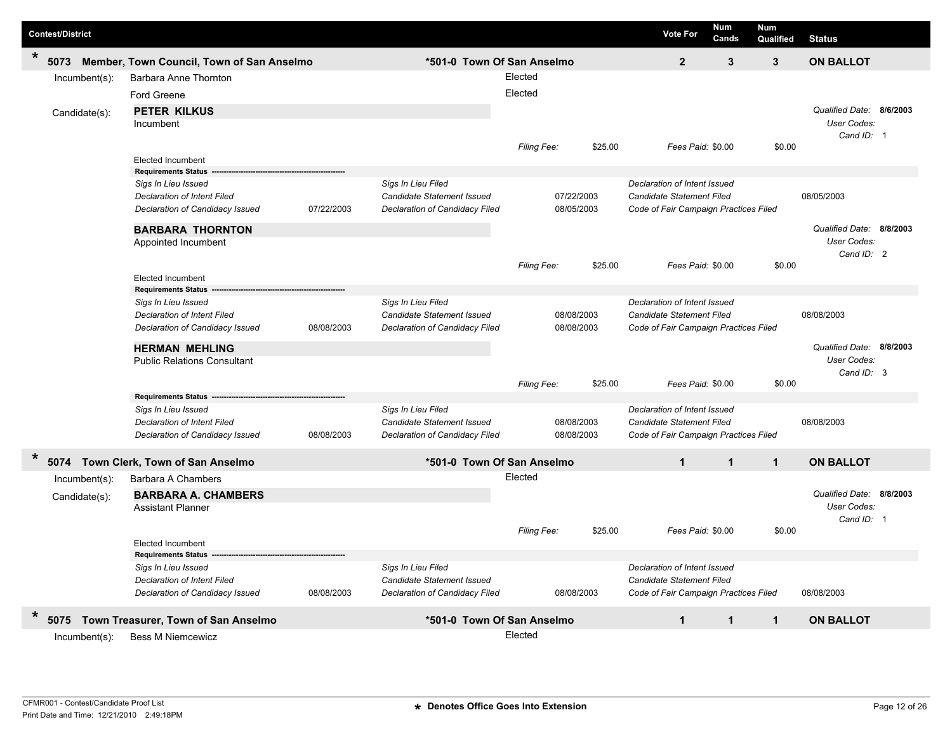| <b>Contest/District</b> |                  |                                                                |            |                                                              |             |            |         | <b>Vote For</b>                                                    | Num<br>Cands | <b>Num</b><br>Qualified | <b>Status</b>            |  |
|-------------------------|------------------|----------------------------------------------------------------|------------|--------------------------------------------------------------|-------------|------------|---------|--------------------------------------------------------------------|--------------|-------------------------|--------------------------|--|
| $\ast$<br>5073          |                  | Member, Town Council, Town of San Anselmo                      |            | *501-0 Town Of San Anselmo                                   |             |            |         | $\overline{2}$                                                     | 3            | 3                       | <b>ON BALLOT</b>         |  |
|                         | Incumbent(s):    | Barbara Anne Thornton                                          |            |                                                              | Elected     |            |         |                                                                    |              |                         |                          |  |
|                         |                  | Ford Greene                                                    |            |                                                              | Elected     |            |         |                                                                    |              |                         |                          |  |
|                         | Candidate(s):    | <b>PETER KILKUS</b>                                            |            |                                                              |             |            |         |                                                                    |              |                         | Qualified Date: 8/6/2003 |  |
|                         |                  | Incumbent                                                      |            |                                                              |             |            |         |                                                                    |              |                         | User Codes:              |  |
|                         |                  |                                                                |            |                                                              | Filing Fee: |            | \$25.00 | Fees Paid: \$0.00                                                  |              | \$0.00                  | Cand ID: 1               |  |
|                         |                  | <b>Elected Incumbent</b>                                       |            |                                                              |             |            |         |                                                                    |              |                         |                          |  |
|                         |                  | <b>Requirements Status</b>                                     |            |                                                              |             |            |         |                                                                    |              |                         |                          |  |
|                         |                  | Sigs In Lieu Issued<br><b>Declaration of Intent Filed</b>      |            | Sigs In Lieu Filed<br>Candidate Statement Issued             |             | 07/22/2003 |         | Declaration of Intent Issued<br>Candidate Statement Filed          |              |                         | 08/05/2003               |  |
|                         |                  | Declaration of Candidacy Issued                                | 07/22/2003 | Declaration of Candidacy Filed                               |             | 08/05/2003 |         | Code of Fair Campaign Practices Filed                              |              |                         |                          |  |
|                         |                  | <b>BARBARA THORNTON</b>                                        |            |                                                              |             |            |         |                                                                    |              |                         | Qualified Date: 8/8/2003 |  |
|                         |                  | Appointed Incumbent                                            |            |                                                              |             |            |         |                                                                    |              |                         | User Codes:              |  |
|                         |                  |                                                                |            |                                                              |             |            |         |                                                                    |              |                         | Cand ID: 2               |  |
|                         |                  |                                                                |            |                                                              | Filing Fee: |            | \$25.00 | Fees Paid: \$0.00                                                  |              | \$0.00                  |                          |  |
|                         |                  | <b>Elected Incumbent</b><br><b>Requirements Status</b>         |            |                                                              |             |            |         |                                                                    |              |                         |                          |  |
|                         |                  | Sigs In Lieu Issued                                            |            | Sigs In Lieu Filed                                           |             |            |         | Declaration of Intent Issued                                       |              |                         |                          |  |
|                         |                  | <b>Declaration of Intent Filed</b>                             |            | Candidate Statement Issued                                   |             | 08/08/2003 |         | Candidate Statement Filed                                          |              |                         | 08/08/2003               |  |
|                         |                  | Declaration of Candidacy Issued                                | 08/08/2003 | Declaration of Candidacy Filed                               |             | 08/08/2003 |         | Code of Fair Campaign Practices Filed                              |              |                         |                          |  |
|                         |                  | <b>HERMAN MEHLING</b>                                          |            |                                                              |             |            |         |                                                                    |              |                         | Qualified Date: 8/8/2003 |  |
|                         |                  | <b>Public Relations Consultant</b>                             |            |                                                              |             |            |         |                                                                    |              |                         | User Codes:              |  |
|                         |                  |                                                                |            |                                                              | Filing Fee: |            | \$25.00 | Fees Paid: \$0.00                                                  |              | \$0.00                  | Cand ID: 3               |  |
|                         |                  | <b>Requirements Status</b>                                     |            |                                                              |             |            |         |                                                                    |              |                         |                          |  |
|                         |                  | Sigs In Lieu Issued                                            |            | Sigs In Lieu Filed                                           |             |            |         | Declaration of Intent Issued                                       |              |                         |                          |  |
|                         |                  | <b>Declaration of Intent Filed</b>                             |            | Candidate Statement Issued                                   |             | 08/08/2003 |         | <b>Candidate Statement Filed</b>                                   |              |                         | 08/08/2003               |  |
|                         |                  | Declaration of Candidacy Issued                                | 08/08/2003 | Declaration of Candidacy Filed                               |             | 08/08/2003 |         | Code of Fair Campaign Practices Filed                              |              |                         |                          |  |
| *                       |                  | 5074 Town Clerk, Town of San Anselmo                           |            | *501-0 Town Of San Anselmo                                   |             |            |         | $\mathbf{1}$                                                       | $\mathbf{1}$ | $\mathbf{1}$            | <b>ON BALLOT</b>         |  |
|                         | $Incumbent(s)$ : | Barbara A Chambers                                             |            |                                                              | Elected     |            |         |                                                                    |              |                         |                          |  |
|                         | Candidate(s):    | <b>BARBARA A. CHAMBERS</b>                                     |            |                                                              |             |            |         |                                                                    |              |                         | Qualified Date: 8/8/2003 |  |
|                         |                  | <b>Assistant Planner</b>                                       |            |                                                              |             |            |         |                                                                    |              |                         | User Codes:              |  |
|                         |                  |                                                                |            |                                                              | Filing Fee: |            | \$25.00 | Fees Paid: \$0.00                                                  |              | \$0.00                  | Cand ID: 1               |  |
|                         |                  | <b>Elected Incumbent</b>                                       |            |                                                              |             |            |         |                                                                    |              |                         |                          |  |
|                         |                  | <b>Requirements Status</b>                                     |            |                                                              |             |            |         |                                                                    |              |                         |                          |  |
|                         |                  | Sigs In Lieu Issued                                            |            | Sigs In Lieu Filed                                           |             |            |         | Declaration of Intent Issued                                       |              |                         |                          |  |
|                         |                  | Declaration of Intent Filed<br>Declaration of Candidacy Issued | 08/08/2003 | Candidate Statement Issued<br>Declaration of Candidacy Filed |             | 08/08/2003 |         | Candidate Statement Filed<br>Code of Fair Campaign Practices Filed |              |                         | 08/08/2003               |  |
|                         |                  |                                                                |            |                                                              |             |            |         |                                                                    |              |                         |                          |  |
| $\star$<br>5075         |                  | Town Treasurer, Town of San Anselmo                            |            | *501-0 Town Of San Anselmo                                   |             |            |         | $\mathbf{1}$                                                       | $\mathbf{1}$ | $\mathbf{1}$            | <b>ON BALLOT</b>         |  |
|                         | $Incumbent(s)$ : | <b>Bess M Niemcewicz</b>                                       |            |                                                              | Elected     |            |         |                                                                    |              |                         |                          |  |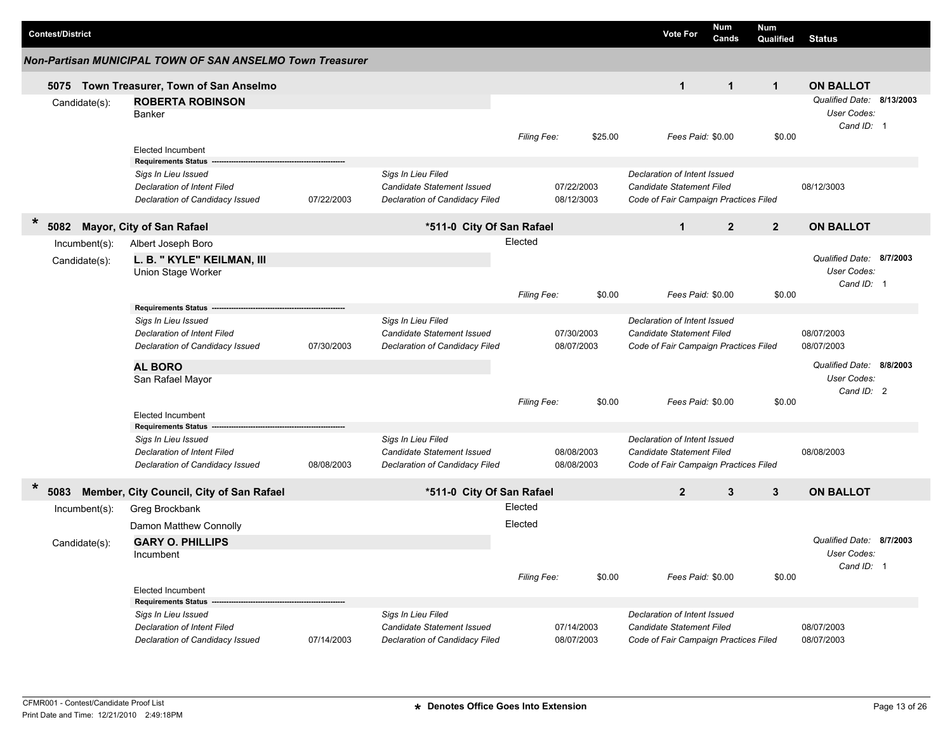|                         |                                                                       |            |                                                              |                    |                          |         |                                                                    | Num            | Num            |                           |          |
|-------------------------|-----------------------------------------------------------------------|------------|--------------------------------------------------------------|--------------------|--------------------------|---------|--------------------------------------------------------------------|----------------|----------------|---------------------------|----------|
| <b>Contest/District</b> |                                                                       |            |                                                              |                    |                          |         | <b>Vote For</b>                                                    | Cands          | Qualified      | <b>Status</b>             |          |
|                         | Non-Partisan MUNICIPAL TOWN OF SAN ANSELMO Town Treasurer             |            |                                                              |                    |                          |         |                                                                    |                |                |                           |          |
|                         | 5075 Town Treasurer, Town of San Anselmo                              |            |                                                              |                    |                          |         | $\mathbf 1$                                                        | $\mathbf{1}$   | $\mathbf{1}$   | <b>ON BALLOT</b>          |          |
| Candidate(s):           | <b>ROBERTA ROBINSON</b>                                               |            |                                                              |                    |                          |         |                                                                    |                |                | Qualified Date: 8/13/2003 |          |
|                         | Banker                                                                |            |                                                              |                    |                          |         |                                                                    |                |                | User Codes:               |          |
|                         |                                                                       |            |                                                              | <b>Filing Fee:</b> |                          | \$25.00 | Fees Paid: \$0.00                                                  |                | \$0.00         | Cand ID: 1                |          |
|                         | <b>Elected Incumbent</b>                                              |            |                                                              |                    |                          |         |                                                                    |                |                |                           |          |
|                         | <b>Requirements Status</b>                                            |            |                                                              |                    |                          |         |                                                                    |                |                |                           |          |
|                         | Sigs In Lieu Issued                                                   |            | Sigs In Lieu Filed<br>Candidate Statement Issued             |                    |                          |         | Declaration of Intent Issued                                       |                |                | 08/12/3003                |          |
|                         | <b>Declaration of Intent Filed</b><br>Declaration of Candidacy Issued | 07/22/2003 | Declaration of Candidacy Filed                               |                    | 07/22/2003<br>08/12/3003 |         | Candidate Statement Filed<br>Code of Fair Campaign Practices Filed |                |                |                           |          |
|                         |                                                                       |            |                                                              |                    |                          |         |                                                                    |                |                |                           |          |
| $\ast$<br>5082          | Mayor, City of San Rafael                                             |            | *511-0 City Of San Rafael                                    |                    |                          |         | $\mathbf 1$                                                        | $\overline{2}$ | $\overline{2}$ | <b>ON BALLOT</b>          |          |
| Incumbent(s):           | Albert Joseph Boro                                                    |            |                                                              | Elected            |                          |         |                                                                    |                |                |                           |          |
| Candidate(s):           | L. B. " KYLE" KEILMAN, III                                            |            |                                                              |                    |                          |         |                                                                    |                |                | Qualified Date:           | 8/7/2003 |
|                         | Union Stage Worker                                                    |            |                                                              |                    |                          |         |                                                                    |                |                | User Codes:<br>Cand ID: 1 |          |
|                         |                                                                       |            |                                                              | Filing Fee:        |                          | \$0.00  | Fees Paid: \$0.00                                                  |                | \$0.00         |                           |          |
|                         | <b>Requirements Status</b>                                            |            |                                                              |                    |                          |         |                                                                    |                |                |                           |          |
|                         | Sigs In Lieu Issued                                                   |            | Sigs In Lieu Filed                                           |                    |                          |         | Declaration of Intent Issued                                       |                |                |                           |          |
|                         | Declaration of Intent Filed                                           |            | Candidate Statement Issued                                   |                    | 07/30/2003               |         | Candidate Statement Filed                                          |                |                | 08/07/2003                |          |
|                         | Declaration of Candidacy Issued                                       | 07/30/2003 | Declaration of Candidacy Filed                               |                    | 08/07/2003               |         | Code of Fair Campaign Practices Filed                              |                |                | 08/07/2003                |          |
|                         | <b>AL BORO</b>                                                        |            |                                                              |                    |                          |         |                                                                    |                |                | Qualified Date: 8/8/2003  |          |
|                         | San Rafael Mayor                                                      |            |                                                              |                    |                          |         |                                                                    |                |                | User Codes:<br>Cand ID: 2 |          |
|                         |                                                                       |            |                                                              | <b>Filing Fee:</b> |                          | \$0.00  | Fees Paid: \$0.00                                                  |                | \$0.00         |                           |          |
|                         | <b>Elected Incumbent</b>                                              |            |                                                              |                    |                          |         |                                                                    |                |                |                           |          |
|                         | <b>Requirements Status</b>                                            |            |                                                              |                    |                          |         |                                                                    |                |                |                           |          |
|                         | Sigs In Lieu Issued<br><b>Declaration of Intent Filed</b>             |            | Sigs In Lieu Filed<br>Candidate Statement Issued             |                    | 08/08/2003               |         | Declaration of Intent Issued<br>Candidate Statement Filed          |                |                | 08/08/2003                |          |
|                         | Declaration of Candidacy Issued                                       | 08/08/2003 | Declaration of Candidacy Filed                               |                    | 08/08/2003               |         | Code of Fair Campaign Practices Filed                              |                |                |                           |          |
|                         |                                                                       |            |                                                              |                    |                          |         |                                                                    |                |                |                           |          |
| $\ast$<br>5083          | Member, City Council, City of San Rafael                              |            | *511-0 City Of San Rafael                                    |                    |                          |         | $\overline{2}$                                                     | 3              | 3              | <b>ON BALLOT</b>          |          |
| Incumbent(s):           | Greg Brockbank                                                        |            |                                                              | Elected            |                          |         |                                                                    |                |                |                           |          |
|                         | Damon Matthew Connolly                                                |            |                                                              | Elected            |                          |         |                                                                    |                |                |                           |          |
| Candidate(s):           | <b>GARY O. PHILLIPS</b>                                               |            |                                                              |                    |                          |         |                                                                    |                |                | Qualified Date: 8/7/2003  |          |
|                         | Incumbent                                                             |            |                                                              |                    |                          |         |                                                                    |                |                | User Codes:               |          |
|                         |                                                                       |            |                                                              | Filing Fee:        |                          | \$0.00  | Fees Paid: \$0.00                                                  |                | \$0.00         | Cand ID: 1                |          |
|                         | <b>Elected Incumbent</b>                                              |            |                                                              |                    |                          |         |                                                                    |                |                |                           |          |
|                         | <b>Requirements Status</b>                                            |            |                                                              |                    |                          |         |                                                                    |                |                |                           |          |
|                         | Sigs In Lieu Issued                                                   |            | Sigs In Lieu Filed                                           |                    |                          |         | Declaration of Intent Issued                                       |                |                |                           |          |
|                         | Declaration of Intent Filed<br>Declaration of Candidacy Issued        | 07/14/2003 | Candidate Statement Issued<br>Declaration of Candidacy Filed |                    | 07/14/2003<br>08/07/2003 |         | Candidate Statement Filed<br>Code of Fair Campaign Practices Filed |                |                | 08/07/2003<br>08/07/2003  |          |
|                         |                                                                       |            |                                                              |                    |                          |         |                                                                    |                |                |                           |          |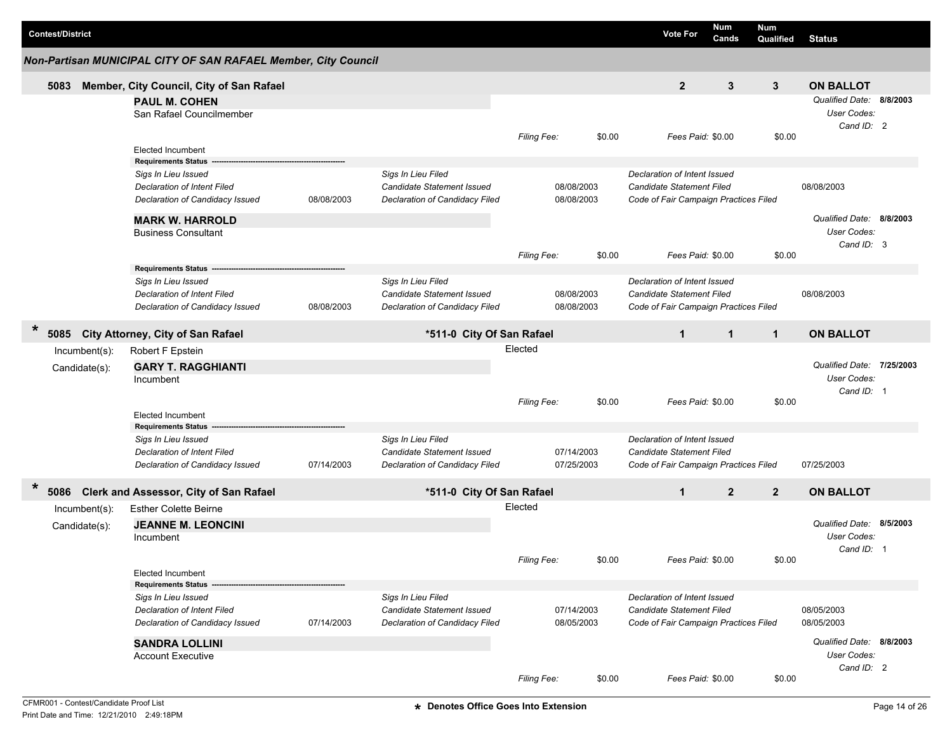|   | <b>Contest/District</b> |               |                                                                       |            |                                                              |                    |                          | <b>Vote For</b>                                                           | Num<br>Cands   | <b>Num</b><br>Qualified | <b>Status</b>             |  |
|---|-------------------------|---------------|-----------------------------------------------------------------------|------------|--------------------------------------------------------------|--------------------|--------------------------|---------------------------------------------------------------------------|----------------|-------------------------|---------------------------|--|
|   |                         |               | Non-Partisan MUNICIPAL CITY OF SAN RAFAEL Member, City Council        |            |                                                              |                    |                          |                                                                           |                |                         |                           |  |
|   | 5083                    |               | Member, City Council, City of San Rafael                              |            |                                                              |                    |                          | $\mathbf{2}$                                                              | 3              | 3                       | <b>ON BALLOT</b>          |  |
|   |                         |               | <b>PAUL M. COHEN</b>                                                  |            |                                                              |                    |                          |                                                                           |                |                         | Qualified Date: 8/8/2003  |  |
|   |                         |               | San Rafael Councilmember                                              |            |                                                              |                    |                          |                                                                           |                |                         | User Codes:               |  |
|   |                         |               |                                                                       |            |                                                              | Filing Fee:        | \$0.00                   | Fees Paid: \$0.00                                                         |                | \$0.00                  | Cand ID: 2                |  |
|   |                         |               | <b>Elected Incumbent</b>                                              |            |                                                              |                    |                          |                                                                           |                |                         |                           |  |
|   |                         |               | <b>Requirements Status</b>                                            |            |                                                              |                    |                          |                                                                           |                |                         |                           |  |
|   |                         |               | Sigs In Lieu Issued                                                   |            | Sigs In Lieu Filed                                           |                    |                          | Declaration of Intent Issued                                              |                |                         |                           |  |
|   |                         |               | <b>Declaration of Intent Filed</b><br>Declaration of Candidacy Issued | 08/08/2003 | Candidate Statement Issued<br>Declaration of Candidacy Filed |                    | 08/08/2003<br>08/08/2003 | <b>Candidate Statement Filed</b><br>Code of Fair Campaign Practices Filed |                |                         | 08/08/2003                |  |
|   |                         |               |                                                                       |            |                                                              |                    |                          |                                                                           |                |                         |                           |  |
|   |                         |               | <b>MARK W. HARROLD</b>                                                |            |                                                              |                    |                          |                                                                           |                |                         | Qualified Date: 8/8/2003  |  |
|   |                         |               | <b>Business Consultant</b>                                            |            |                                                              |                    |                          |                                                                           |                |                         | User Codes:<br>Cand ID: 3 |  |
|   |                         |               |                                                                       |            |                                                              | Filing Fee:        | \$0.00                   | Fees Paid: \$0.00                                                         |                | \$0.00                  |                           |  |
|   |                         |               | <b>Requirements Status</b>                                            |            |                                                              |                    |                          |                                                                           |                |                         |                           |  |
|   |                         |               | Sigs In Lieu Issued                                                   |            | Sigs In Lieu Filed                                           |                    |                          | Declaration of Intent Issued                                              |                |                         |                           |  |
|   |                         |               | Declaration of Intent Filed                                           |            | Candidate Statement Issued                                   |                    | 08/08/2003               | <b>Candidate Statement Filed</b>                                          |                |                         | 08/08/2003                |  |
|   |                         |               | Declaration of Candidacy Issued                                       | 08/08/2003 | Declaration of Candidacy Filed                               |                    | 08/08/2003               | Code of Fair Campaign Practices Filed                                     |                |                         |                           |  |
| * | 5085                    |               | <b>City Attorney, City of San Rafael</b>                              |            | *511-0 City Of San Rafael                                    |                    |                          | $\mathbf{1}$                                                              | $\mathbf{1}$   | $\mathbf{1}$            | <b>ON BALLOT</b>          |  |
|   |                         | Incumbent(s): | Robert F Epstein                                                      |            |                                                              | Elected            |                          |                                                                           |                |                         |                           |  |
|   |                         | Candidate(s): | <b>GARY T. RAGGHIANTI</b>                                             |            |                                                              |                    |                          |                                                                           |                |                         | Qualified Date: 7/25/2003 |  |
|   |                         |               | Incumbent                                                             |            |                                                              |                    |                          |                                                                           |                |                         | <b>User Codes:</b>        |  |
|   |                         |               |                                                                       |            |                                                              |                    | \$0.00                   | Fees Paid: \$0.00                                                         |                | \$0.00                  | Cand ID: 1                |  |
|   |                         |               | <b>Elected Incumbent</b>                                              |            |                                                              | <b>Filing Fee:</b> |                          |                                                                           |                |                         |                           |  |
|   |                         |               | <b>Requirements Status</b>                                            |            |                                                              |                    |                          |                                                                           |                |                         |                           |  |
|   |                         |               | Sigs In Lieu Issued                                                   |            | Sigs In Lieu Filed                                           |                    |                          | Declaration of Intent Issued                                              |                |                         |                           |  |
|   |                         |               | Declaration of Intent Filed                                           |            | Candidate Statement Issued                                   |                    | 07/14/2003               | <b>Candidate Statement Filed</b>                                          |                |                         |                           |  |
|   |                         |               | Declaration of Candidacy Issued                                       | 07/14/2003 | Declaration of Candidacy Filed                               |                    | 07/25/2003               | Code of Fair Campaign Practices Filed                                     |                |                         | 07/25/2003                |  |
| * | 5086                    |               | <b>Clerk and Assessor, City of San Rafael</b>                         |            | *511-0 City Of San Rafael                                    |                    |                          | $\mathbf{1}$                                                              | $\overline{2}$ | $\overline{2}$          | <b>ON BALLOT</b>          |  |
|   |                         | Incumbent(s): | <b>Esther Colette Beirne</b>                                          |            |                                                              | Elected            |                          |                                                                           |                |                         |                           |  |
|   |                         | Candidate(s): | <b>JEANNE M. LEONCINI</b>                                             |            |                                                              |                    |                          |                                                                           |                |                         | Qualified Date: 8/5/2003  |  |
|   |                         |               | Incumbent                                                             |            |                                                              |                    |                          |                                                                           |                |                         | <b>User Codes:</b>        |  |
|   |                         |               |                                                                       |            |                                                              | Filing Fee:        | \$0.00                   | Fees Paid: \$0.00                                                         |                | \$0.00                  | Cand ID: 1                |  |
|   |                         |               | <b>Elected Incumbent</b>                                              |            |                                                              |                    |                          |                                                                           |                |                         |                           |  |
|   |                         |               | <b>Requirements Status</b>                                            |            |                                                              |                    |                          |                                                                           |                |                         |                           |  |
|   |                         |               | Sigs In Lieu Issued                                                   |            | Sigs In Lieu Filed                                           |                    |                          | Declaration of Intent Issued                                              |                |                         |                           |  |
|   |                         |               | Declaration of Intent Filed                                           |            | <b>Candidate Statement Issued</b>                            |                    | 07/14/2003               | <b>Candidate Statement Filed</b>                                          |                |                         | 08/05/2003                |  |
|   |                         |               | Declaration of Candidacy Issued                                       | 07/14/2003 | Declaration of Candidacy Filed                               |                    | 08/05/2003               | Code of Fair Campaign Practices Filed                                     |                |                         | 08/05/2003                |  |
|   |                         |               | <b>SANDRA LOLLINI</b>                                                 |            |                                                              |                    |                          |                                                                           |                |                         | Qualified Date: 8/8/2003  |  |
|   |                         |               | <b>Account Executive</b>                                              |            |                                                              |                    |                          |                                                                           |                |                         | User Codes:               |  |
|   |                         |               |                                                                       |            |                                                              | Filing Fee:        | \$0.00                   | Fees Paid: \$0.00                                                         |                | \$0.00                  | Cand ID: 2                |  |
|   |                         |               |                                                                       |            |                                                              |                    |                          |                                                                           |                |                         |                           |  |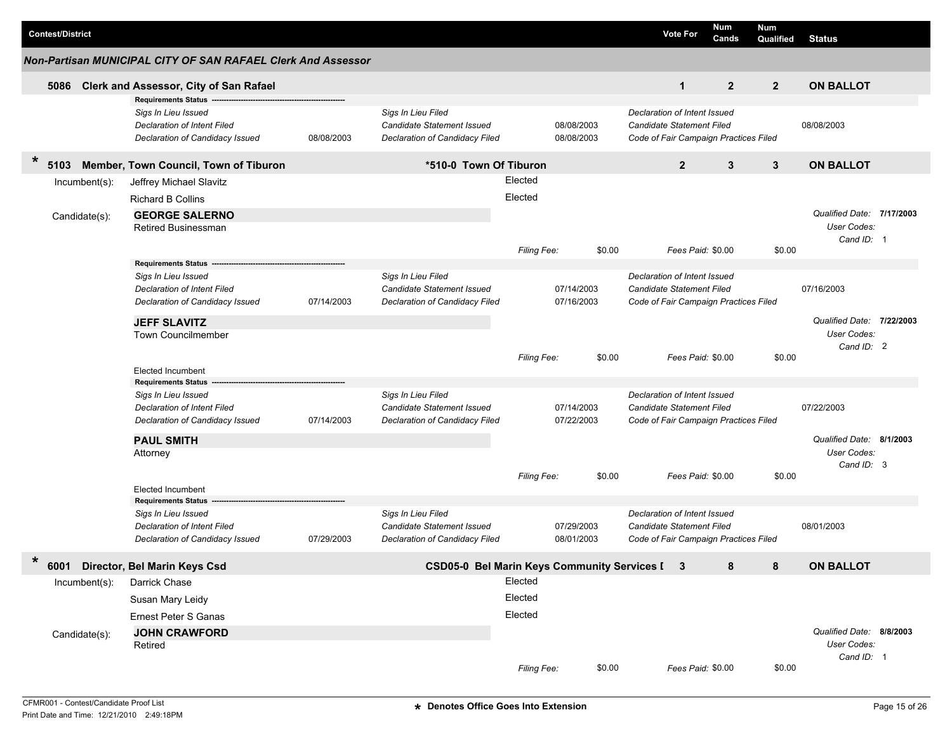|        | <b>Contest/District</b> |               |                                                                                              |            |                                                                                    |             |                          |        | <b>Vote For</b>                                                                                    | Num<br>Cands   | <b>Num</b><br>Qualified | <b>Status</b>                            |  |
|--------|-------------------------|---------------|----------------------------------------------------------------------------------------------|------------|------------------------------------------------------------------------------------|-------------|--------------------------|--------|----------------------------------------------------------------------------------------------------|----------------|-------------------------|------------------------------------------|--|
|        |                         |               | Non-Partisan MUNICIPAL CITY OF SAN RAFAEL Clerk And Assessor                                 |            |                                                                                    |             |                          |        |                                                                                                    |                |                         |                                          |  |
|        | 5086                    |               | Clerk and Assessor, City of San Rafael                                                       |            |                                                                                    |             |                          |        | 1                                                                                                  | $\overline{2}$ | $\overline{2}$          | <b>ON BALLOT</b>                         |  |
|        |                         |               | <b>Requirements Status</b>                                                                   |            |                                                                                    |             |                          |        |                                                                                                    |                |                         |                                          |  |
|        |                         |               | Sigs In Lieu Issued<br><b>Declaration of Intent Filed</b><br>Declaration of Candidacy Issued | 08/08/2003 | Sigs In Lieu Filed<br>Candidate Statement Issued<br>Declaration of Candidacy Filed |             | 08/08/2003<br>08/08/2003 |        | Declaration of Intent Issued<br>Candidate Statement Filed<br>Code of Fair Campaign Practices Filed |                |                         | 08/08/2003                               |  |
| $\ast$ | 5103                    |               | Member, Town Council, Town of Tiburon                                                        |            | *510-0 Town Of Tiburon                                                             |             |                          |        | $\overline{2}$                                                                                     | 3              | 3                       | <b>ON BALLOT</b>                         |  |
|        |                         |               |                                                                                              |            |                                                                                    | Elected     |                          |        |                                                                                                    |                |                         |                                          |  |
|        |                         | Incumbent(s): | Jeffrey Michael Slavitz                                                                      |            |                                                                                    |             |                          |        |                                                                                                    |                |                         |                                          |  |
|        |                         |               | <b>Richard B Collins</b>                                                                     |            |                                                                                    | Elected     |                          |        |                                                                                                    |                |                         |                                          |  |
|        |                         | Candidate(s): | <b>GEORGE SALERNO</b>                                                                        |            |                                                                                    |             |                          |        |                                                                                                    |                |                         | Qualified Date: 7/17/2003                |  |
|        |                         |               | Retired Businessman                                                                          |            |                                                                                    |             |                          |        |                                                                                                    |                |                         | User Codes:                              |  |
|        |                         |               |                                                                                              |            |                                                                                    | Filing Fee: |                          | \$0.00 | Fees Paid: \$0.00                                                                                  |                | \$0.00                  | Cand ID: 1                               |  |
|        |                         |               | <b>Requirements Status</b>                                                                   |            |                                                                                    |             |                          |        |                                                                                                    |                |                         |                                          |  |
|        |                         |               | Sigs In Lieu Issued                                                                          |            | Sigs In Lieu Filed                                                                 |             |                          |        | Declaration of Intent Issued                                                                       |                |                         |                                          |  |
|        |                         |               | <b>Declaration of Intent Filed</b>                                                           |            | <b>Candidate Statement Issued</b>                                                  |             | 07/14/2003               |        | Candidate Statement Filed                                                                          |                |                         | 07/16/2003                               |  |
|        |                         |               | Declaration of Candidacy Issued                                                              | 07/14/2003 | Declaration of Candidacy Filed                                                     |             | 07/16/2003               |        | Code of Fair Campaign Practices Filed                                                              |                |                         |                                          |  |
|        |                         |               |                                                                                              |            |                                                                                    |             |                          |        |                                                                                                    |                |                         |                                          |  |
|        |                         |               | <b>JEFF SLAVITZ</b>                                                                          |            |                                                                                    |             |                          |        |                                                                                                    |                |                         | Qualified Date: 7/22/2003<br>User Codes: |  |
|        |                         |               | <b>Town Councilmember</b>                                                                    |            |                                                                                    |             |                          |        |                                                                                                    |                |                         | Cand ID: 2                               |  |
|        |                         |               |                                                                                              |            |                                                                                    | Filing Fee: |                          | \$0.00 | Fees Paid: \$0.00                                                                                  |                | \$0.00                  |                                          |  |
|        |                         |               | Elected Incumbent                                                                            |            |                                                                                    |             |                          |        |                                                                                                    |                |                         |                                          |  |
|        |                         |               | <b>Requirements Status</b>                                                                   |            |                                                                                    |             |                          |        |                                                                                                    |                |                         |                                          |  |
|        |                         |               | Sigs In Lieu Issued                                                                          |            | Sigs In Lieu Filed                                                                 |             |                          |        | Declaration of Intent Issued                                                                       |                |                         |                                          |  |
|        |                         |               | <b>Declaration of Intent Filed</b>                                                           |            | Candidate Statement Issued                                                         |             | 07/14/2003               |        | Candidate Statement Filed                                                                          |                |                         | 07/22/2003                               |  |
|        |                         |               | Declaration of Candidacy Issued                                                              | 07/14/2003 | Declaration of Candidacy Filed                                                     |             | 07/22/2003               |        | Code of Fair Campaign Practices Filed                                                              |                |                         |                                          |  |
|        |                         |               | <b>PAUL SMITH</b>                                                                            |            |                                                                                    |             |                          |        |                                                                                                    |                |                         | Qualified Date: 8/1/2003                 |  |
|        |                         |               | Attorney                                                                                     |            |                                                                                    |             |                          |        |                                                                                                    |                |                         | User Codes:<br>Cand ID: 3                |  |
|        |                         |               |                                                                                              |            |                                                                                    | Filing Fee: |                          | \$0.00 | Fees Paid: \$0.00                                                                                  |                | \$0.00                  |                                          |  |
|        |                         |               | <b>Elected Incumbent</b>                                                                     |            |                                                                                    |             |                          |        |                                                                                                    |                |                         |                                          |  |
|        |                         |               | <b>Requirements Status</b>                                                                   |            |                                                                                    |             |                          |        |                                                                                                    |                |                         |                                          |  |
|        |                         |               | Sigs In Lieu Issued                                                                          |            | Sigs In Lieu Filed                                                                 |             |                          |        | Declaration of Intent Issued                                                                       |                |                         |                                          |  |
|        |                         |               | <b>Declaration of Intent Filed</b>                                                           |            | Candidate Statement Issued                                                         |             | 07/29/2003               |        | Candidate Statement Filed                                                                          |                |                         | 08/01/2003                               |  |
|        |                         |               | Declaration of Candidacy Issued                                                              | 07/29/2003 | Declaration of Candidacy Filed                                                     |             | 08/01/2003               |        | Code of Fair Campaign Practices Filed                                                              |                |                         |                                          |  |
| $\ast$ |                         |               | 6001 Director, Bel Marin Keys Csd                                                            |            | CSD05-0 Bel Marin Keys Community Services I 3                                      |             |                          |        |                                                                                                    | 8              | 8                       | <b>ON BALLOT</b>                         |  |
|        |                         | Incumbent(s): | Darrick Chase                                                                                |            |                                                                                    | Elected     |                          |        |                                                                                                    |                |                         |                                          |  |
|        |                         |               | Susan Mary Leidy                                                                             |            |                                                                                    | Elected     |                          |        |                                                                                                    |                |                         |                                          |  |
|        |                         |               | <b>Ernest Peter S Ganas</b>                                                                  |            |                                                                                    | Elected     |                          |        |                                                                                                    |                |                         |                                          |  |
|        |                         |               | <b>JOHN CRAWFORD</b>                                                                         |            |                                                                                    |             |                          |        |                                                                                                    |                |                         | Qualified Date: 8/8/2003                 |  |
|        |                         | Candidate(s): | Retired                                                                                      |            |                                                                                    |             |                          |        |                                                                                                    |                |                         | User Codes:                              |  |
|        |                         |               |                                                                                              |            |                                                                                    |             |                          |        |                                                                                                    |                |                         | Cand ID: 1                               |  |
|        |                         |               |                                                                                              |            |                                                                                    | Filing Fee: |                          | \$0.00 | Fees Paid: \$0.00                                                                                  |                | \$0.00                  |                                          |  |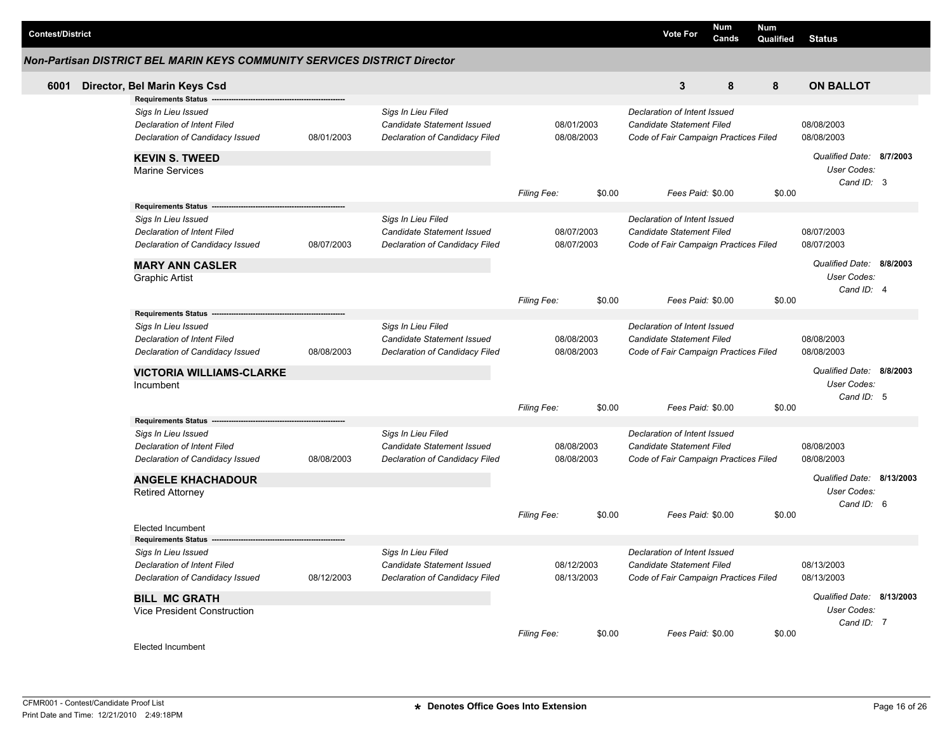| <b>Contest/District</b> |                                                                                                                            |            |                                                                                    |                    |                          | <b>Vote For</b>                                                                                    | Num<br>Cands | <b>Num</b><br>Qualified | <b>Status</b>                                          |  |
|-------------------------|----------------------------------------------------------------------------------------------------------------------------|------------|------------------------------------------------------------------------------------|--------------------|--------------------------|----------------------------------------------------------------------------------------------------|--------------|-------------------------|--------------------------------------------------------|--|
|                         | Non-Partisan DISTRICT BEL MARIN KEYS COMMUNITY SERVICES DISTRICT Director                                                  |            |                                                                                    |                    |                          |                                                                                                    |              |                         |                                                        |  |
| 6001                    | Director, Bel Marin Keys Csd                                                                                               |            |                                                                                    |                    |                          | 3                                                                                                  | 8            | 8                       | <b>ON BALLOT</b>                                       |  |
|                         | <b>Requirements Status</b><br>Sigs In Lieu Issued<br><b>Declaration of Intent Filed</b><br>Declaration of Candidacy Issued | 08/01/2003 | Sigs In Lieu Filed<br>Candidate Statement Issued<br>Declaration of Candidacy Filed |                    | 08/01/2003<br>08/08/2003 | Declaration of Intent Issued<br>Candidate Statement Filed<br>Code of Fair Campaign Practices Filed |              |                         | 08/08/2003<br>08/08/2003                               |  |
|                         | <b>KEVIN S. TWEED</b><br><b>Marine Services</b>                                                                            |            |                                                                                    | <b>Filing Fee:</b> | \$0.00                   | Fees Paid: \$0.00                                                                                  |              | \$0.00                  | Qualified Date: 8/7/2003<br>User Codes:<br>Cand ID: 3  |  |
|                         | <b>Requirements Status</b>                                                                                                 |            |                                                                                    |                    |                          |                                                                                                    |              |                         |                                                        |  |
|                         | Sigs In Lieu Issued<br><b>Declaration of Intent Filed</b><br>Declaration of Candidacy Issued<br><b>MARY ANN CASLER</b>     | 08/07/2003 | Sigs In Lieu Filed<br>Candidate Statement Issued<br>Declaration of Candidacy Filed |                    | 08/07/2003<br>08/07/2003 | Declaration of Intent Issued<br>Candidate Statement Filed<br>Code of Fair Campaign Practices Filed |              |                         | 08/07/2003<br>08/07/2003<br>Qualified Date: 8/8/2003   |  |
|                         | Graphic Artist                                                                                                             |            |                                                                                    | Filing Fee:        | \$0.00                   | Fees Paid: \$0.00                                                                                  |              | \$0.00                  | User Codes:<br>Cand ID: 4                              |  |
|                         | Requirements Status ---                                                                                                    |            |                                                                                    |                    |                          |                                                                                                    |              |                         |                                                        |  |
|                         | Sigs In Lieu Issued<br><b>Declaration of Intent Filed</b><br>Declaration of Candidacy Issued                               | 08/08/2003 | Sigs In Lieu Filed<br>Candidate Statement Issued<br>Declaration of Candidacy Filed |                    | 08/08/2003<br>08/08/2003 | Declaration of Intent Issued<br>Candidate Statement Filed<br>Code of Fair Campaign Practices Filed |              |                         | 08/08/2003<br>08/08/2003                               |  |
|                         | <b>VICTORIA WILLIAMS-CLARKE</b><br>Incumbent                                                                               |            |                                                                                    |                    |                          |                                                                                                    |              |                         | Qualified Date: 8/8/2003<br>User Codes:<br>Cand ID: 5  |  |
|                         |                                                                                                                            |            |                                                                                    | <b>Filing Fee:</b> | \$0.00                   | Fees Paid: \$0.00                                                                                  |              | \$0.00                  |                                                        |  |
|                         | Requirements Status --<br>Sigs In Lieu Issued                                                                              |            | Sigs In Lieu Filed                                                                 |                    |                          | Declaration of Intent Issued                                                                       |              |                         |                                                        |  |
|                         | <b>Declaration of Intent Filed</b><br>Declaration of Candidacy Issued                                                      | 08/08/2003 | Candidate Statement Issued<br>Declaration of Candidacy Filed                       |                    | 08/08/2003<br>08/08/2003 | Candidate Statement Filed<br>Code of Fair Campaign Practices Filed                                 |              |                         | 08/08/2003<br>08/08/2003                               |  |
|                         | <b>ANGELE KHACHADOUR</b><br><b>Retired Attorney</b>                                                                        |            |                                                                                    |                    |                          |                                                                                                    |              |                         | Qualified Date: 8/13/2003<br>User Codes:<br>Cand ID: 6 |  |
|                         | <b>Elected Incumbent</b><br>Requirements Status --                                                                         |            |                                                                                    | <b>Filing Fee:</b> | \$0.00                   | Fees Paid: \$0.00                                                                                  |              | \$0.00                  |                                                        |  |
|                         | Sigs In Lieu Issued                                                                                                        |            | Sigs In Lieu Filed                                                                 |                    |                          | Declaration of Intent Issued                                                                       |              |                         |                                                        |  |
|                         | Declaration of Intent Filed<br>Declaration of Candidacy Issued                                                             | 08/12/2003 | Candidate Statement Issued<br>Declaration of Candidacy Filed                       |                    | 08/12/2003<br>08/13/2003 | Candidate Statement Filed<br>Code of Fair Campaign Practices Filed                                 |              |                         | 08/13/2003<br>08/13/2003                               |  |
|                         | <b>BILL MC GRATH</b><br>Vice President Construction                                                                        |            |                                                                                    |                    |                          |                                                                                                    |              |                         | Qualified Date: 8/13/2003<br>User Codes:<br>Cand ID: 7 |  |
|                         | Elected Incumbent                                                                                                          |            |                                                                                    | <b>Filing Fee:</b> | \$0.00                   | Fees Paid: \$0.00                                                                                  |              | \$0.00                  |                                                        |  |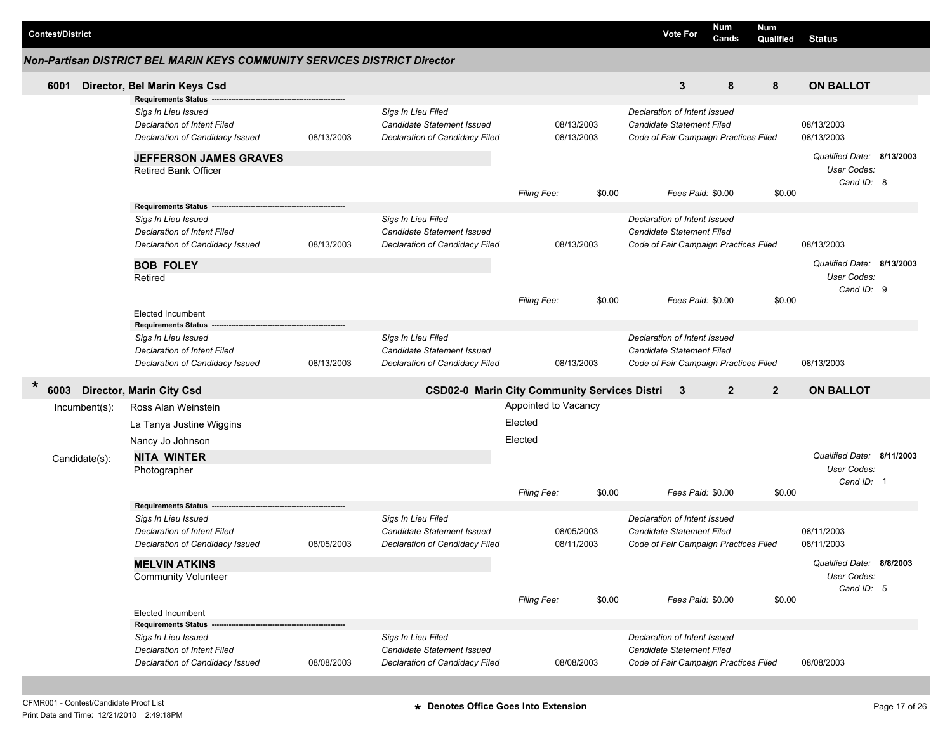| <b>Contest/District</b> |                                                                           |            |                                                              |                      |                          |        |                                                                    | <b>Vote For</b>   | <b>Num</b><br>Cands | <b>Num</b><br>Qualified | <b>Status</b>                            |  |
|-------------------------|---------------------------------------------------------------------------|------------|--------------------------------------------------------------|----------------------|--------------------------|--------|--------------------------------------------------------------------|-------------------|---------------------|-------------------------|------------------------------------------|--|
|                         | Non-Partisan DISTRICT BEL MARIN KEYS COMMUNITY SERVICES DISTRICT Director |            |                                                              |                      |                          |        |                                                                    |                   |                     |                         |                                          |  |
| 6001                    | Director, Bel Marin Keys Csd                                              |            |                                                              |                      |                          |        |                                                                    | 3                 | 8                   | 8                       | <b>ON BALLOT</b>                         |  |
|                         | <b>Requirements Status</b>                                                |            |                                                              |                      |                          |        |                                                                    |                   |                     |                         |                                          |  |
|                         | Sigs In Lieu Issued<br>Declaration of Intent Filed                        |            | Sigs In Lieu Filed<br>Candidate Statement Issued             |                      | 08/13/2003               |        | Declaration of Intent Issued<br>Candidate Statement Filed          |                   |                     |                         | 08/13/2003                               |  |
|                         | Declaration of Candidacy Issued                                           | 08/13/2003 | Declaration of Candidacy Filed                               |                      | 08/13/2003               |        | Code of Fair Campaign Practices Filed                              |                   |                     |                         | 08/13/2003                               |  |
|                         | <b>JEFFERSON JAMES GRAVES</b>                                             |            |                                                              |                      |                          |        |                                                                    |                   |                     |                         | Qualified Date: 8/13/2003                |  |
|                         | <b>Retired Bank Officer</b>                                               |            |                                                              |                      |                          |        |                                                                    |                   |                     |                         | User Codes:<br>Cand ID: 8                |  |
|                         |                                                                           |            |                                                              | <b>Filing Fee:</b>   |                          | \$0.00 |                                                                    | Fees Paid: \$0.00 |                     | \$0.00                  |                                          |  |
|                         | <b>Requirements Status</b>                                                |            |                                                              |                      |                          |        |                                                                    |                   |                     |                         |                                          |  |
|                         | Sigs In Lieu Issued                                                       |            | Sigs In Lieu Filed                                           |                      |                          |        | Declaration of Intent Issued                                       |                   |                     |                         |                                          |  |
|                         | Declaration of Intent Filed<br>Declaration of Candidacy Issued            | 08/13/2003 | Candidate Statement Issued<br>Declaration of Candidacy Filed |                      | 08/13/2003               |        | Candidate Statement Filed<br>Code of Fair Campaign Practices Filed |                   |                     |                         | 08/13/2003                               |  |
|                         | <b>BOB FOLEY</b>                                                          |            |                                                              |                      |                          |        |                                                                    |                   |                     |                         | Qualified Date: 8/13/2003                |  |
|                         | Retired                                                                   |            |                                                              |                      |                          |        |                                                                    |                   |                     |                         | User Codes:<br>Cand ID: 9                |  |
|                         |                                                                           |            |                                                              | Filing Fee:          |                          | \$0.00 |                                                                    | Fees Paid: \$0.00 |                     | \$0.00                  |                                          |  |
|                         | <b>Elected Incumbent</b><br><b>Requirements Status</b>                    |            |                                                              |                      |                          |        |                                                                    |                   |                     |                         |                                          |  |
|                         | Sigs In Lieu Issued                                                       |            | Sigs In Lieu Filed                                           |                      |                          |        | Declaration of Intent Issued                                       |                   |                     |                         |                                          |  |
|                         | Declaration of Intent Filed                                               |            | Candidate Statement Issued                                   |                      |                          |        | Candidate Statement Filed                                          |                   |                     |                         |                                          |  |
|                         | Declaration of Candidacy Issued                                           | 08/13/2003 | Declaration of Candidacy Filed                               |                      | 08/13/2003               |        | Code of Fair Campaign Practices Filed                              |                   |                     |                         | 08/13/2003                               |  |
| $\ast$<br>6003          | <b>Director, Marin City Csd</b>                                           |            | <b>CSD02-0 Marin City Community Services Distric</b>         |                      |                          |        |                                                                    | 3                 | $\overline{2}$      | $\overline{2}$          | <b>ON BALLOT</b>                         |  |
| Incumbent(s):           | Ross Alan Weinstein                                                       |            |                                                              | Appointed to Vacancy |                          |        |                                                                    |                   |                     |                         |                                          |  |
|                         | La Tanya Justine Wiggins                                                  |            |                                                              | Elected              |                          |        |                                                                    |                   |                     |                         |                                          |  |
|                         | Nancy Jo Johnson                                                          |            |                                                              | Elected              |                          |        |                                                                    |                   |                     |                         |                                          |  |
| Candidate(s):           | <b>NITA WINTER</b>                                                        |            |                                                              |                      |                          |        |                                                                    |                   |                     |                         | Qualified Date: 8/11/2003<br>User Codes: |  |
|                         | Photographer                                                              |            |                                                              |                      |                          |        |                                                                    |                   |                     |                         | Cand ID: 1                               |  |
|                         |                                                                           |            |                                                              | Filing Fee:          |                          | \$0.00 |                                                                    | Fees Paid: \$0.00 |                     | \$0.00                  |                                          |  |
|                         | <b>Requirements Status</b>                                                |            |                                                              |                      |                          |        |                                                                    |                   |                     |                         |                                          |  |
|                         | Sigs In Lieu Issued                                                       |            | Sigs In Lieu Filed                                           |                      |                          |        | Declaration of Intent Issued                                       |                   |                     |                         |                                          |  |
|                         | Declaration of Intent Filed<br>Declaration of Candidacy Issued            | 08/05/2003 | Candidate Statement Issued<br>Declaration of Candidacy Filed |                      | 08/05/2003<br>08/11/2003 |        | Candidate Statement Filed<br>Code of Fair Campaign Practices Filed |                   |                     |                         | 08/11/2003<br>08/11/2003                 |  |
|                         |                                                                           |            |                                                              |                      |                          |        |                                                                    |                   |                     |                         |                                          |  |
|                         | <b>MELVIN ATKINS</b>                                                      |            |                                                              |                      |                          |        |                                                                    |                   |                     |                         | Qualified Date: 8/8/2003<br>User Codes:  |  |
|                         | <b>Community Volunteer</b>                                                |            |                                                              |                      |                          |        |                                                                    |                   |                     |                         | Cand ID: 5                               |  |
|                         |                                                                           |            |                                                              | Filing Fee:          |                          | \$0.00 |                                                                    | Fees Paid: \$0.00 |                     | \$0.00                  |                                          |  |
|                         | <b>Elected Incumbent</b>                                                  |            |                                                              |                      |                          |        |                                                                    |                   |                     |                         |                                          |  |
|                         | <b>Requirements Status</b><br>Sigs In Lieu Issued                         |            | Sigs In Lieu Filed                                           |                      |                          |        | Declaration of Intent Issued                                       |                   |                     |                         |                                          |  |
|                         | Declaration of Intent Filed                                               |            | Candidate Statement Issued                                   |                      |                          |        | Candidate Statement Filed                                          |                   |                     |                         |                                          |  |
|                         | Declaration of Candidacy Issued                                           | 08/08/2003 | Declaration of Candidacy Filed                               |                      | 08/08/2003               |        | Code of Fair Campaign Practices Filed                              |                   |                     |                         | 08/08/2003                               |  |
|                         |                                                                           |            |                                                              |                      |                          |        |                                                                    |                   |                     |                         |                                          |  |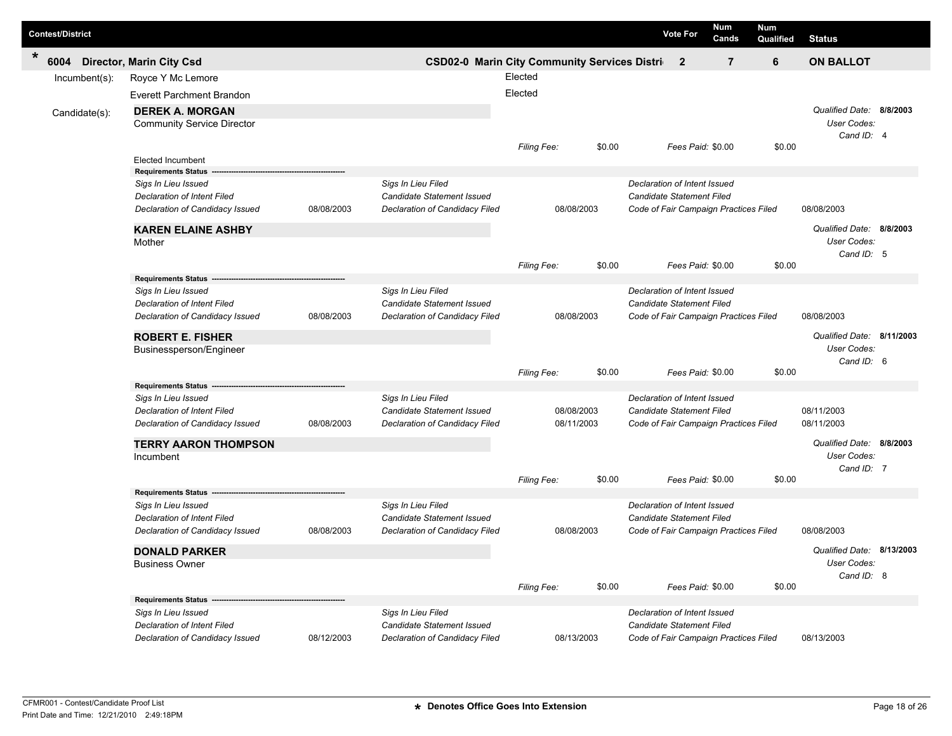| <b>Contest/District</b> |                                                   |            |                                                              |                                                         |        |                                  | <b>Vote For</b>   | Num<br>Cands                          | <b>Num</b><br>Qualified | <b>Status</b>             |  |
|-------------------------|---------------------------------------------------|------------|--------------------------------------------------------------|---------------------------------------------------------|--------|----------------------------------|-------------------|---------------------------------------|-------------------------|---------------------------|--|
| *<br>6004               | <b>Director, Marin City Csd</b>                   |            |                                                              | <b>CSD02-0 Marin City Community Services Districe 2</b> |        |                                  |                   | $\overline{7}$                        | 6                       | <b>ON BALLOT</b>          |  |
| Incumbent(s):           | Royce Y Mc Lemore                                 |            |                                                              | Elected                                                 |        |                                  |                   |                                       |                         |                           |  |
|                         | Everett Parchment Brandon                         |            |                                                              | Elected                                                 |        |                                  |                   |                                       |                         |                           |  |
| Candidate(s):           | <b>DEREK A. MORGAN</b>                            |            |                                                              |                                                         |        |                                  |                   |                                       |                         | Qualified Date: 8/8/2003  |  |
|                         | <b>Community Service Director</b>                 |            |                                                              |                                                         |        |                                  |                   |                                       |                         | User Codes:               |  |
|                         |                                                   |            |                                                              | <b>Filing Fee:</b>                                      | \$0.00 |                                  | Fees Paid: \$0.00 |                                       | \$0.00                  | Cand ID: 4                |  |
|                         | Elected Incumbent                                 |            |                                                              |                                                         |        |                                  |                   |                                       |                         |                           |  |
|                         | <b>Requirements Status</b>                        |            |                                                              |                                                         |        |                                  |                   |                                       |                         |                           |  |
|                         | Sigs In Lieu Issued                               |            | Sigs In Lieu Filed                                           |                                                         |        | Declaration of Intent Issued     |                   |                                       |                         |                           |  |
|                         | Declaration of Intent Filed                       |            | Candidate Statement Issued<br>Declaration of Candidacy Filed | 08/08/2003                                              |        | <b>Candidate Statement Filed</b> |                   |                                       |                         | 08/08/2003                |  |
|                         | Declaration of Candidacy Issued                   | 08/08/2003 |                                                              |                                                         |        |                                  |                   | Code of Fair Campaign Practices Filed |                         |                           |  |
|                         | <b>KAREN ELAINE ASHBY</b>                         |            |                                                              |                                                         |        |                                  |                   |                                       |                         | Qualified Date: 8/8/2003  |  |
|                         | Mother                                            |            |                                                              |                                                         |        |                                  |                   |                                       |                         | User Codes:<br>Cand ID: 5 |  |
|                         |                                                   |            |                                                              | Filing Fee:                                             | \$0.00 |                                  | Fees Paid: \$0.00 |                                       | \$0.00                  |                           |  |
|                         | Requirements Status -                             |            |                                                              |                                                         |        |                                  |                   |                                       |                         |                           |  |
|                         | Sigs In Lieu Issued                               |            | Sigs In Lieu Filed                                           |                                                         |        | Declaration of Intent Issued     |                   |                                       |                         |                           |  |
|                         | <b>Declaration of Intent Filed</b>                |            | Candidate Statement Issued                                   |                                                         |        | <b>Candidate Statement Filed</b> |                   |                                       |                         |                           |  |
|                         | Declaration of Candidacy Issued                   | 08/08/2003 | Declaration of Candidacy Filed                               | 08/08/2003                                              |        |                                  |                   | Code of Fair Campaign Practices Filed |                         | 08/08/2003                |  |
|                         | <b>ROBERT E. FISHER</b>                           |            |                                                              |                                                         |        |                                  |                   |                                       |                         | Qualified Date: 8/11/2003 |  |
|                         | Businessperson/Engineer                           |            |                                                              |                                                         |        |                                  |                   |                                       |                         | User Codes:               |  |
|                         |                                                   |            |                                                              |                                                         |        |                                  |                   |                                       |                         | Cand ID: 6                |  |
|                         | <b>Requirements Status</b>                        |            |                                                              | Filing Fee:                                             | \$0.00 |                                  | Fees Paid: \$0.00 |                                       | \$0.00                  |                           |  |
|                         | Sigs In Lieu Issued                               |            | Sigs In Lieu Filed                                           |                                                         |        | Declaration of Intent Issued     |                   |                                       |                         |                           |  |
|                         | Declaration of Intent Filed                       |            | Candidate Statement Issued                                   | 08/08/2003                                              |        | Candidate Statement Filed        |                   |                                       |                         | 08/11/2003                |  |
|                         | Declaration of Candidacy Issued                   | 08/08/2003 | Declaration of Candidacy Filed                               | 08/11/2003                                              |        |                                  |                   | Code of Fair Campaign Practices Filed |                         | 08/11/2003                |  |
|                         | <b>TERRY AARON THOMPSON</b>                       |            |                                                              |                                                         |        |                                  |                   |                                       |                         | Qualified Date: 8/8/2003  |  |
|                         | Incumbent                                         |            |                                                              |                                                         |        |                                  |                   |                                       |                         | User Codes:               |  |
|                         |                                                   |            |                                                              |                                                         |        |                                  |                   |                                       |                         | Cand ID: 7                |  |
|                         |                                                   |            |                                                              | Filing Fee:                                             | \$0.00 |                                  | Fees Paid: \$0.00 |                                       | \$0.00                  |                           |  |
|                         | <b>Requirements Status</b><br>Sigs In Lieu Issued |            | Sigs In Lieu Filed                                           |                                                         |        | Declaration of Intent Issued     |                   |                                       |                         |                           |  |
|                         | Declaration of Intent Filed                       |            | Candidate Statement Issued                                   |                                                         |        | Candidate Statement Filed        |                   |                                       |                         |                           |  |
|                         | Declaration of Candidacy Issued                   | 08/08/2003 | Declaration of Candidacy Filed                               | 08/08/2003                                              |        |                                  |                   | Code of Fair Campaign Practices Filed |                         | 08/08/2003                |  |
|                         |                                                   |            |                                                              |                                                         |        |                                  |                   |                                       |                         | Qualified Date: 8/13/2003 |  |
|                         | <b>DONALD PARKER</b><br><b>Business Owner</b>     |            |                                                              |                                                         |        |                                  |                   |                                       |                         | User Codes:               |  |
|                         |                                                   |            |                                                              |                                                         |        |                                  |                   |                                       |                         | Cand ID: 8                |  |
|                         |                                                   |            |                                                              | Filing Fee:                                             | \$0.00 |                                  | Fees Paid: \$0.00 |                                       | \$0.00                  |                           |  |
|                         | <b>Requirements Status</b>                        |            |                                                              |                                                         |        |                                  |                   |                                       |                         |                           |  |
|                         | Sigs In Lieu Issued                               |            | Sigs In Lieu Filed                                           |                                                         |        | Declaration of Intent Issued     |                   |                                       |                         |                           |  |
|                         | Declaration of Intent Filed                       |            | Candidate Statement Issued                                   |                                                         |        | Candidate Statement Filed        |                   |                                       |                         |                           |  |
|                         | Declaration of Candidacy Issued                   | 08/12/2003 | Declaration of Candidacy Filed                               | 08/13/2003                                              |        |                                  |                   | Code of Fair Campaign Practices Filed |                         | 08/13/2003                |  |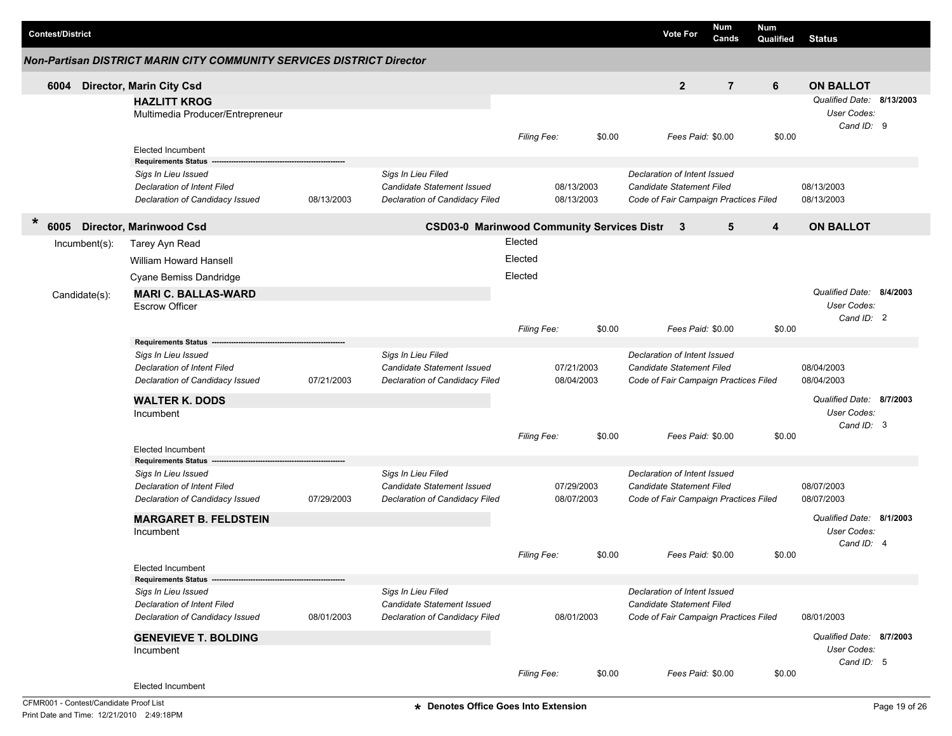|        | <b>Contest/District</b> |                                                                                                                     |                                                                                       |            |                                                                                           |                    |                          |        | <b>Vote For</b>                                                                                           | <b>Num</b><br>Cands | <b>Num</b><br>Qualified | <b>Status</b>                                          |  |
|--------|-------------------------|---------------------------------------------------------------------------------------------------------------------|---------------------------------------------------------------------------------------|------------|-------------------------------------------------------------------------------------------|--------------------|--------------------------|--------|-----------------------------------------------------------------------------------------------------------|---------------------|-------------------------|--------------------------------------------------------|--|
|        |                         |                                                                                                                     | Non-Partisan DISTRICT MARIN CITY COMMUNITY SERVICES DISTRICT Director                 |            |                                                                                           |                    |                          |        |                                                                                                           |                     |                         |                                                        |  |
|        | 6004                    |                                                                                                                     | <b>Director, Marin City Csd</b>                                                       |            |                                                                                           |                    |                          |        | $\mathbf{2}$                                                                                              | $\overline{7}$      | 6                       | <b>ON BALLOT</b>                                       |  |
|        |                         |                                                                                                                     | <b>HAZLITT KROG</b><br>Multimedia Producer/Entrepreneur                               |            |                                                                                           |                    |                          |        |                                                                                                           |                     |                         | Qualified Date: 8/13/2003<br>User Codes:<br>Cand ID: 9 |  |
|        |                         |                                                                                                                     | <b>Elected Incumbent</b><br><b>Requirements Status</b>                                |            |                                                                                           | Filing Fee:        |                          | \$0.00 | Fees Paid: \$0.00                                                                                         |                     | \$0.00                  |                                                        |  |
|        |                         |                                                                                                                     | Sigs In Lieu Issued<br>Declaration of Intent Filed<br>Declaration of Candidacy Issued | 08/13/2003 | Sigs In Lieu Filed<br>Candidate Statement Issued<br>Declaration of Candidacy Filed        |                    | 08/13/2003<br>08/13/2003 |        | Declaration of Intent Issued<br>Candidate Statement Filed<br>Code of Fair Campaign Practices Filed        |                     |                         | 08/13/2003<br>08/13/2003                               |  |
| $\ast$ | 6005                    |                                                                                                                     | <b>Director, Marinwood Csd</b>                                                        |            | <b>CSD03-0 Marinwood Community Services Distr</b>                                         |                    |                          |        | $\mathbf{3}$                                                                                              | 5                   | 4                       | <b>ON BALLOT</b>                                       |  |
|        |                         | Incumbent(s):                                                                                                       | Tarey Ayn Read                                                                        |            |                                                                                           | Elected            |                          |        |                                                                                                           |                     |                         |                                                        |  |
|        |                         |                                                                                                                     | <b>William Howard Hansell</b>                                                         |            |                                                                                           | Elected            |                          |        |                                                                                                           |                     |                         |                                                        |  |
|        |                         |                                                                                                                     | Cyane Bemiss Dandridge                                                                |            |                                                                                           | Elected            |                          |        |                                                                                                           |                     |                         |                                                        |  |
|        |                         | Candidate(s):                                                                                                       | <b>MARI C. BALLAS-WARD</b><br><b>Escrow Officer</b>                                   |            |                                                                                           |                    |                          |        |                                                                                                           |                     |                         | Qualified Date: 8/4/2003<br>User Codes:<br>Cand ID: 2  |  |
|        |                         |                                                                                                                     |                                                                                       |            |                                                                                           | Filing Fee:        |                          | \$0.00 | Fees Paid: \$0.00                                                                                         |                     | \$0.00                  |                                                        |  |
|        |                         | <b>Requirements Status</b><br>Sigs In Lieu Issued<br>Declaration of Intent Filed<br>Declaration of Candidacy Issued |                                                                                       | 07/21/2003 | Sigs In Lieu Filed<br>Candidate Statement Issued<br>Declaration of Candidacy Filed        |                    | 07/21/2003<br>08/04/2003 |        | Declaration of Intent Issued<br>Candidate Statement Filed<br>Code of Fair Campaign Practices Filed        |                     |                         | 08/04/2003<br>08/04/2003                               |  |
|        |                         |                                                                                                                     | <b>WALTER K. DODS</b>                                                                 |            |                                                                                           |                    |                          |        |                                                                                                           |                     |                         | Qualified Date: 8/7/2003                               |  |
|        |                         |                                                                                                                     | Incumbent                                                                             |            |                                                                                           | <b>Filing Fee:</b> |                          | \$0.00 | Fees Paid: \$0.00                                                                                         |                     | \$0.00                  | User Codes:<br>Cand ID: 3                              |  |
|        |                         |                                                                                                                     | <b>Elected Incumbent</b><br><b>Requirements Status</b>                                |            |                                                                                           |                    |                          |        |                                                                                                           |                     |                         |                                                        |  |
|        |                         |                                                                                                                     | Sigs In Lieu Issued<br>Declaration of Intent Filed<br>Declaration of Candidacy Issued | 07/29/2003 | Sigs In Lieu Filed<br>Candidate Statement Issued<br>Declaration of Candidacy Filed        |                    | 07/29/2003<br>08/07/2003 |        | Declaration of Intent Issued<br>Candidate Statement Filed<br>Code of Fair Campaign Practices Filed        |                     |                         | 08/07/2003<br>08/07/2003                               |  |
|        |                         |                                                                                                                     | <b>MARGARET B. FELDSTEIN</b><br>Incumbent                                             |            |                                                                                           |                    |                          |        |                                                                                                           |                     |                         | Qualified Date: 8/1/2003<br>User Codes:<br>Cand ID: 4  |  |
|        |                         |                                                                                                                     | Elected Incumbent                                                                     |            |                                                                                           | Filing Fee:        |                          | \$0.00 | Fees Paid: \$0.00                                                                                         |                     | \$0.00                  |                                                        |  |
|        |                         |                                                                                                                     | <b>Requirements Status</b>                                                            |            |                                                                                           |                    |                          |        |                                                                                                           |                     |                         |                                                        |  |
|        |                         |                                                                                                                     | Sigs In Lieu Issued<br>Declaration of Intent Filed<br>Declaration of Candidacy Issued | 08/01/2003 | Sigs In Lieu Filed<br><b>Candidate Statement Issued</b><br>Declaration of Candidacy Filed |                    | 08/01/2003               |        | Declaration of Intent Issued<br><b>Candidate Statement Filed</b><br>Code of Fair Campaign Practices Filed |                     |                         | 08/01/2003                                             |  |
|        |                         |                                                                                                                     | <b>GENEVIEVE T. BOLDING</b><br>Incumbent                                              |            |                                                                                           |                    |                          |        |                                                                                                           |                     |                         | Qualified Date: 8/7/2003<br>User Codes:<br>Cand ID: 5  |  |
|        |                         |                                                                                                                     | Elected Incumbent                                                                     |            |                                                                                           | Filing Fee:        |                          | \$0.00 | Fees Paid: \$0.00                                                                                         |                     | \$0.00                  |                                                        |  |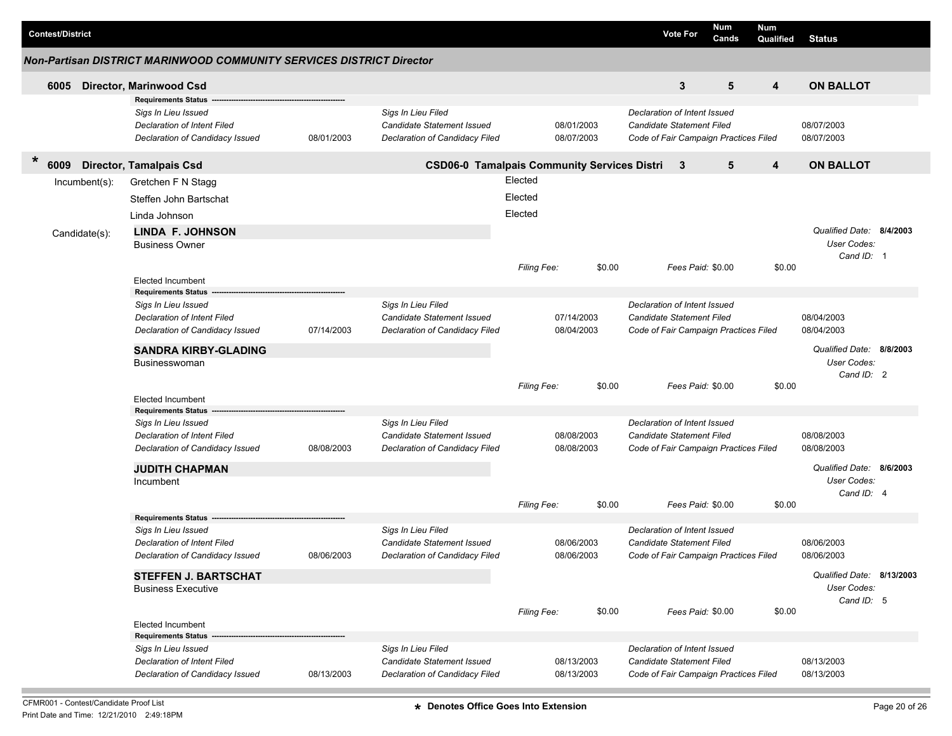| <b>Contest/District</b> |                                                                                       |            |                                                                                    |                    |                          |        |                                                                                                    | <b>Vote For</b>   | Num<br>Cands | <b>Num</b><br>Qualified | <b>Status</b>                                          |  |
|-------------------------|---------------------------------------------------------------------------------------|------------|------------------------------------------------------------------------------------|--------------------|--------------------------|--------|----------------------------------------------------------------------------------------------------|-------------------|--------------|-------------------------|--------------------------------------------------------|--|
|                         | <b>Non-Partisan DISTRICT MARINWOOD COMMUNITY SERVICES DISTRICT Director</b>           |            |                                                                                    |                    |                          |        |                                                                                                    |                   |              |                         |                                                        |  |
| 6005                    | <b>Director, Marinwood Csd</b>                                                        |            |                                                                                    |                    |                          |        |                                                                                                    | 3                 | 5            | 4                       | <b>ON BALLOT</b>                                       |  |
|                         | <b>Requirements Status</b>                                                            |            |                                                                                    |                    |                          |        |                                                                                                    |                   |              |                         |                                                        |  |
|                         | Sigs In Lieu Issued<br>Declaration of Intent Filed<br>Declaration of Candidacy Issued | 08/01/2003 | Sigs In Lieu Filed<br>Candidate Statement Issued<br>Declaration of Candidacy Filed |                    | 08/01/2003<br>08/07/2003 |        | Declaration of Intent Issued<br>Candidate Statement Filed<br>Code of Fair Campaign Practices Filed |                   |              |                         | 08/07/2003<br>08/07/2003                               |  |
| *<br>6009               | <b>Director, Tamalpais Csd</b>                                                        |            | CSD06-0 Tamalpais Community Services Distri 3                                      |                    |                          |        |                                                                                                    |                   | 5            | 4                       | <b>ON BALLOT</b>                                       |  |
| Incumbent(s):           | Gretchen F N Stagg                                                                    |            |                                                                                    | Elected            |                          |        |                                                                                                    |                   |              |                         |                                                        |  |
|                         | Steffen John Bartschat                                                                |            |                                                                                    | Elected            |                          |        |                                                                                                    |                   |              |                         |                                                        |  |
|                         | Linda Johnson                                                                         |            |                                                                                    | Elected            |                          |        |                                                                                                    |                   |              |                         |                                                        |  |
|                         | <b>LINDA F. JOHNSON</b>                                                               |            |                                                                                    |                    |                          |        |                                                                                                    |                   |              |                         | Qualified Date: 8/4/2003                               |  |
| Candidate(s):           | <b>Business Owner</b>                                                                 |            |                                                                                    |                    |                          |        |                                                                                                    |                   |              |                         | User Codes:                                            |  |
|                         |                                                                                       |            |                                                                                    |                    |                          |        |                                                                                                    |                   |              |                         | Cand ID: 1                                             |  |
|                         |                                                                                       |            |                                                                                    | <b>Filing Fee:</b> |                          | \$0.00 |                                                                                                    | Fees Paid: \$0.00 |              | \$0.00                  |                                                        |  |
|                         | <b>Elected Incumbent</b><br><b>Requirements Status</b>                                |            |                                                                                    |                    |                          |        |                                                                                                    |                   |              |                         |                                                        |  |
|                         | Sigs In Lieu Issued                                                                   |            | Sigs In Lieu Filed                                                                 |                    |                          |        | Declaration of Intent Issued                                                                       |                   |              |                         |                                                        |  |
|                         | <b>Declaration of Intent Filed</b>                                                    |            | Candidate Statement Issued                                                         |                    | 07/14/2003               |        | Candidate Statement Filed                                                                          |                   |              |                         | 08/04/2003                                             |  |
|                         | Declaration of Candidacy Issued                                                       | 07/14/2003 | Declaration of Candidacy Filed                                                     |                    | 08/04/2003               |        | Code of Fair Campaign Practices Filed                                                              |                   |              |                         | 08/04/2003                                             |  |
|                         | <b>SANDRA KIRBY-GLADING</b><br><b>Businesswoman</b>                                   |            |                                                                                    |                    |                          |        |                                                                                                    |                   |              |                         | Qualified Date: 8/8/2003<br>User Codes:<br>Cand ID: 2  |  |
|                         |                                                                                       |            |                                                                                    | <b>Filing Fee:</b> |                          | \$0.00 |                                                                                                    | Fees Paid: \$0.00 |              | \$0.00                  |                                                        |  |
|                         | <b>Elected Incumbent</b><br><b>Requirements Status</b>                                |            |                                                                                    |                    |                          |        |                                                                                                    |                   |              |                         |                                                        |  |
|                         | Sigs In Lieu Issued                                                                   |            | Sigs In Lieu Filed                                                                 |                    |                          |        | Declaration of Intent Issued                                                                       |                   |              |                         |                                                        |  |
|                         | Declaration of Intent Filed                                                           |            | Candidate Statement Issued                                                         |                    | 08/08/2003               |        | Candidate Statement Filed                                                                          |                   |              |                         | 08/08/2003                                             |  |
|                         | Declaration of Candidacy Issued                                                       | 08/08/2003 | Declaration of Candidacy Filed                                                     |                    | 08/08/2003               |        | Code of Fair Campaign Practices Filed                                                              |                   |              |                         | 08/08/2003                                             |  |
|                         | <b>JUDITH CHAPMAN</b>                                                                 |            |                                                                                    |                    |                          |        |                                                                                                    |                   |              |                         | Qualified Date: 8/6/2003                               |  |
|                         | Incumbent                                                                             |            |                                                                                    |                    |                          |        |                                                                                                    |                   |              |                         | User Codes:                                            |  |
|                         |                                                                                       |            |                                                                                    | Filing Fee:        |                          | \$0.00 |                                                                                                    | Fees Paid: \$0.00 |              | \$0.00                  | Cand ID: 4                                             |  |
|                         | <b>Requirements Status</b>                                                            |            |                                                                                    |                    |                          |        |                                                                                                    |                   |              |                         |                                                        |  |
|                         | Sigs In Lieu Issued                                                                   |            | Sigs In Lieu Filed                                                                 |                    |                          |        | Declaration of Intent Issued                                                                       |                   |              |                         |                                                        |  |
|                         | Declaration of Intent Filed                                                           |            | Candidate Statement Issued                                                         |                    | 08/06/2003               |        | Candidate Statement Filed                                                                          |                   |              |                         | 08/06/2003                                             |  |
|                         | Declaration of Candidacy Issued                                                       | 08/06/2003 | Declaration of Candidacy Filed                                                     |                    | 08/06/2003               |        | Code of Fair Campaign Practices Filed                                                              |                   |              |                         | 08/06/2003                                             |  |
|                         | <b>STEFFEN J. BARTSCHAT</b><br><b>Business Executive</b>                              |            |                                                                                    | Filing Fee:        |                          | \$0.00 |                                                                                                    | Fees Paid: \$0.00 |              | \$0.00                  | Qualified Date: 8/13/2003<br>User Codes:<br>Cand ID: 5 |  |
|                         | <b>Elected Incumbent</b>                                                              |            |                                                                                    |                    |                          |        |                                                                                                    |                   |              |                         |                                                        |  |
|                         | <b>Requirements Status</b>                                                            |            |                                                                                    |                    |                          |        |                                                                                                    |                   |              |                         |                                                        |  |
|                         | Sigs In Lieu Issued<br><b>Declaration of Intent Filed</b>                             |            | Sigs In Lieu Filed<br>Candidate Statement Issued                                   |                    | 08/13/2003               |        | Declaration of Intent Issued<br>Candidate Statement Filed                                          |                   |              |                         | 08/13/2003                                             |  |
|                         | Declaration of Candidacy Issued                                                       | 08/13/2003 | Declaration of Candidacy Filed                                                     |                    | 08/13/2003               |        | Code of Fair Campaign Practices Filed                                                              |                   |              |                         | 08/13/2003                                             |  |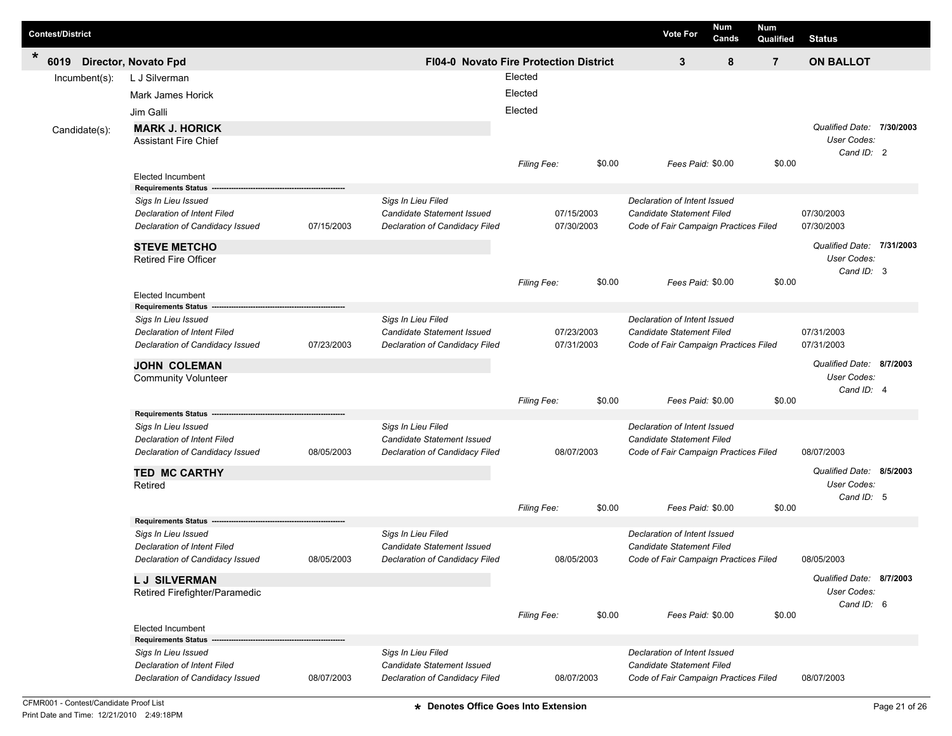| <b>Contest/District</b> |                                                           |            |                                                  |                                        |        | <b>Vote For</b>                                                  | Num<br>Cands | Num<br>Qualified | <b>Status</b>                                                 |  |
|-------------------------|-----------------------------------------------------------|------------|--------------------------------------------------|----------------------------------------|--------|------------------------------------------------------------------|--------------|------------------|---------------------------------------------------------------|--|
| $\ast$<br>6019          | <b>Director, Novato Fpd</b>                               |            |                                                  | FI04-0 Novato Fire Protection District |        | 3                                                                | 8            | $\overline{7}$   | <b>ON BALLOT</b>                                              |  |
| Incumbent(s):           | L J Silverman                                             |            |                                                  | Elected                                |        |                                                                  |              |                  |                                                               |  |
|                         | Mark James Horick                                         |            |                                                  | Elected                                |        |                                                                  |              |                  |                                                               |  |
|                         | Jim Galli                                                 |            |                                                  | Elected                                |        |                                                                  |              |                  |                                                               |  |
| Candidate(s):           | <b>MARK J. HORICK</b><br><b>Assistant Fire Chief</b>      |            |                                                  |                                        |        |                                                                  |              |                  | Qualified Date: 7/30/2003<br>User Codes:<br>Cand ID: 2        |  |
|                         |                                                           |            |                                                  | Filing Fee:                            | \$0.00 | Fees Paid: \$0.00                                                |              | \$0.00           |                                                               |  |
|                         | <b>Elected Incumbent</b><br><b>Requirements Status</b>    |            |                                                  |                                        |        |                                                                  |              |                  |                                                               |  |
|                         | Sigs In Lieu Issued<br>Declaration of Intent Filed        |            | Sigs In Lieu Filed<br>Candidate Statement Issued | 07/15/2003                             |        | Declaration of Intent Issued<br>Candidate Statement Filed        |              |                  | 07/30/2003                                                    |  |
|                         | Declaration of Candidacy Issued                           | 07/15/2003 | Declaration of Candidacy Filed                   | 07/30/2003                             |        | Code of Fair Campaign Practices Filed                            |              |                  | 07/30/2003                                                    |  |
|                         | <b>STEVE METCHO</b><br><b>Retired Fire Officer</b>        |            |                                                  |                                        |        |                                                                  |              |                  | Qualified Date: 7/31/2003<br><b>User Codes:</b><br>Cand ID: 3 |  |
|                         | <b>Elected Incumbent</b>                                  |            |                                                  | Filing Fee:                            | \$0.00 | Fees Paid: \$0.00                                                |              | \$0.00           |                                                               |  |
|                         | <b>Requirements Status</b>                                |            |                                                  |                                        |        |                                                                  |              |                  |                                                               |  |
|                         | Sigs In Lieu Issued<br><b>Declaration of Intent Filed</b> |            | Sigs In Lieu Filed<br>Candidate Statement Issued | 07/23/2003                             |        | Declaration of Intent Issued<br><b>Candidate Statement Filed</b> |              |                  | 07/31/2003                                                    |  |
|                         | Declaration of Candidacy Issued                           | 07/23/2003 | Declaration of Candidacy Filed                   | 07/31/2003                             |        | Code of Fair Campaign Practices Filed                            |              |                  | 07/31/2003                                                    |  |
|                         | <b>JOHN COLEMAN</b><br><b>Community Volunteer</b>         |            |                                                  |                                        |        |                                                                  |              |                  | Qualified Date: 8/7/2003<br>User Codes:                       |  |
|                         |                                                           |            |                                                  | Filing Fee:                            | \$0.00 | Fees Paid: \$0.00                                                |              | \$0.00           | Cand ID: 4                                                    |  |
|                         | <b>Requirements Status</b>                                |            |                                                  |                                        |        |                                                                  |              |                  |                                                               |  |
|                         | Sigs In Lieu Issued<br><b>Declaration of Intent Filed</b> |            | Sigs In Lieu Filed<br>Candidate Statement Issued |                                        |        | Declaration of Intent Issued<br>Candidate Statement Filed        |              |                  |                                                               |  |
|                         | Declaration of Candidacy Issued                           | 08/05/2003 | Declaration of Candidacy Filed                   | 08/07/2003                             |        | Code of Fair Campaign Practices Filed                            |              |                  | 08/07/2003                                                    |  |
|                         | <b>TED MC CARTHY</b><br>Retired                           |            |                                                  |                                        |        |                                                                  |              |                  | Qualified Date: 8/5/2003<br>User Codes:                       |  |
|                         |                                                           |            |                                                  | Filing Fee:                            | \$0.00 | Fees Paid: \$0.00                                                |              | \$0.00           | Cand ID: 5                                                    |  |
|                         | <b>Requirements Status</b><br>Sigs In Lieu Issued         |            | Sigs In Lieu Filed                               |                                        |        | Declaration of Intent Issued                                     |              |                  |                                                               |  |
|                         | Declaration of Intent Filed                               |            | Candidate Statement Issued                       |                                        |        | Candidate Statement Filed                                        |              |                  |                                                               |  |
|                         | Declaration of Candidacy Issued                           | 08/05/2003 | Declaration of Candidacy Filed                   | 08/05/2003                             |        | Code of Fair Campaign Practices Filed                            |              |                  | 08/05/2003                                                    |  |
|                         | <b>LJ SILVERMAN</b><br>Retired Firefighter/Paramedic      |            |                                                  |                                        |        |                                                                  |              |                  | Qualified Date: 8/7/2003<br>User Codes:<br>Cand ID: 6         |  |
|                         | <b>Elected Incumbent</b>                                  |            |                                                  | Filing Fee:                            | \$0.00 | Fees Paid: \$0.00                                                |              | \$0.00           |                                                               |  |
|                         | <b>Requirements Status -</b>                              |            |                                                  |                                        |        |                                                                  |              |                  |                                                               |  |
|                         | Sigs In Lieu Issued<br>Declaration of Intent Filed        |            | Sigs In Lieu Filed<br>Candidate Statement Issued |                                        |        | Declaration of Intent Issued<br>Candidate Statement Filed        |              |                  |                                                               |  |
|                         | Declaration of Candidacy Issued                           | 08/07/2003 | Declaration of Candidacy Filed                   | 08/07/2003                             |        | Code of Fair Campaign Practices Filed                            |              |                  | 08/07/2003                                                    |  |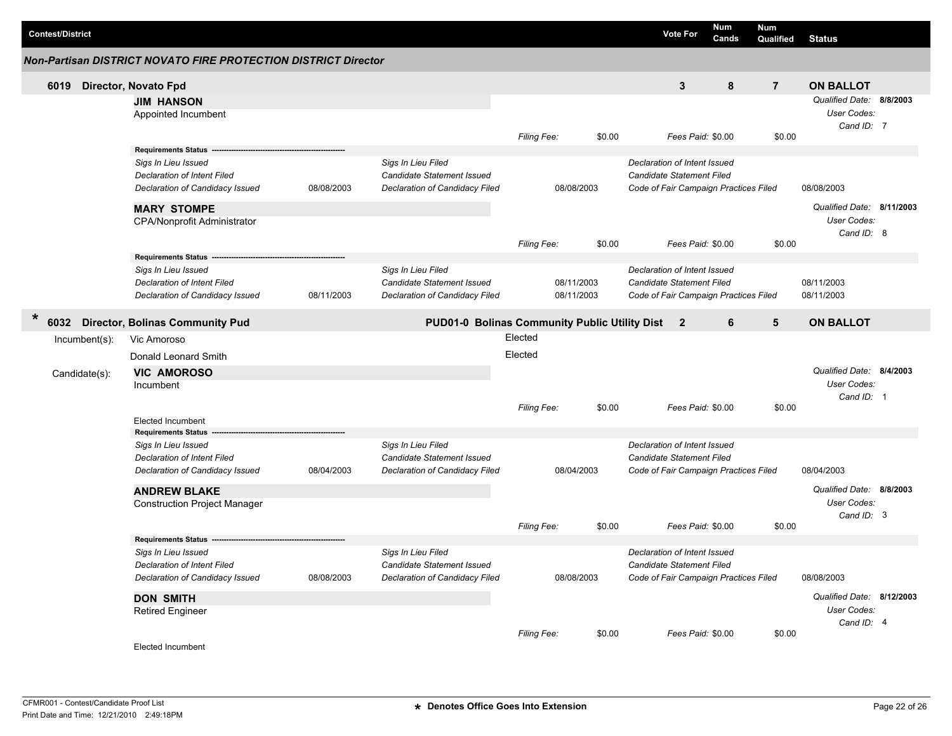| <b>Contest/District</b> |                                   |                                                                                                                                                   |            |                                                                                    |                    |                          | <b>Vote For</b>                                                                                    | Num<br>Cands | Num<br>Qualified | <b>Status</b>                                          |  |
|-------------------------|-----------------------------------|---------------------------------------------------------------------------------------------------------------------------------------------------|------------|------------------------------------------------------------------------------------|--------------------|--------------------------|----------------------------------------------------------------------------------------------------|--------------|------------------|--------------------------------------------------------|--|
|                         |                                   | Non-Partisan DISTRICT NOVATO FIRE PROTECTION DISTRICT Director                                                                                    |            |                                                                                    |                    |                          |                                                                                                    |              |                  |                                                        |  |
| 6019                    |                                   | Director, Novato Fpd                                                                                                                              |            |                                                                                    |                    |                          | 3                                                                                                  | 8            | $\overline{7}$   | <b>ON BALLOT</b>                                       |  |
|                         |                                   | <b>JIM HANSON</b><br>Appointed Incumbent                                                                                                          |            |                                                                                    | <b>Filing Fee:</b> | \$0.00                   | Fees Paid: \$0.00                                                                                  |              | \$0.00           | Qualified Date: 8/8/2003<br>User Codes:<br>Cand ID: 7  |  |
|                         |                                   | <b>Requirements Status</b><br>Sigs In Lieu Issued<br><b>Declaration of Intent Filed</b><br>Declaration of Candidacy Issued                        | 08/08/2003 | Sigs In Lieu Filed<br>Candidate Statement Issued<br>Declaration of Candidacy Filed |                    | 08/08/2003               | Declaration of Intent Issued<br>Candidate Statement Filed<br>Code of Fair Campaign Practices Filed |              |                  | 08/08/2003                                             |  |
|                         |                                   | <b>MARY STOMPE</b><br>CPA/Nonprofit Administrator                                                                                                 |            |                                                                                    | Filing Fee:        | \$0.00                   | Fees Paid: \$0.00                                                                                  |              | \$0.00           | Qualified Date: 8/11/2003<br>User Codes:<br>Cand ID: 8 |  |
|                         |                                   | Requirements Status -<br>Sigs In Lieu Issued<br>Declaration of Intent Filed<br>Declaration of Candidacy Issued                                    | 08/11/2003 | Sigs In Lieu Filed<br>Candidate Statement Issued<br>Declaration of Candidacy Filed |                    | 08/11/2003<br>08/11/2003 | Declaration of Intent Issued<br>Candidate Statement Filed<br>Code of Fair Campaign Practices Filed |              |                  | 08/11/2003<br>08/11/2003                               |  |
| $\star$<br>6032         |                                   | <b>Director, Bolinas Community Pud</b>                                                                                                            |            | PUD01-0 Bolinas Community Public Utility Dist 2                                    |                    |                          |                                                                                                    | 6            | 5                | <b>ON BALLOT</b>                                       |  |
|                         | $Incumbent(s)$ :<br>Candidate(s): | Vic Amoroso<br>Donald Leonard Smith<br><b>VIC AMOROSO</b><br>Incumbent                                                                            |            |                                                                                    | Elected<br>Elected |                          |                                                                                                    |              |                  | Qualified Date: 8/4/2003<br>User Codes:<br>Cand ID: 1  |  |
|                         |                                   | <b>Elected Incumbent</b>                                                                                                                          |            |                                                                                    | <b>Filing Fee:</b> | \$0.00                   | Fees Paid: \$0.00                                                                                  |              | \$0.00           |                                                        |  |
|                         |                                   | <b>Requirements Status</b><br>Sigs In Lieu Issued<br><b>Declaration of Intent Filed</b><br>Declaration of Candidacy Issued<br><b>ANDREW BLAKE</b> | 08/04/2003 | Sigs In Lieu Filed<br>Candidate Statement Issued<br>Declaration of Candidacy Filed |                    | 08/04/2003               | Declaration of Intent Issued<br>Candidate Statement Filed<br>Code of Fair Campaign Practices Filed |              |                  | 08/04/2003<br>Qualified Date: 8/8/2003                 |  |
|                         |                                   | <b>Construction Project Manager</b>                                                                                                               |            |                                                                                    | <b>Filing Fee:</b> | \$0.00                   | Fees Paid: \$0.00                                                                                  |              | \$0.00           | User Codes:<br>Cand ID: 3                              |  |
|                         |                                   | <b>Requirements Status</b><br>Sigs In Lieu Issued<br>Declaration of Intent Filed<br>Declaration of Candidacy Issued                               | 08/08/2003 | Sigs In Lieu Filed<br>Candidate Statement Issued<br>Declaration of Candidacy Filed |                    | 08/08/2003               | Declaration of Intent Issued<br>Candidate Statement Filed<br>Code of Fair Campaign Practices Filed |              |                  | 08/08/2003                                             |  |
|                         |                                   | <b>DON SMITH</b><br><b>Retired Engineer</b>                                                                                                       |            |                                                                                    |                    |                          |                                                                                                    |              |                  | Qualified Date: 8/12/2003<br>User Codes:<br>Cand ID: 4 |  |
|                         |                                   | Elected Incumbent                                                                                                                                 |            |                                                                                    | <b>Filing Fee:</b> | \$0.00                   | Fees Paid: \$0.00                                                                                  |              | \$0.00           |                                                        |  |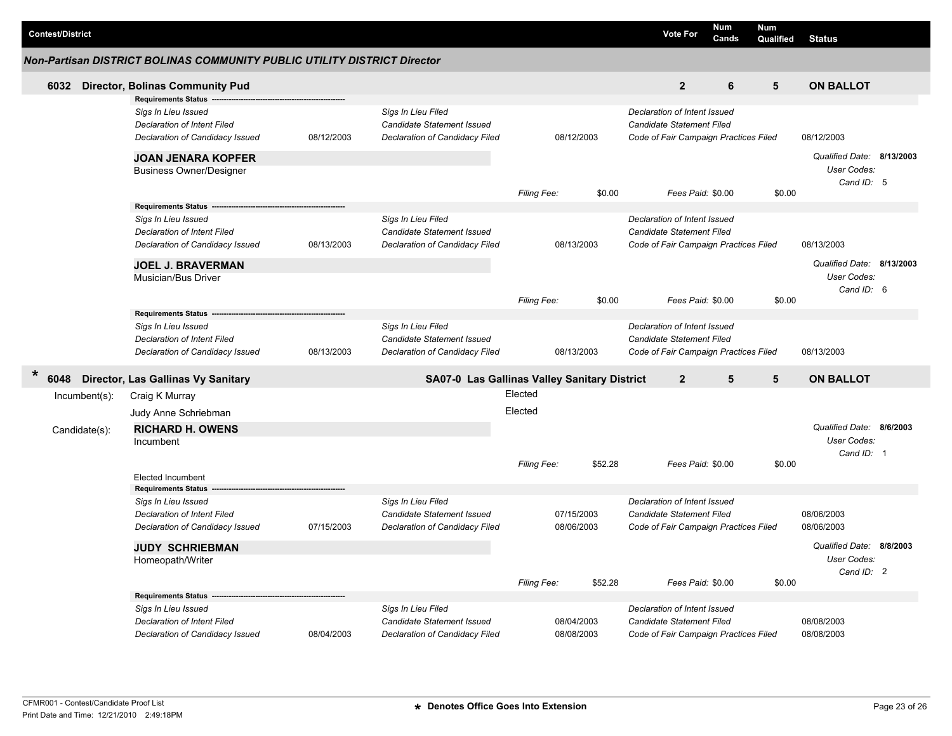| <b>Contest/District</b> |                                   |                                                                                                                            |            |                                                                                           |                    |                          |         | <b>Vote For</b>                                                                                    |                   | Num<br>Cands | <b>Num</b><br>Qualified | <b>Status</b>                                          |  |
|-------------------------|-----------------------------------|----------------------------------------------------------------------------------------------------------------------------|------------|-------------------------------------------------------------------------------------------|--------------------|--------------------------|---------|----------------------------------------------------------------------------------------------------|-------------------|--------------|-------------------------|--------------------------------------------------------|--|
|                         |                                   | Non-Partisan DISTRICT BOLINAS COMMUNITY PUBLIC UTILITY DISTRICT Director                                                   |            |                                                                                           |                    |                          |         |                                                                                                    |                   |              |                         |                                                        |  |
| 6032                    |                                   | <b>Director, Bolinas Community Pud</b>                                                                                     |            |                                                                                           |                    |                          |         |                                                                                                    | $\overline{2}$    | 6            | $5\phantom{1}$          | <b>ON BALLOT</b>                                       |  |
|                         |                                   | <b>Requirements Status</b><br>Sigs In Lieu Issued<br><b>Declaration of Intent Filed</b><br>Declaration of Candidacy Issued | 08/12/2003 | Sigs In Lieu Filed<br>Candidate Statement Issued<br>Declaration of Candidacy Filed        |                    | 08/12/2003               |         | Declaration of Intent Issued<br>Candidate Statement Filed<br>Code of Fair Campaign Practices Filed |                   |              |                         | 08/12/2003                                             |  |
|                         |                                   | <b>JOAN JENARA KOPFER</b><br><b>Business Owner/Designer</b>                                                                |            |                                                                                           | Filing Fee:        |                          | \$0.00  |                                                                                                    | Fees Paid: \$0.00 |              | \$0.00                  | Qualified Date: 8/13/2003<br>User Codes:<br>Cand ID: 5 |  |
|                         |                                   | <b>Requirements Status</b><br>Sigs In Lieu Issued<br><b>Declaration of Intent Filed</b><br>Declaration of Candidacy Issued | 08/13/2003 | Sigs In Lieu Filed<br>Candidate Statement Issued<br><b>Declaration of Candidacy Filed</b> |                    | 08/13/2003               |         | Declaration of Intent Issued<br>Candidate Statement Filed<br>Code of Fair Campaign Practices Filed |                   |              |                         | 08/13/2003                                             |  |
|                         |                                   | <b>JOEL J. BRAVERMAN</b><br>Musician/Bus Driver                                                                            |            |                                                                                           | Filing Fee:        |                          | \$0.00  |                                                                                                    | Fees Paid: \$0.00 |              | \$0.00                  | Qualified Date: 8/13/2003<br>User Codes:<br>Cand ID: 6 |  |
|                         |                                   | <b>Requirements Status</b><br>Sigs In Lieu Issued<br>Declaration of Intent Filed<br>Declaration of Candidacy Issued        | 08/13/2003 | Sigs In Lieu Filed<br>Candidate Statement Issued<br>Declaration of Candidacy Filed        |                    | 08/13/2003               |         | Declaration of Intent Issued<br>Candidate Statement Filed<br>Code of Fair Campaign Practices Filed |                   |              |                         | 08/13/2003                                             |  |
| $\star$<br>6048         |                                   | Director, Las Gallinas Vy Sanitary                                                                                         |            | SA07-0 Las Gallinas Valley Sanitary District                                              |                    |                          |         |                                                                                                    | $\overline{2}$    | 5            | 5                       | <b>ON BALLOT</b>                                       |  |
|                         | $Incumbent(s)$ :<br>Candidate(s): | Craig K Murray<br>Judy Anne Schriebman<br><b>RICHARD H. OWENS</b><br>Incumbent                                             |            |                                                                                           | Elected<br>Elected |                          |         |                                                                                                    |                   |              |                         | Qualified Date: 8/6/2003<br>User Codes:<br>Cand ID: 1  |  |
|                         |                                   | <b>Elected Incumbent</b><br><b>Requirements Status</b>                                                                     |            |                                                                                           | Filing Fee:        |                          | \$52.28 |                                                                                                    | Fees Paid: \$0.00 |              | \$0.00                  |                                                        |  |
|                         |                                   | Sigs In Lieu Issued<br><b>Declaration of Intent Filed</b><br>Declaration of Candidacy Issued                               | 07/15/2003 | Sigs In Lieu Filed<br><b>Candidate Statement Issued</b><br>Declaration of Candidacy Filed |                    | 07/15/2003<br>08/06/2003 |         | Declaration of Intent Issued<br>Candidate Statement Filed<br>Code of Fair Campaign Practices Filed |                   |              |                         | 08/06/2003<br>08/06/2003                               |  |
|                         |                                   | <b>JUDY SCHRIEBMAN</b><br>Homeopath/Writer                                                                                 |            |                                                                                           |                    |                          |         |                                                                                                    |                   |              |                         | Qualified Date: 8/8/2003<br>User Codes:<br>Cand ID: 2  |  |
|                         |                                   | <b>Requirements Status</b>                                                                                                 |            |                                                                                           | Filing Fee:        |                          | \$52.28 |                                                                                                    | Fees Paid: \$0.00 |              | \$0.00                  |                                                        |  |
|                         |                                   | Sigs In Lieu Issued<br><b>Declaration of Intent Filed</b><br>Declaration of Candidacy Issued                               | 08/04/2003 | Sigs In Lieu Filed<br>Candidate Statement Issued<br>Declaration of Candidacy Filed        |                    | 08/04/2003<br>08/08/2003 |         | Declaration of Intent Issued<br>Candidate Statement Filed<br>Code of Fair Campaign Practices Filed |                   |              |                         | 08/08/2003<br>08/08/2003                               |  |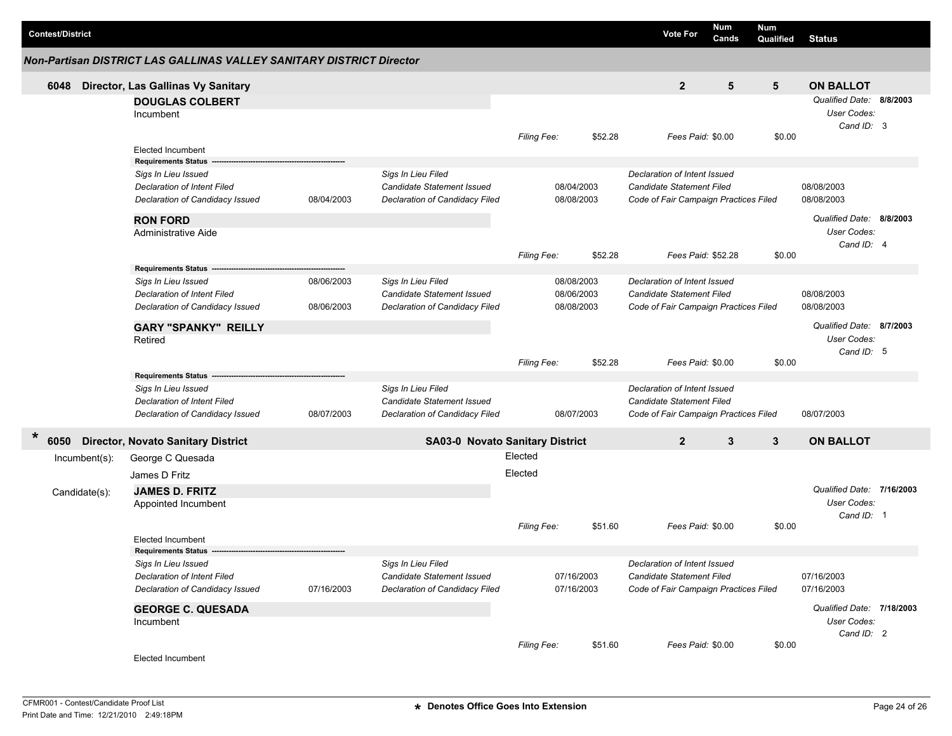| <b>Contest/District</b> |                                                                      |            |                                                              |                    |                          |         | <b>Vote For</b>                                                           | Num<br>Cands | <b>Num</b><br>Qualified                 | <b>Status</b>                                         |  |
|-------------------------|----------------------------------------------------------------------|------------|--------------------------------------------------------------|--------------------|--------------------------|---------|---------------------------------------------------------------------------|--------------|-----------------------------------------|-------------------------------------------------------|--|
|                         | Non-Partisan DISTRICT LAS GALLINAS VALLEY SANITARY DISTRICT Director |            |                                                              |                    |                          |         |                                                                           |              |                                         |                                                       |  |
| 6048                    | Director, Las Gallinas Vy Sanitary                                   |            |                                                              |                    |                          |         | $\overline{2}$                                                            | 5            | 5                                       | <b>ON BALLOT</b>                                      |  |
|                         | <b>DOUGLAS COLBERT</b><br>Incumbent                                  |            |                                                              |                    |                          |         |                                                                           |              |                                         | Qualified Date: 8/8/2003<br>User Codes:<br>Cand ID: 3 |  |
|                         | <b>Elected Incumbent</b>                                             |            |                                                              | Filing Fee:        |                          | \$52.28 | Fees Paid: \$0.00                                                         |              | \$0.00                                  |                                                       |  |
|                         | <b>Requirements Status</b><br>Sigs In Lieu Issued                    |            | Sigs In Lieu Filed                                           |                    |                          |         | Declaration of Intent Issued                                              |              |                                         |                                                       |  |
|                         | Declaration of Intent Filed<br>Declaration of Candidacy Issued       | 08/04/2003 | Candidate Statement Issued<br>Declaration of Candidacy Filed |                    | 08/04/2003<br>08/08/2003 |         | <b>Candidate Statement Filed</b><br>Code of Fair Campaign Practices Filed |              |                                         | 08/08/2003<br>08/08/2003                              |  |
|                         | <b>RON FORD</b>                                                      |            |                                                              |                    |                          |         |                                                                           |              |                                         | Qualified Date: 8/8/2003                              |  |
|                         | Administrative Aide                                                  |            |                                                              |                    |                          |         |                                                                           |              |                                         | User Codes:<br>Cand ID: 4                             |  |
|                         |                                                                      |            |                                                              | Filing Fee:        |                          | \$52.28 | Fees Paid: \$52.28                                                        |              | \$0.00                                  |                                                       |  |
|                         | <b>Requirements Status</b><br>Sigs In Lieu Issued                    | 08/06/2003 | Sigs In Lieu Filed                                           |                    | 08/08/2003               |         | Declaration of Intent Issued                                              |              |                                         |                                                       |  |
|                         | Declaration of Intent Filed                                          |            | Candidate Statement Issued                                   |                    | 08/06/2003               |         | Candidate Statement Filed                                                 |              |                                         | 08/08/2003                                            |  |
|                         | Declaration of Candidacy Issued                                      | 08/06/2003 | Declaration of Candidacy Filed                               |                    | 08/08/2003               |         | Code of Fair Campaign Practices Filed                                     |              |                                         | 08/08/2003                                            |  |
|                         | <b>GARY "SPANKY" REILLY</b><br>Retired                               |            |                                                              |                    |                          |         |                                                                           |              | Qualified Date: 8/7/2003<br>User Codes: |                                                       |  |
|                         |                                                                      |            |                                                              | Filing Fee:        |                          | \$52.28 | Fees Paid: \$0.00                                                         |              | \$0.00                                  | Cand ID: 5                                            |  |
|                         | <b>Requirements Status</b>                                           |            |                                                              |                    |                          |         |                                                                           |              |                                         |                                                       |  |
|                         | Sigs In Lieu Issued                                                  |            | Sigs In Lieu Filed                                           |                    |                          |         | Declaration of Intent Issued                                              |              |                                         |                                                       |  |
|                         | Declaration of Intent Filed                                          |            | Candidate Statement Issued                                   |                    |                          |         | <b>Candidate Statement Filed</b>                                          |              |                                         |                                                       |  |
|                         | Declaration of Candidacy Issued                                      | 08/07/2003 | Declaration of Candidacy Filed                               |                    | 08/07/2003               |         | Code of Fair Campaign Practices Filed                                     |              |                                         | 08/07/2003                                            |  |
| $\ast$<br>6050          | <b>Director, Novato Sanitary District</b>                            |            | <b>SA03-0 Novato Sanitary District</b>                       |                    |                          |         | $\overline{2}$                                                            | 3            | 3                                       | <b>ON BALLOT</b>                                      |  |
| Incumbent(s):           | George C Quesada                                                     |            |                                                              | Elected            |                          |         |                                                                           |              |                                         |                                                       |  |
|                         | James D Fritz                                                        |            |                                                              | Elected            |                          |         |                                                                           |              |                                         |                                                       |  |
| Candidate(s):           | <b>JAMES D. FRITZ</b>                                                |            |                                                              |                    |                          |         |                                                                           |              |                                         | Qualified Date: 7/16/2003                             |  |
|                         | Appointed Incumbent                                                  |            |                                                              |                    |                          |         |                                                                           |              |                                         | User Codes:                                           |  |
|                         |                                                                      |            |                                                              | <b>Filing Fee:</b> |                          | \$51.60 | Fees Paid: \$0.00                                                         |              | \$0.00                                  | Cand ID: 1                                            |  |
|                         | <b>Elected Incumbent</b>                                             |            |                                                              |                    |                          |         |                                                                           |              |                                         |                                                       |  |
|                         | <b>Requirements Status</b>                                           |            |                                                              |                    |                          |         |                                                                           |              |                                         |                                                       |  |
|                         | Sigs In Lieu Issued<br>Declaration of Intent Filed                   |            | Sigs In Lieu Filed<br>Candidate Statement Issued             |                    | 07/16/2003               |         | Declaration of Intent Issued<br><b>Candidate Statement Filed</b>          |              |                                         | 07/16/2003                                            |  |
|                         | Declaration of Candidacy Issued                                      | 07/16/2003 | Declaration of Candidacy Filed                               |                    | 07/16/2003               |         | Code of Fair Campaign Practices Filed                                     |              |                                         | 07/16/2003                                            |  |
|                         |                                                                      |            |                                                              |                    |                          |         |                                                                           |              |                                         | Qualified Date: 7/18/2003                             |  |
|                         | <b>GEORGE C. QUESADA</b><br>Incumbent                                |            |                                                              |                    |                          |         |                                                                           |              |                                         | User Codes:                                           |  |
|                         |                                                                      |            |                                                              |                    |                          |         |                                                                           |              |                                         | Cand ID: 2                                            |  |
|                         | Elected Incumbent                                                    |            |                                                              | Filing Fee:        |                          | \$51.60 | Fees Paid: \$0.00                                                         |              | \$0.00                                  |                                                       |  |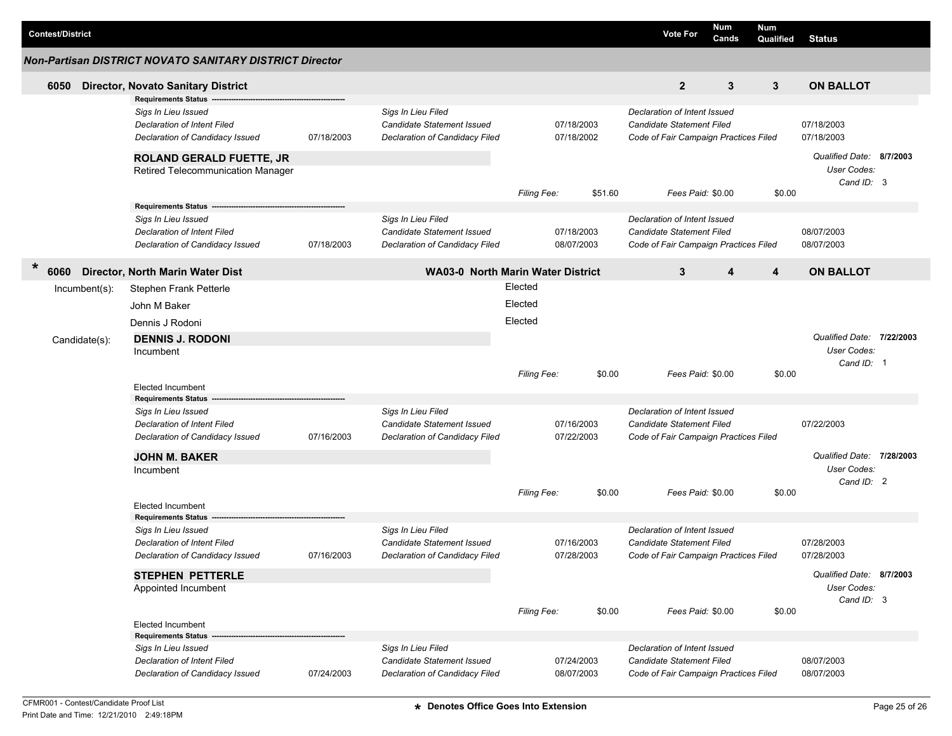| <b>Contest/District</b> |                                                         |                                                                       |            |                                                              |                                          |                          |         | <b>Vote For</b>                                                    | Num<br>Cands | <b>Num</b><br>Qualified | <b>Status</b>                           |  |
|-------------------------|---------------------------------------------------------|-----------------------------------------------------------------------|------------|--------------------------------------------------------------|------------------------------------------|--------------------------|---------|--------------------------------------------------------------------|--------------|-------------------------|-----------------------------------------|--|
|                         | Non-Partisan DISTRICT NOVATO SANITARY DISTRICT Director |                                                                       |            |                                                              |                                          |                          |         |                                                                    |              |                         |                                         |  |
| 6050                    |                                                         | <b>Director, Novato Sanitary District</b>                             |            |                                                              |                                          |                          |         | $\overline{2}$                                                     | $\mathbf{3}$ | $\mathbf{3}$            | <b>ON BALLOT</b>                        |  |
|                         |                                                         | <b>Requirements Status</b>                                            |            |                                                              |                                          |                          |         |                                                                    |              |                         |                                         |  |
|                         |                                                         | Sigs In Lieu Issued                                                   |            | Sigs In Lieu Filed                                           |                                          |                          |         | Declaration of Intent Issued                                       |              |                         |                                         |  |
|                         |                                                         | <b>Declaration of Intent Filed</b><br>Declaration of Candidacy Issued | 07/18/2003 | Candidate Statement Issued<br>Declaration of Candidacy Filed |                                          | 07/18/2003<br>07/18/2002 |         | Candidate Statement Filed<br>Code of Fair Campaign Practices Filed |              |                         | 07/18/2003<br>07/18/2003                |  |
|                         |                                                         |                                                                       |            |                                                              |                                          |                          |         |                                                                    |              |                         |                                         |  |
|                         |                                                         | <b>ROLAND GERALD FUETTE, JR</b>                                       |            |                                                              |                                          |                          |         |                                                                    |              |                         | Qualified Date: 8/7/2003<br>User Codes: |  |
|                         |                                                         | Retired Telecommunication Manager                                     |            |                                                              |                                          |                          |         |                                                                    |              |                         | Cand ID: 3                              |  |
|                         |                                                         |                                                                       |            |                                                              | Filing Fee:                              |                          | \$51.60 | Fees Paid: \$0.00                                                  |              | \$0.00                  |                                         |  |
|                         |                                                         | Requirements Status -------------------------------                   |            |                                                              |                                          |                          |         |                                                                    |              |                         |                                         |  |
|                         |                                                         | Sigs In Lieu Issued                                                   |            | Sigs In Lieu Filed                                           |                                          |                          |         | Declaration of Intent Issued                                       |              |                         |                                         |  |
|                         |                                                         | <b>Declaration of Intent Filed</b>                                    | 07/18/2003 | Candidate Statement Issued<br>Declaration of Candidacy Filed |                                          | 07/18/2003<br>08/07/2003 |         | Candidate Statement Filed<br>Code of Fair Campaign Practices Filed |              |                         | 08/07/2003                              |  |
|                         |                                                         | Declaration of Candidacy Issued                                       |            |                                                              |                                          |                          |         |                                                                    |              |                         | 08/07/2003                              |  |
| $\ast$<br>6060          | Director, North Marin Water Dist                        |                                                                       |            |                                                              | <b>WA03-0 North Marin Water District</b> |                          |         | 3                                                                  | 4            | $\overline{4}$          | <b>ON BALLOT</b>                        |  |
|                         | $Incumbent(s)$ :                                        | Stephen Frank Petterle                                                |            |                                                              | Elected                                  |                          |         |                                                                    |              |                         |                                         |  |
|                         |                                                         | John M Baker                                                          |            |                                                              | Elected                                  |                          |         |                                                                    |              |                         |                                         |  |
|                         |                                                         | Dennis J Rodoni                                                       |            |                                                              | Elected                                  |                          |         |                                                                    |              |                         |                                         |  |
|                         | Candidate(s):                                           | <b>DENNIS J. RODONI</b>                                               |            |                                                              |                                          |                          |         |                                                                    |              |                         | Qualified Date: 7/22/2003               |  |
|                         |                                                         | Incumbent                                                             |            |                                                              |                                          |                          |         |                                                                    |              |                         | User Codes:                             |  |
|                         |                                                         |                                                                       |            |                                                              |                                          |                          |         |                                                                    |              |                         | Cand ID: 1                              |  |
|                         |                                                         | <b>Elected Incumbent</b>                                              |            |                                                              | Filing Fee:                              |                          | \$0.00  | Fees Paid: \$0.00                                                  |              | \$0.00                  |                                         |  |
|                         |                                                         | <b>Requirements Status</b>                                            |            |                                                              |                                          |                          |         |                                                                    |              |                         |                                         |  |
|                         |                                                         | Sigs In Lieu Issued                                                   |            | Sigs In Lieu Filed                                           |                                          |                          |         | Declaration of Intent Issued                                       |              |                         |                                         |  |
|                         |                                                         | <b>Declaration of Intent Filed</b>                                    |            | Candidate Statement Issued                                   | 07/16/2003                               |                          |         | Candidate Statement Filed                                          |              |                         | 07/22/2003                              |  |
|                         |                                                         | Declaration of Candidacy Issued                                       | 07/16/2003 | Declaration of Candidacy Filed                               | 07/22/2003                               |                          |         | Code of Fair Campaign Practices Filed                              |              |                         |                                         |  |
|                         |                                                         | <b>JOHN M. BAKER</b>                                                  |            |                                                              |                                          |                          |         |                                                                    |              |                         | Qualified Date: 7/28/2003               |  |
|                         |                                                         | Incumbent                                                             |            |                                                              |                                          |                          |         |                                                                    |              |                         | User Codes:                             |  |
|                         |                                                         |                                                                       |            |                                                              | Filing Fee:                              |                          | \$0.00  | Fees Paid: \$0.00                                                  |              | \$0.00                  | Cand ID: 2                              |  |
|                         |                                                         | <b>Elected Incumbent</b>                                              |            |                                                              |                                          |                          |         |                                                                    |              |                         |                                         |  |
|                         |                                                         | <b>Requirements Status</b>                                            |            |                                                              |                                          |                          |         |                                                                    |              |                         |                                         |  |
|                         |                                                         | Sigs In Lieu Issued                                                   |            | Sigs In Lieu Filed                                           |                                          |                          |         | Declaration of Intent Issued                                       |              |                         |                                         |  |
|                         |                                                         | <b>Declaration of Intent Filed</b>                                    |            | Candidate Statement Issued                                   |                                          | 07/16/2003               |         | Candidate Statement Filed                                          |              |                         | 07/28/2003                              |  |
|                         |                                                         | Declaration of Candidacy Issued                                       | 07/16/2003 | Declaration of Candidacy Filed                               |                                          | 07/28/2003               |         | Code of Fair Campaign Practices Filed                              |              |                         | 07/28/2003                              |  |
|                         |                                                         | <b>STEPHEN PETTERLE</b>                                               |            |                                                              |                                          |                          |         |                                                                    |              |                         | Qualified Date: 8/7/2003                |  |
|                         |                                                         | Appointed Incumbent                                                   |            |                                                              |                                          |                          |         |                                                                    |              |                         | User Codes:<br>Cand ID: 3               |  |
|                         |                                                         |                                                                       |            |                                                              | Filing Fee:                              |                          | \$0.00  | Fees Paid: \$0.00                                                  |              | \$0.00                  |                                         |  |
|                         |                                                         | <b>Elected Incumbent</b>                                              |            |                                                              |                                          |                          |         |                                                                    |              |                         |                                         |  |
|                         |                                                         | <b>Requirements Status --</b>                                         |            |                                                              |                                          |                          |         |                                                                    |              |                         |                                         |  |
|                         |                                                         | Sigs In Lieu Issued                                                   |            | Sigs In Lieu Filed<br>Candidate Statement Issued             |                                          | 07/24/2003               |         | Declaration of Intent Issued<br>Candidate Statement Filed          |              |                         | 08/07/2003                              |  |
|                         |                                                         | Declaration of Intent Filed<br>Declaration of Candidacy Issued        | 07/24/2003 | Declaration of Candidacy Filed                               |                                          | 08/07/2003               |         |                                                                    |              |                         | 08/07/2003                              |  |
|                         |                                                         |                                                                       |            |                                                              |                                          |                          |         | Code of Fair Campaign Practices Filed                              |              |                         |                                         |  |